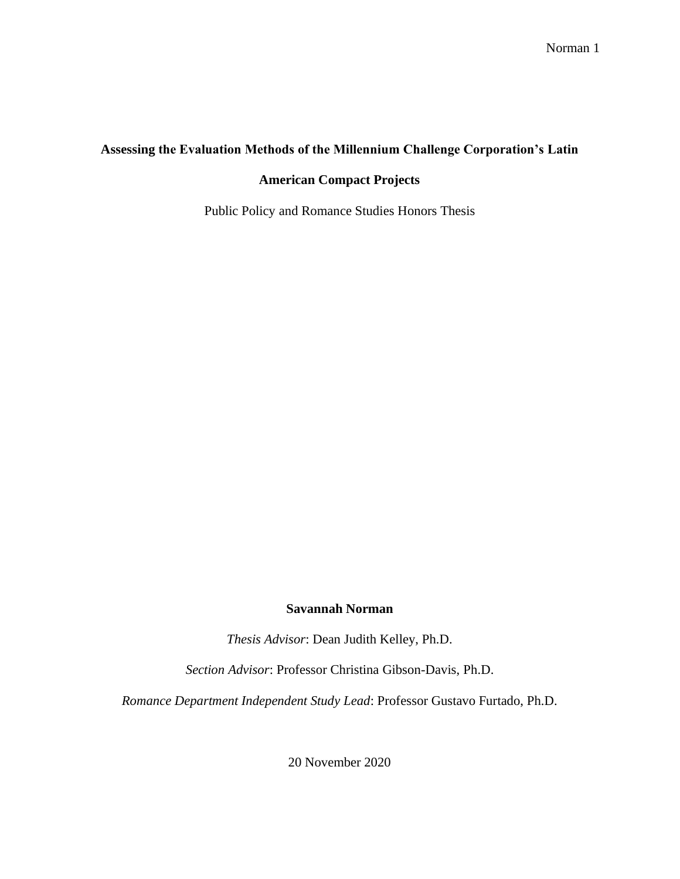# **Assessing the Evaluation Methods of the Millennium Challenge Corporation's Latin**

## **American Compact Projects**

Public Policy and Romance Studies Honors Thesis

### **Savannah Norman**

*Thesis Advisor*: Dean Judith Kelley, Ph.D.

*Section Advisor*: Professor Christina Gibson-Davis, Ph.D.

*Romance Department Independent Study Lead*: Professor Gustavo Furtado, Ph.D.

20 November 2020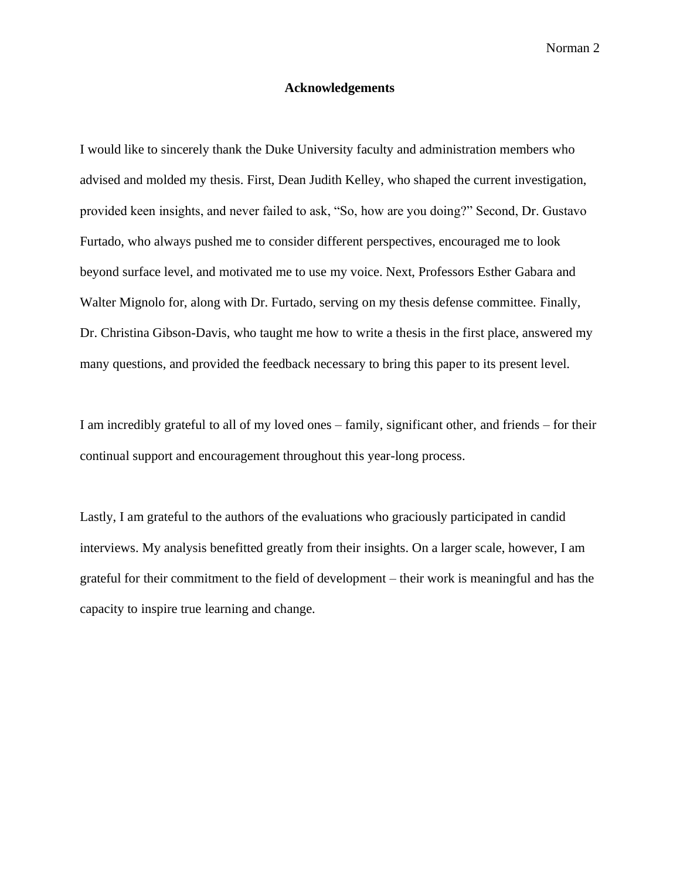### **Acknowledgements**

I would like to sincerely thank the Duke University faculty and administration members who advised and molded my thesis. First, Dean Judith Kelley, who shaped the current investigation, provided keen insights, and never failed to ask, "So, how are you doing?" Second, Dr. Gustavo Furtado, who always pushed me to consider different perspectives, encouraged me to look beyond surface level, and motivated me to use my voice. Next, Professors Esther Gabara and Walter Mignolo for, along with Dr. Furtado, serving on my thesis defense committee. Finally, Dr. Christina Gibson-Davis, who taught me how to write a thesis in the first place, answered my many questions, and provided the feedback necessary to bring this paper to its present level.

I am incredibly grateful to all of my loved ones – family, significant other, and friends – for their continual support and encouragement throughout this year-long process.

Lastly, I am grateful to the authors of the evaluations who graciously participated in candid interviews. My analysis benefitted greatly from their insights. On a larger scale, however, I am grateful for their commitment to the field of development – their work is meaningful and has the capacity to inspire true learning and change.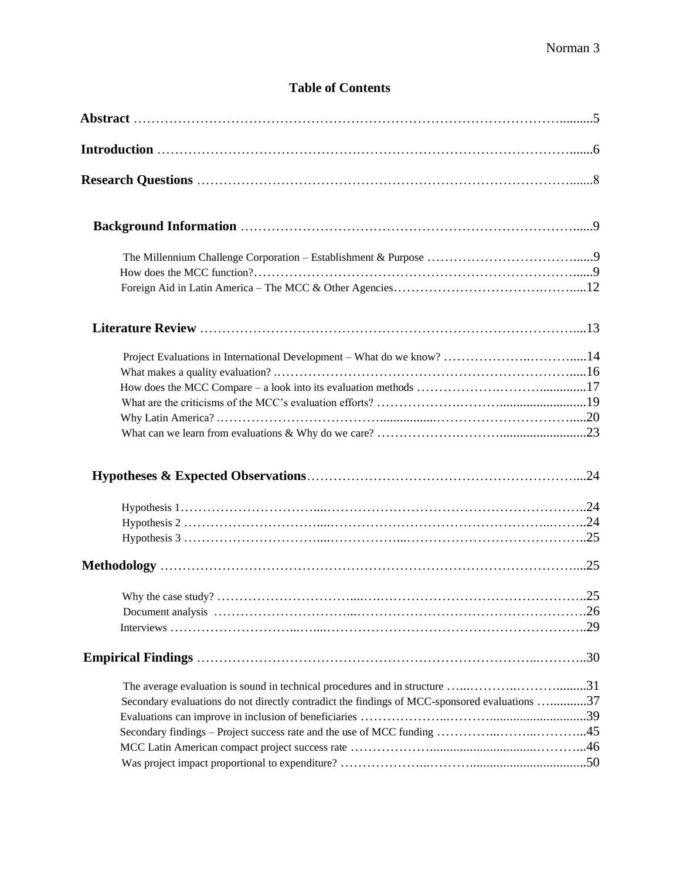# **Table of Contents**

| Project Evaluations in International Development - What do we know? 14                                                                                                       |  |
|------------------------------------------------------------------------------------------------------------------------------------------------------------------------------|--|
|                                                                                                                                                                              |  |
|                                                                                                                                                                              |  |
|                                                                                                                                                                              |  |
|                                                                                                                                                                              |  |
| The average evaluation is sound in technical procedures and in structure 31<br>Secondary evaluations do not directly contradict the findings of MCC-sponsored evaluations 37 |  |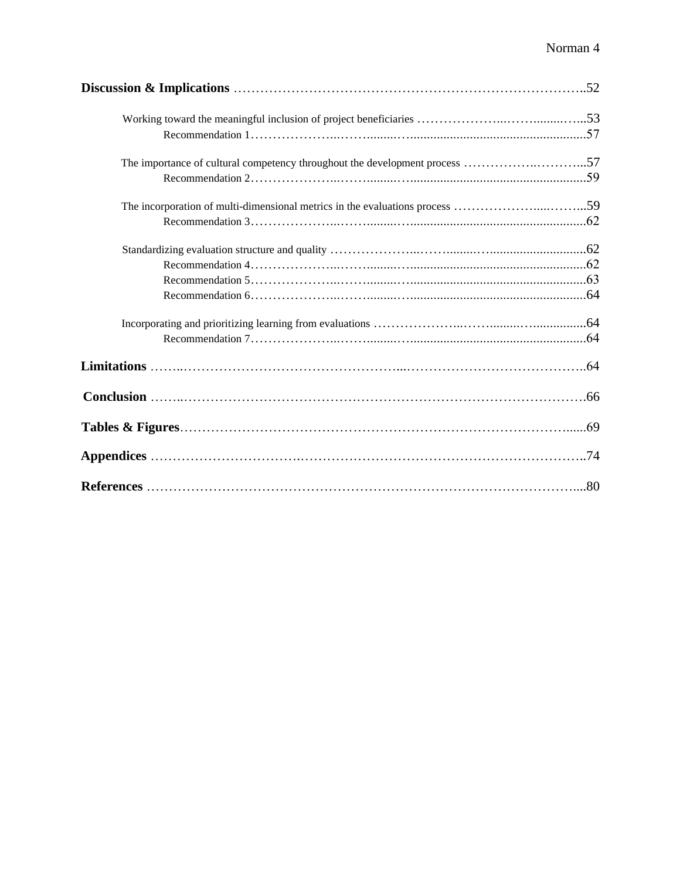| The importance of cultural competency throughout the development process 57  |  |
|------------------------------------------------------------------------------|--|
|                                                                              |  |
| The incorporation of multi-dimensional metrics in the evaluations process 59 |  |
|                                                                              |  |
|                                                                              |  |
|                                                                              |  |
|                                                                              |  |
|                                                                              |  |
|                                                                              |  |
|                                                                              |  |
|                                                                              |  |
|                                                                              |  |
|                                                                              |  |
|                                                                              |  |
|                                                                              |  |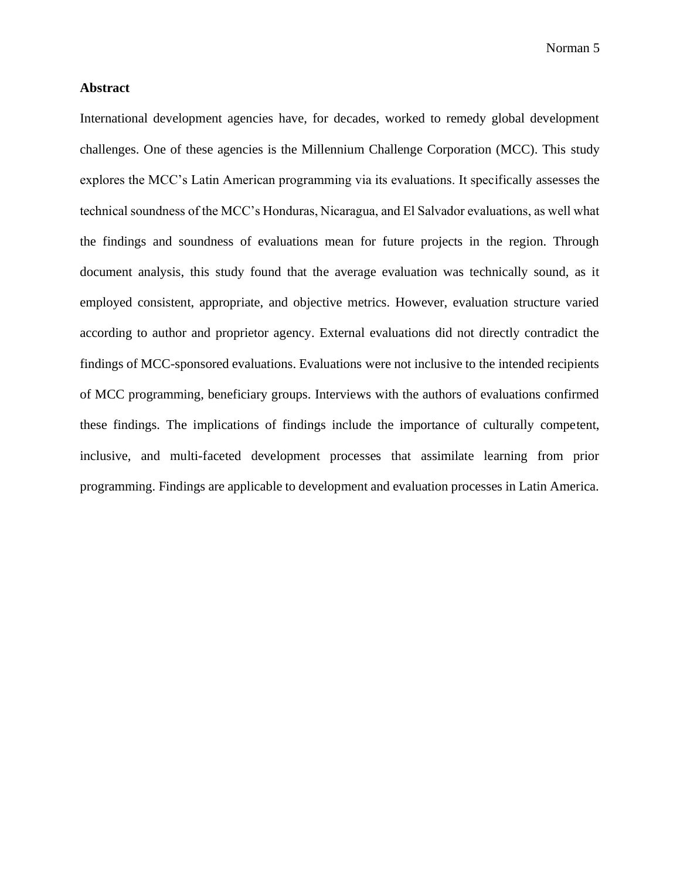## **Abstract**

International development agencies have, for decades, worked to remedy global development challenges. One of these agencies is the Millennium Challenge Corporation (MCC). This study explores the MCC's Latin American programming via its evaluations. It specifically assesses the technical soundness of the MCC's Honduras, Nicaragua, and El Salvador evaluations, as well what the findings and soundness of evaluations mean for future projects in the region. Through document analysis, this study found that the average evaluation was technically sound, as it employed consistent, appropriate, and objective metrics. However, evaluation structure varied according to author and proprietor agency. External evaluations did not directly contradict the findings of MCC-sponsored evaluations. Evaluations were not inclusive to the intended recipients of MCC programming, beneficiary groups. Interviews with the authors of evaluations confirmed these findings. The implications of findings include the importance of culturally competent, inclusive, and multi-faceted development processes that assimilate learning from prior programming. Findings are applicable to development and evaluation processes in Latin America.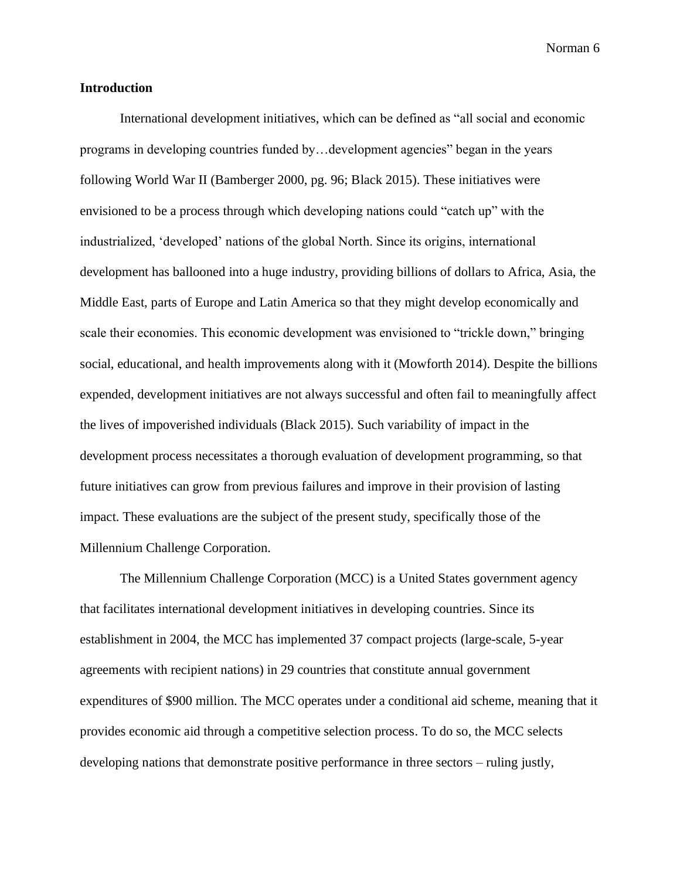#### **Introduction**

International development initiatives, which can be defined as "all social and economic programs in developing countries funded by…development agencies" began in the years following World War II (Bamberger 2000, pg. 96; Black 2015). These initiatives were envisioned to be a process through which developing nations could "catch up" with the industrialized, 'developed' nations of the global North. Since its origins, international development has ballooned into a huge industry, providing billions of dollars to Africa, Asia, the Middle East, parts of Europe and Latin America so that they might develop economically and scale their economies. This economic development was envisioned to "trickle down," bringing social, educational, and health improvements along with it (Mowforth 2014). Despite the billions expended, development initiatives are not always successful and often fail to meaningfully affect the lives of impoverished individuals (Black 2015). Such variability of impact in the development process necessitates a thorough evaluation of development programming, so that future initiatives can grow from previous failures and improve in their provision of lasting impact. These evaluations are the subject of the present study, specifically those of the Millennium Challenge Corporation.

The Millennium Challenge Corporation (MCC) is a United States government agency that facilitates international development initiatives in developing countries. Since its establishment in 2004, the MCC has implemented 37 compact projects (large-scale, 5-year agreements with recipient nations) in 29 countries that constitute annual government expenditures of \$900 million. The MCC operates under a conditional aid scheme, meaning that it provides economic aid through a competitive selection process. To do so, the MCC selects developing nations that demonstrate positive performance in three sectors – ruling justly,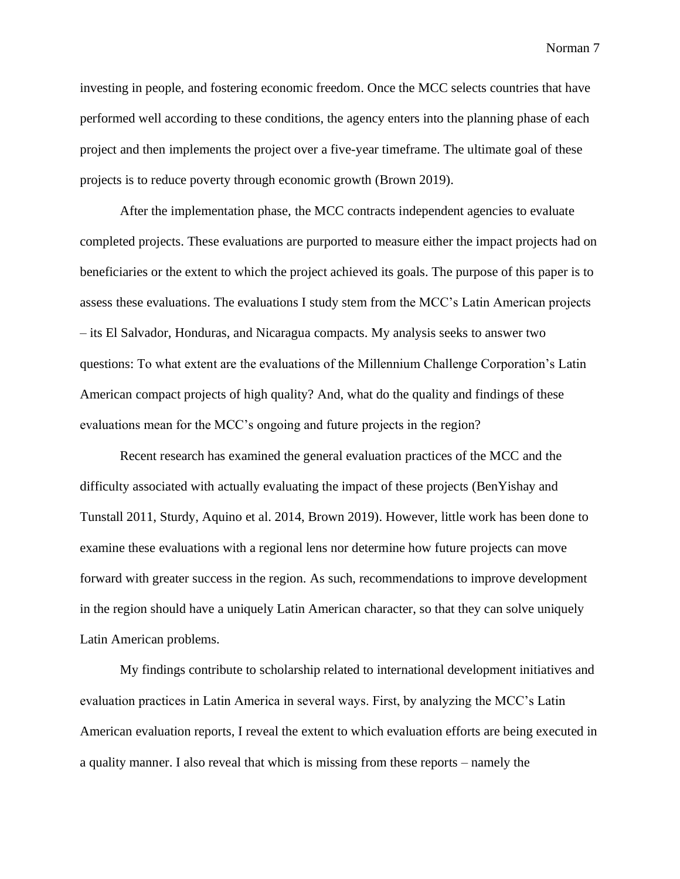investing in people, and fostering economic freedom. Once the MCC selects countries that have performed well according to these conditions, the agency enters into the planning phase of each project and then implements the project over a five-year timeframe. The ultimate goal of these projects is to reduce poverty through economic growth (Brown 2019).

After the implementation phase, the MCC contracts independent agencies to evaluate completed projects. These evaluations are purported to measure either the impact projects had on beneficiaries or the extent to which the project achieved its goals. The purpose of this paper is to assess these evaluations. The evaluations I study stem from the MCC's Latin American projects – its El Salvador, Honduras, and Nicaragua compacts. My analysis seeks to answer two questions: To what extent are the evaluations of the Millennium Challenge Corporation's Latin American compact projects of high quality? And, what do the quality and findings of these evaluations mean for the MCC's ongoing and future projects in the region?

Recent research has examined the general evaluation practices of the MCC and the difficulty associated with actually evaluating the impact of these projects (BenYishay and Tunstall 2011, Sturdy, Aquino et al. 2014, Brown 2019). However, little work has been done to examine these evaluations with a regional lens nor determine how future projects can move forward with greater success in the region. As such, recommendations to improve development in the region should have a uniquely Latin American character, so that they can solve uniquely Latin American problems.

My findings contribute to scholarship related to international development initiatives and evaluation practices in Latin America in several ways. First, by analyzing the MCC's Latin American evaluation reports, I reveal the extent to which evaluation efforts are being executed in a quality manner. I also reveal that which is missing from these reports – namely the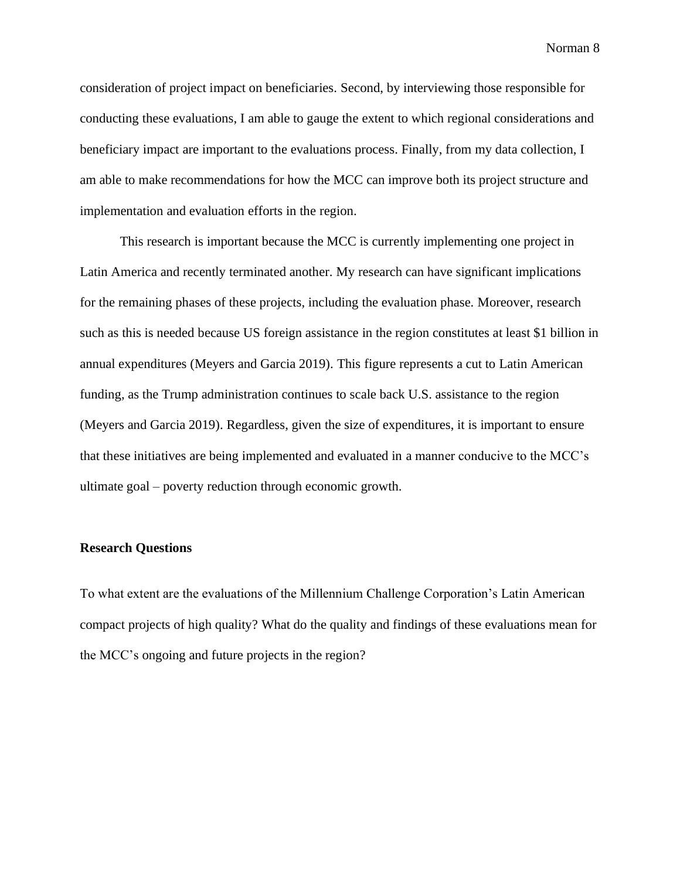consideration of project impact on beneficiaries. Second, by interviewing those responsible for conducting these evaluations, I am able to gauge the extent to which regional considerations and beneficiary impact are important to the evaluations process. Finally, from my data collection, I am able to make recommendations for how the MCC can improve both its project structure and implementation and evaluation efforts in the region.

This research is important because the MCC is currently implementing one project in Latin America and recently terminated another. My research can have significant implications for the remaining phases of these projects, including the evaluation phase. Moreover, research such as this is needed because US foreign assistance in the region constitutes at least \$1 billion in annual expenditures (Meyers and Garcia 2019). This figure represents a cut to Latin American funding, as the Trump administration continues to scale back U.S. assistance to the region (Meyers and Garcia 2019). Regardless, given the size of expenditures, it is important to ensure that these initiatives are being implemented and evaluated in a manner conducive to the MCC's ultimate goal – poverty reduction through economic growth.

#### **Research Questions**

To what extent are the evaluations of the Millennium Challenge Corporation's Latin American compact projects of high quality? What do the quality and findings of these evaluations mean for the MCC's ongoing and future projects in the region?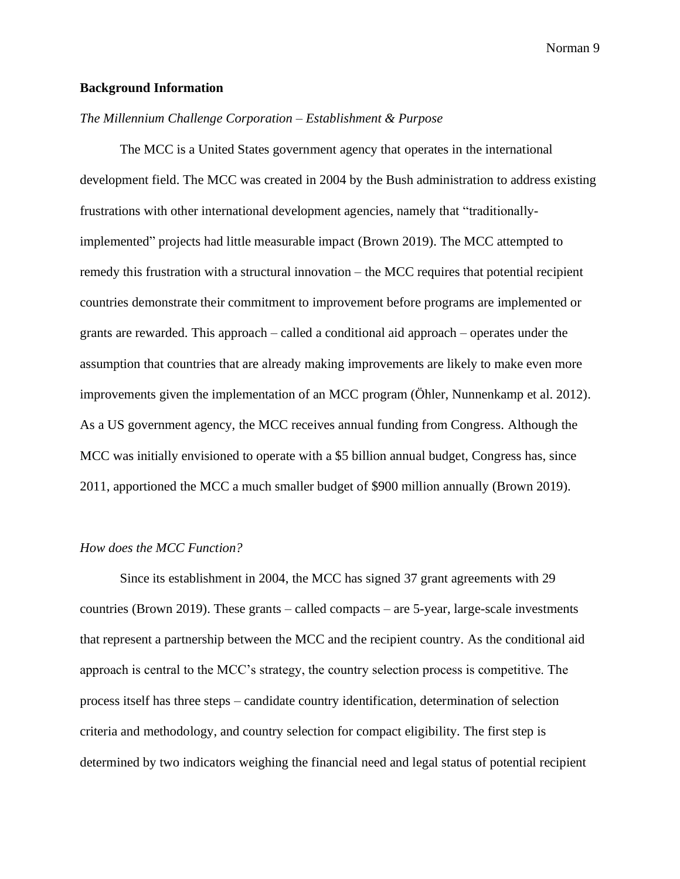#### **Background Information**

#### *The Millennium Challenge Corporation – Establishment & Purpose*

The MCC is a United States government agency that operates in the international development field. The MCC was created in 2004 by the Bush administration to address existing frustrations with other international development agencies, namely that "traditionallyimplemented" projects had little measurable impact (Brown 2019). The MCC attempted to remedy this frustration with a structural innovation – the MCC requires that potential recipient countries demonstrate their commitment to improvement before programs are implemented or grants are rewarded. This approach – called a conditional aid approach – operates under the assumption that countries that are already making improvements are likely to make even more improvements given the implementation of an MCC program (Öhler, Nunnenkamp et al. 2012). As a US government agency, the MCC receives annual funding from Congress. Although the MCC was initially envisioned to operate with a \$5 billion annual budget, Congress has, since 2011, apportioned the MCC a much smaller budget of \$900 million annually (Brown 2019).

#### *How does the MCC Function?*

Since its establishment in 2004, the MCC has signed 37 grant agreements with 29 countries (Brown 2019). These grants – called compacts – are 5-year, large-scale investments that represent a partnership between the MCC and the recipient country. As the conditional aid approach is central to the MCC's strategy, the country selection process is competitive. The process itself has three steps – candidate country identification, determination of selection criteria and methodology, and country selection for compact eligibility. The first step is determined by two indicators weighing the financial need and legal status of potential recipient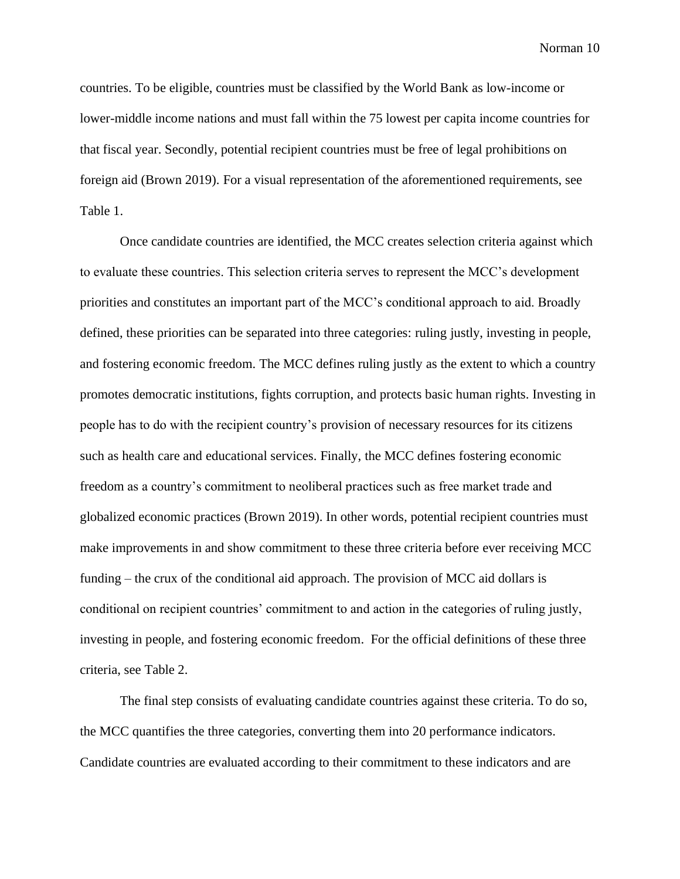countries. To be eligible, countries must be classified by the World Bank as low-income or lower-middle income nations and must fall within the 75 lowest per capita income countries for that fiscal year. Secondly, potential recipient countries must be free of legal prohibitions on foreign aid (Brown 2019). For a visual representation of the aforementioned requirements, see Table 1.

Once candidate countries are identified, the MCC creates selection criteria against which to evaluate these countries. This selection criteria serves to represent the MCC's development priorities and constitutes an important part of the MCC's conditional approach to aid. Broadly defined, these priorities can be separated into three categories: ruling justly, investing in people, and fostering economic freedom. The MCC defines ruling justly as the extent to which a country promotes democratic institutions, fights corruption, and protects basic human rights. Investing in people has to do with the recipient country's provision of necessary resources for its citizens such as health care and educational services. Finally, the MCC defines fostering economic freedom as a country's commitment to neoliberal practices such as free market trade and globalized economic practices (Brown 2019). In other words, potential recipient countries must make improvements in and show commitment to these three criteria before ever receiving MCC funding – the crux of the conditional aid approach. The provision of MCC aid dollars is conditional on recipient countries' commitment to and action in the categories of ruling justly, investing in people, and fostering economic freedom. For the official definitions of these three criteria, see Table 2.

The final step consists of evaluating candidate countries against these criteria. To do so, the MCC quantifies the three categories, converting them into 20 performance indicators. Candidate countries are evaluated according to their commitment to these indicators and are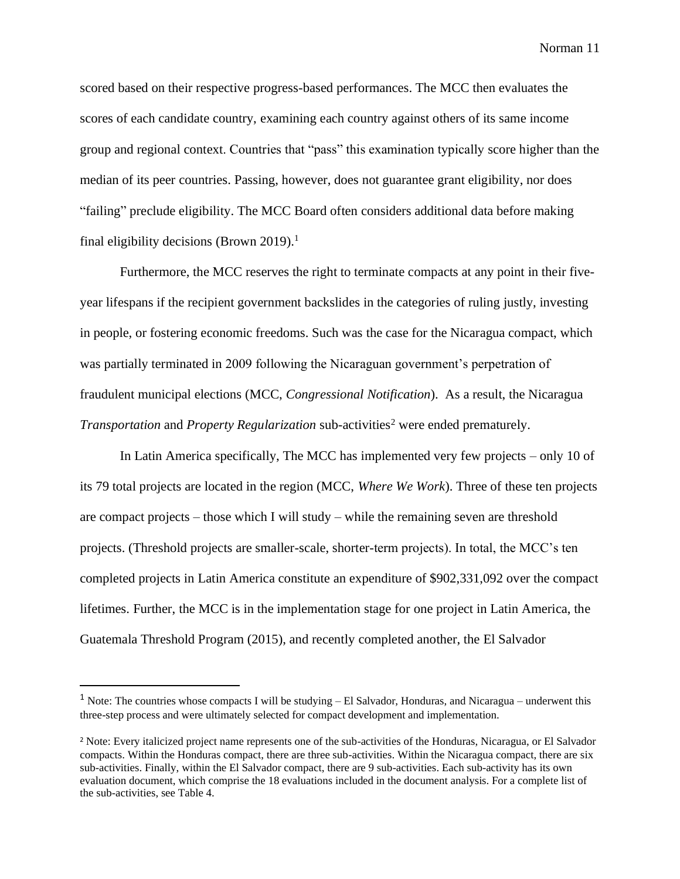scored based on their respective progress-based performances. The MCC then evaluates the scores of each candidate country, examining each country against others of its same income group and regional context. Countries that "pass" this examination typically score higher than the median of its peer countries. Passing, however, does not guarantee grant eligibility, nor does "failing" preclude eligibility. The MCC Board often considers additional data before making final eligibility decisions (Brown 2019).<sup>1</sup>

Furthermore, the MCC reserves the right to terminate compacts at any point in their fiveyear lifespans if the recipient government backslides in the categories of ruling justly, investing in people, or fostering economic freedoms. Such was the case for the Nicaragua compact, which was partially terminated in 2009 following the Nicaraguan government's perpetration of fraudulent municipal elections (MCC, *Congressional Notification*). As a result, the Nicaragua *Transportation* and *Property Regularization* sub-activities<sup>2</sup> were ended prematurely.

In Latin America specifically, The MCC has implemented very few projects – only 10 of its 79 total projects are located in the region (MCC, *Where We Work*). Three of these ten projects are compact projects – those which I will study – while the remaining seven are threshold projects. (Threshold projects are smaller-scale, shorter-term projects). In total, the MCC's ten completed projects in Latin America constitute an expenditure of \$902,331,092 over the compact lifetimes. Further, the MCC is in the implementation stage for one project in Latin America, the Guatemala Threshold Program (2015), and recently completed another, the El Salvador

 $1$  Note: The countries whose compacts I will be studying  $-$  El Salvador, Honduras, and Nicaragua – underwent this three-step process and were ultimately selected for compact development and implementation.

<sup>2</sup> Note: Every italicized project name represents one of the sub-activities of the Honduras, Nicaragua, or El Salvador compacts. Within the Honduras compact, there are three sub-activities. Within the Nicaragua compact, there are six sub-activities. Finally, within the El Salvador compact, there are 9 sub-activities. Each sub-activity has its own evaluation document, which comprise the 18 evaluations included in the document analysis. For a complete list of the sub-activities, see Table 4.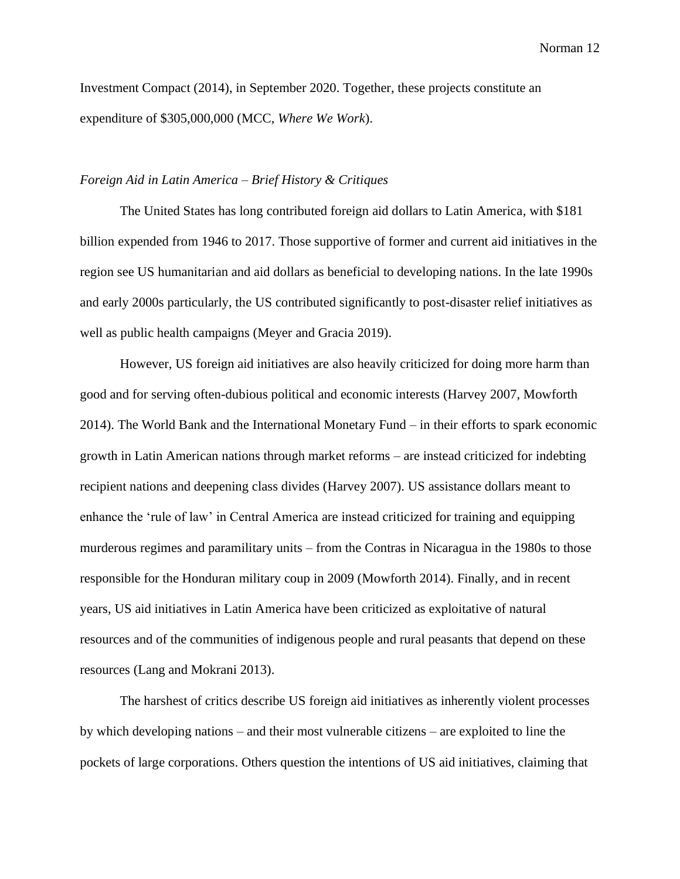Investment Compact (2014), in September 2020. Together, these projects constitute an expenditure of \$305,000,000 (MCC, *Where We Work*).

## *Foreign Aid in Latin America – Brief History & Critiques*

The United States has long contributed foreign aid dollars to Latin America, with \$181 billion expended from 1946 to 2017. Those supportive of former and current aid initiatives in the region see US humanitarian and aid dollars as beneficial to developing nations. In the late 1990s and early 2000s particularly, the US contributed significantly to post-disaster relief initiatives as well as public health campaigns (Meyer and Gracia 2019).

However, US foreign aid initiatives are also heavily criticized for doing more harm than good and for serving often-dubious political and economic interests (Harvey 2007, Mowforth 2014). The World Bank and the International Monetary Fund – in their efforts to spark economic growth in Latin American nations through market reforms – are instead criticized for indebting recipient nations and deepening class divides (Harvey 2007). US assistance dollars meant to enhance the 'rule of law' in Central America are instead criticized for training and equipping murderous regimes and paramilitary units – from the Contras in Nicaragua in the 1980s to those responsible for the Honduran military coup in 2009 (Mowforth 2014). Finally, and in recent years, US aid initiatives in Latin America have been criticized as exploitative of natural resources and of the communities of indigenous people and rural peasants that depend on these resources (Lang and Mokrani 2013).

The harshest of critics describe US foreign aid initiatives as inherently violent processes by which developing nations – and their most vulnerable citizens – are exploited to line the pockets of large corporations. Others question the intentions of US aid initiatives, claiming that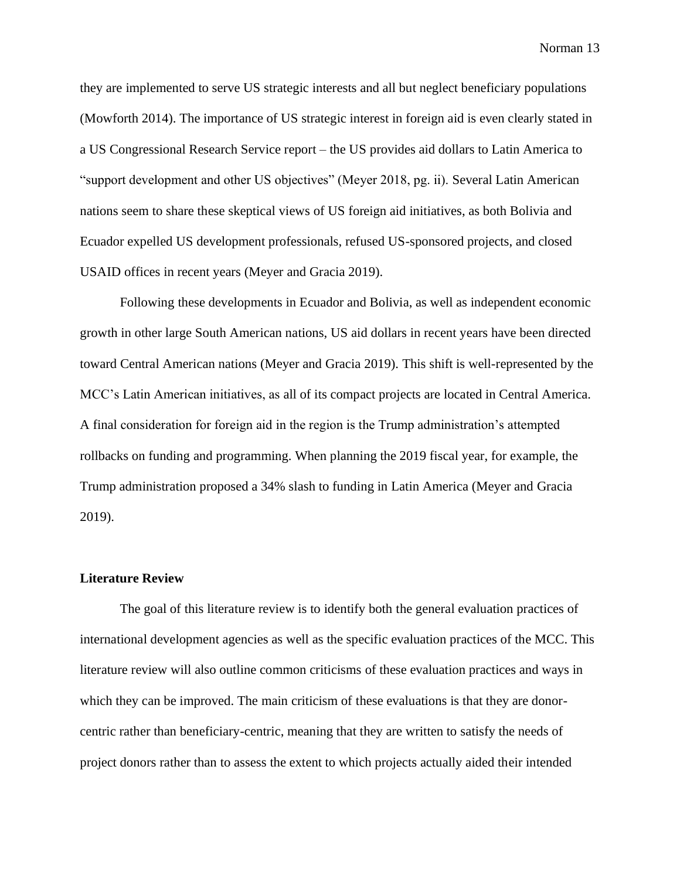they are implemented to serve US strategic interests and all but neglect beneficiary populations (Mowforth 2014). The importance of US strategic interest in foreign aid is even clearly stated in a US Congressional Research Service report – the US provides aid dollars to Latin America to "support development and other US objectives" (Meyer 2018, pg. ii). Several Latin American nations seem to share these skeptical views of US foreign aid initiatives, as both Bolivia and Ecuador expelled US development professionals, refused US-sponsored projects, and closed USAID offices in recent years (Meyer and Gracia 2019).

Following these developments in Ecuador and Bolivia, as well as independent economic growth in other large South American nations, US aid dollars in recent years have been directed toward Central American nations (Meyer and Gracia 2019). This shift is well-represented by the MCC's Latin American initiatives, as all of its compact projects are located in Central America. A final consideration for foreign aid in the region is the Trump administration's attempted rollbacks on funding and programming. When planning the 2019 fiscal year, for example, the Trump administration proposed a 34% slash to funding in Latin America (Meyer and Gracia 2019).

#### **Literature Review**

The goal of this literature review is to identify both the general evaluation practices of international development agencies as well as the specific evaluation practices of the MCC. This literature review will also outline common criticisms of these evaluation practices and ways in which they can be improved. The main criticism of these evaluations is that they are donorcentric rather than beneficiary-centric, meaning that they are written to satisfy the needs of project donors rather than to assess the extent to which projects actually aided their intended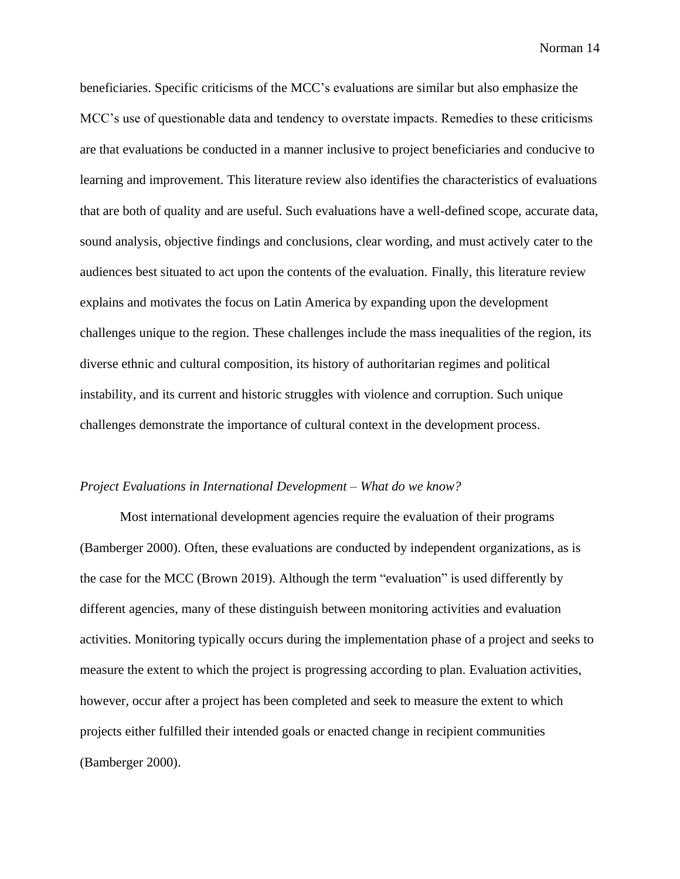beneficiaries. Specific criticisms of the MCC's evaluations are similar but also emphasize the MCC's use of questionable data and tendency to overstate impacts. Remedies to these criticisms are that evaluations be conducted in a manner inclusive to project beneficiaries and conducive to learning and improvement. This literature review also identifies the characteristics of evaluations that are both of quality and are useful. Such evaluations have a well-defined scope, accurate data, sound analysis, objective findings and conclusions, clear wording, and must actively cater to the audiences best situated to act upon the contents of the evaluation. Finally, this literature review explains and motivates the focus on Latin America by expanding upon the development challenges unique to the region. These challenges include the mass inequalities of the region, its diverse ethnic and cultural composition, its history of authoritarian regimes and political instability, and its current and historic struggles with violence and corruption. Such unique challenges demonstrate the importance of cultural context in the development process.

### *Project Evaluations in International Development – What do we know?*

Most international development agencies require the evaluation of their programs (Bamberger 2000). Often, these evaluations are conducted by independent organizations, as is the case for the MCC (Brown 2019). Although the term "evaluation" is used differently by different agencies, many of these distinguish between monitoring activities and evaluation activities. Monitoring typically occurs during the implementation phase of a project and seeks to measure the extent to which the project is progressing according to plan. Evaluation activities, however, occur after a project has been completed and seek to measure the extent to which projects either fulfilled their intended goals or enacted change in recipient communities (Bamberger 2000).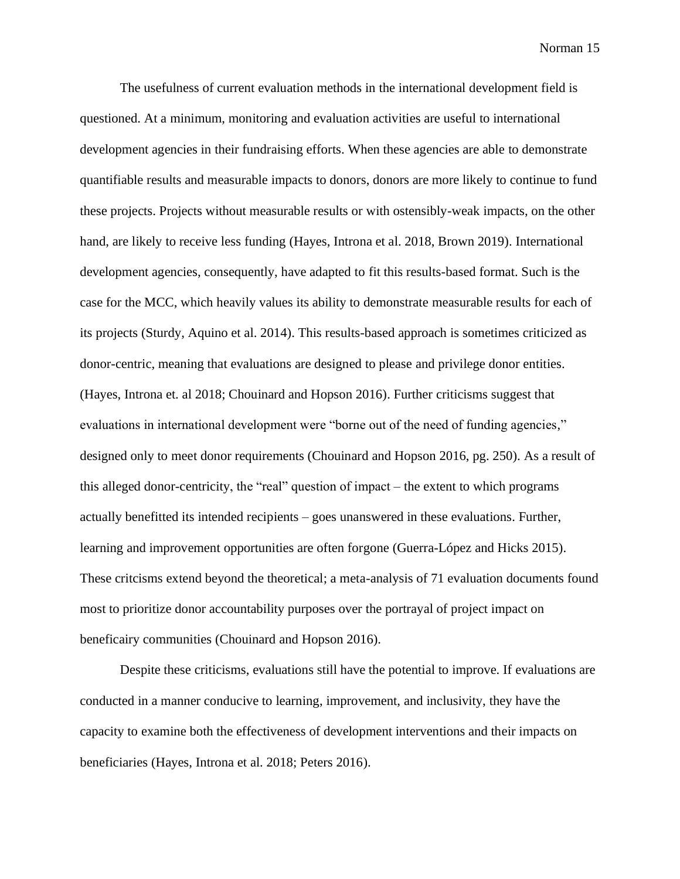The usefulness of current evaluation methods in the international development field is questioned. At a minimum, monitoring and evaluation activities are useful to international development agencies in their fundraising efforts. When these agencies are able to demonstrate quantifiable results and measurable impacts to donors, donors are more likely to continue to fund these projects. Projects without measurable results or with ostensibly-weak impacts, on the other hand, are likely to receive less funding (Hayes, Introna et al. 2018, Brown 2019). International development agencies, consequently, have adapted to fit this results-based format. Such is the case for the MCC, which heavily values its ability to demonstrate measurable results for each of its projects (Sturdy, Aquino et al. 2014). This results-based approach is sometimes criticized as donor-centric, meaning that evaluations are designed to please and privilege donor entities. (Hayes, Introna et. al 2018; Chouinard and Hopson 2016). Further criticisms suggest that evaluations in international development were "borne out of the need of funding agencies," designed only to meet donor requirements (Chouinard and Hopson 2016, pg. 250). As a result of this alleged donor-centricity, the "real" question of impact – the extent to which programs actually benefitted its intended recipients – goes unanswered in these evaluations. Further, learning and improvement opportunities are often forgone (Guerra-López and Hicks 2015). These critcisms extend beyond the theoretical; a meta-analysis of 71 evaluation documents found most to prioritize donor accountability purposes over the portrayal of project impact on beneficairy communities (Chouinard and Hopson 2016).

Despite these criticisms, evaluations still have the potential to improve. If evaluations are conducted in a manner conducive to learning, improvement, and inclusivity, they have the capacity to examine both the effectiveness of development interventions and their impacts on beneficiaries (Hayes, Introna et al. 2018; Peters 2016).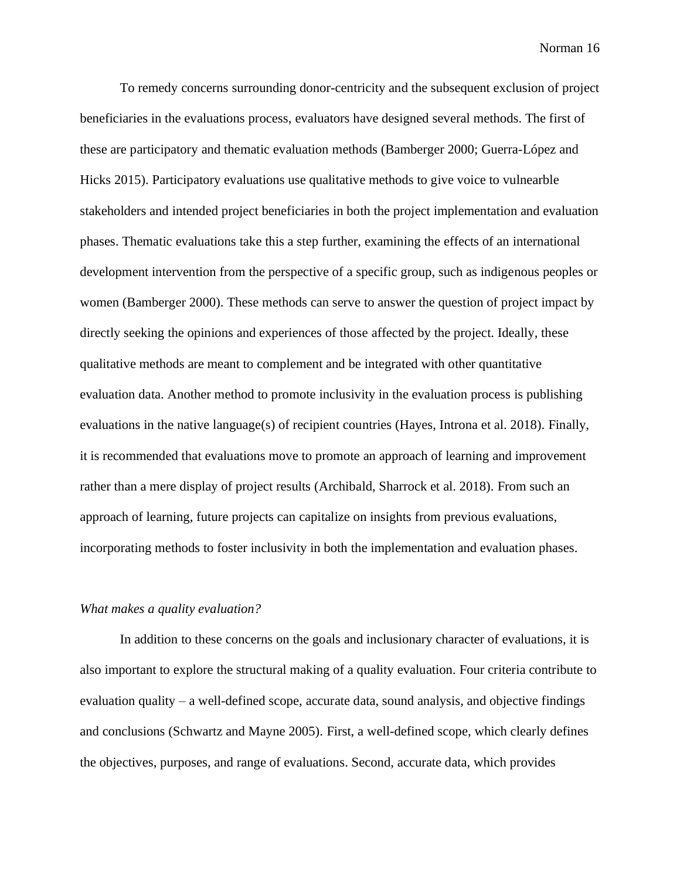To remedy concerns surrounding donor-centricity and the subsequent exclusion of project beneficiaries in the evaluations process, evaluators have designed several methods. The first of these are participatory and thematic evaluation methods (Bamberger 2000; Guerra-López and Hicks 2015). Participatory evaluations use qualitative methods to give voice to vulnearble stakeholders and intended project beneficiaries in both the project implementation and evaluation phases. Thematic evaluations take this a step further, examining the effects of an international development intervention from the perspective of a specific group, such as indigenous peoples or women (Bamberger 2000). These methods can serve to answer the question of project impact by directly seeking the opinions and experiences of those affected by the project. Ideally, these qualitative methods are meant to complement and be integrated with other quantitative evaluation data. Another method to promote inclusivity in the evaluation process is publishing evaluations in the native language(s) of recipient countries (Hayes, Introna et al. 2018). Finally, it is recommended that evaluations move to promote an approach of learning and improvement rather than a mere display of project results (Archibald, Sharrock et al. 2018). From such an approach of learning, future projects can capitalize on insights from previous evaluations, incorporating methods to foster inclusivity in both the implementation and evaluation phases.

### *What makes a quality evaluation?*

In addition to these concerns on the goals and inclusionary character of evaluations, it is also important to explore the structural making of a quality evaluation. Four criteria contribute to evaluation quality – a well-defined scope, accurate data, sound analysis, and objective findings and conclusions (Schwartz and Mayne 2005). First, a well-defined scope, which clearly defines the objectives, purposes, and range of evaluations. Second, accurate data, which provides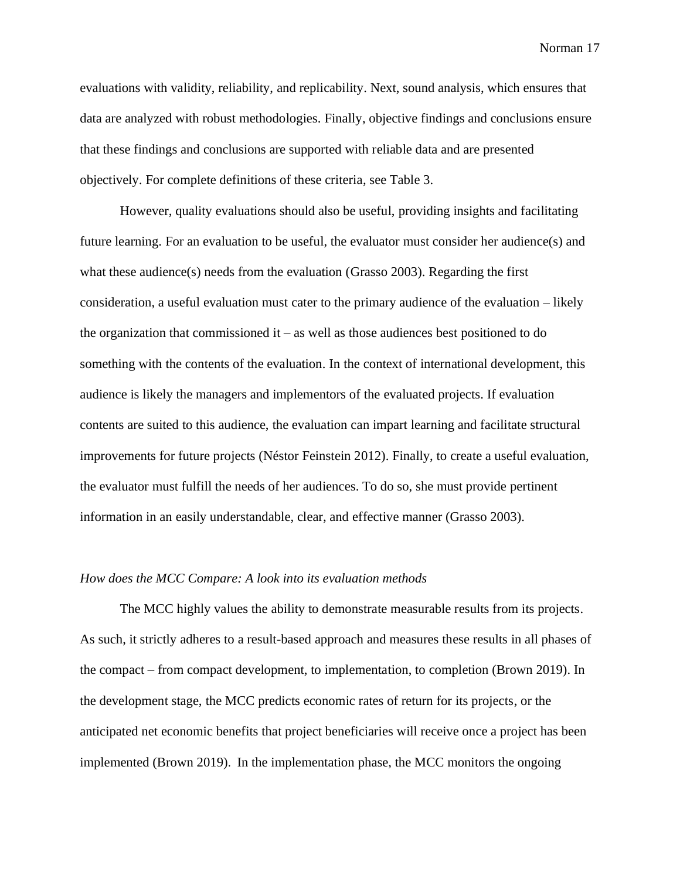evaluations with validity, reliability, and replicability. Next, sound analysis, which ensures that data are analyzed with robust methodologies. Finally, objective findings and conclusions ensure that these findings and conclusions are supported with reliable data and are presented objectively. For complete definitions of these criteria, see Table 3.

However, quality evaluations should also be useful, providing insights and facilitating future learning. For an evaluation to be useful, the evaluator must consider her audience(s) and what these audience(s) needs from the evaluation (Grasso 2003). Regarding the first consideration, a useful evaluation must cater to the primary audience of the evaluation – likely the organization that commissioned it – as well as those audiences best positioned to do something with the contents of the evaluation. In the context of international development, this audience is likely the managers and implementors of the evaluated projects. If evaluation contents are suited to this audience, the evaluation can impart learning and facilitate structural improvements for future projects (Néstor Feinstein 2012). Finally, to create a useful evaluation, the evaluator must fulfill the needs of her audiences. To do so, she must provide pertinent information in an easily understandable, clear, and effective manner (Grasso 2003).

#### *How does the MCC Compare: A look into its evaluation methods*

The MCC highly values the ability to demonstrate measurable results from its projects. As such, it strictly adheres to a result-based approach and measures these results in all phases of the compact – from compact development, to implementation, to completion (Brown 2019). In the development stage, the MCC predicts economic rates of return for its projects, or the anticipated net economic benefits that project beneficiaries will receive once a project has been implemented (Brown 2019). In the implementation phase, the MCC monitors the ongoing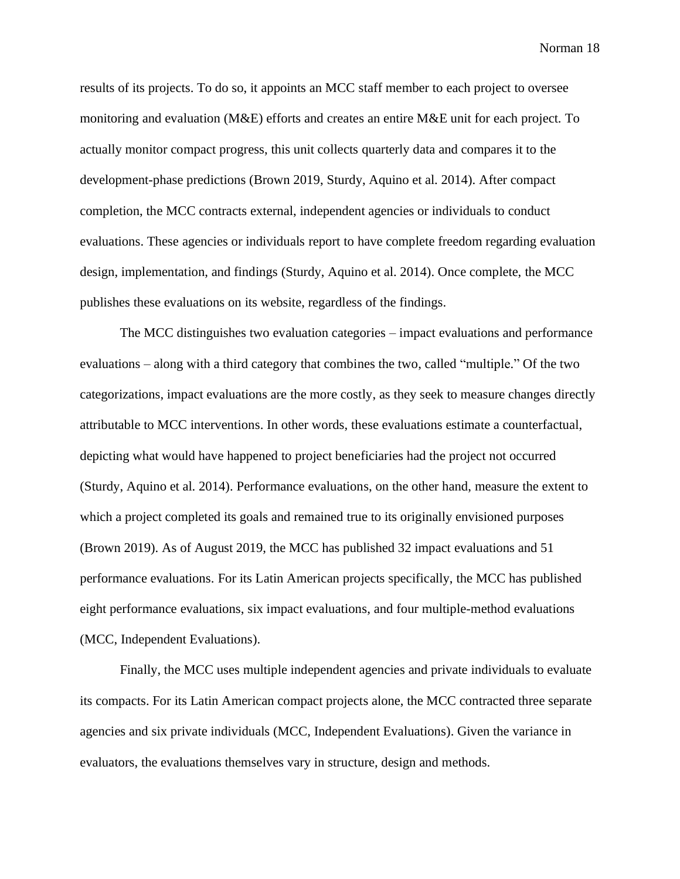results of its projects. To do so, it appoints an MCC staff member to each project to oversee monitoring and evaluation (M&E) efforts and creates an entire M&E unit for each project. To actually monitor compact progress, this unit collects quarterly data and compares it to the development-phase predictions (Brown 2019, Sturdy, Aquino et al. 2014). After compact completion, the MCC contracts external, independent agencies or individuals to conduct evaluations. These agencies or individuals report to have complete freedom regarding evaluation design, implementation, and findings (Sturdy, Aquino et al. 2014). Once complete, the MCC publishes these evaluations on its website, regardless of the findings.

The MCC distinguishes two evaluation categories – impact evaluations and performance evaluations – along with a third category that combines the two, called "multiple." Of the two categorizations, impact evaluations are the more costly, as they seek to measure changes directly attributable to MCC interventions. In other words, these evaluations estimate a counterfactual, depicting what would have happened to project beneficiaries had the project not occurred (Sturdy, Aquino et al. 2014). Performance evaluations, on the other hand, measure the extent to which a project completed its goals and remained true to its originally envisioned purposes (Brown 2019). As of August 2019, the MCC has published 32 impact evaluations and 51 performance evaluations. For its Latin American projects specifically, the MCC has published eight performance evaluations, six impact evaluations, and four multiple-method evaluations (MCC, Independent Evaluations).

Finally, the MCC uses multiple independent agencies and private individuals to evaluate its compacts. For its Latin American compact projects alone, the MCC contracted three separate agencies and six private individuals (MCC, Independent Evaluations). Given the variance in evaluators, the evaluations themselves vary in structure, design and methods.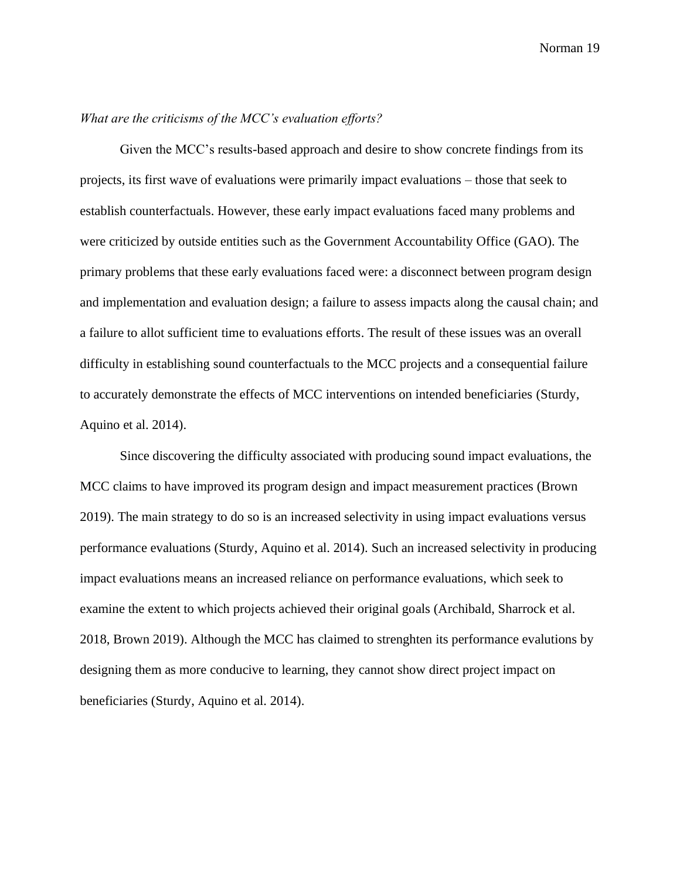## *What are the criticisms of the MCC's evaluation efforts?*

Given the MCC's results-based approach and desire to show concrete findings from its projects, its first wave of evaluations were primarily impact evaluations – those that seek to establish counterfactuals. However, these early impact evaluations faced many problems and were criticized by outside entities such as the Government Accountability Office (GAO). The primary problems that these early evaluations faced were: a disconnect between program design and implementation and evaluation design; a failure to assess impacts along the causal chain; and a failure to allot sufficient time to evaluations efforts. The result of these issues was an overall difficulty in establishing sound counterfactuals to the MCC projects and a consequential failure to accurately demonstrate the effects of MCC interventions on intended beneficiaries (Sturdy, Aquino et al. 2014).

Since discovering the difficulty associated with producing sound impact evaluations, the MCC claims to have improved its program design and impact measurement practices (Brown 2019). The main strategy to do so is an increased selectivity in using impact evaluations versus performance evaluations (Sturdy, Aquino et al. 2014). Such an increased selectivity in producing impact evaluations means an increased reliance on performance evaluations, which seek to examine the extent to which projects achieved their original goals (Archibald, Sharrock et al. 2018, Brown 2019). Although the MCC has claimed to strenghten its performance evalutions by designing them as more conducive to learning, they cannot show direct project impact on beneficiaries (Sturdy, Aquino et al. 2014).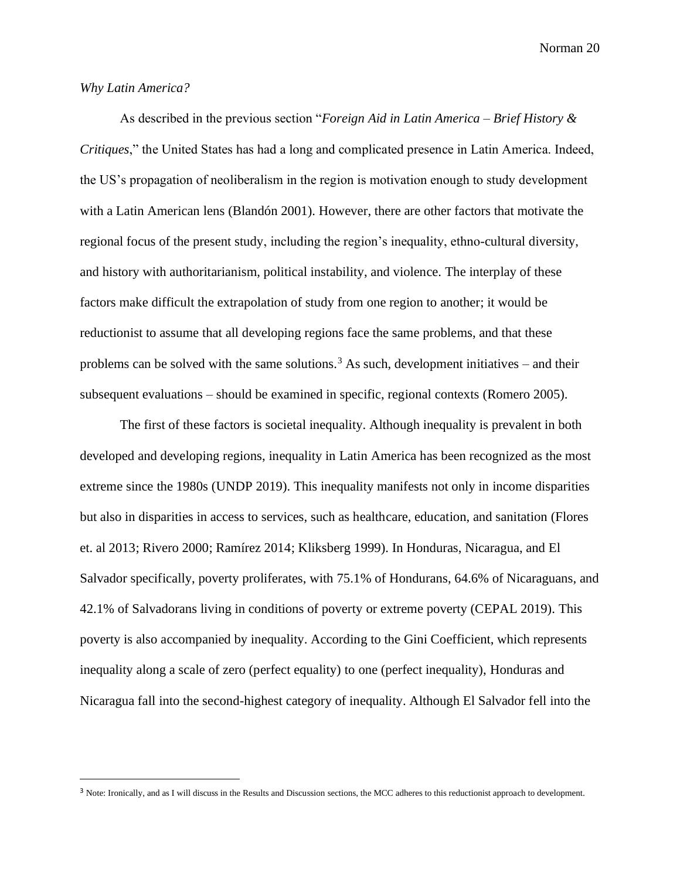## *Why Latin America?*

As described in the previous section "*Foreign Aid in Latin America – Brief History & Critiques*," the United States has had a long and complicated presence in Latin America. Indeed, the US's propagation of neoliberalism in the region is motivation enough to study development with a Latin American lens (Blandón 2001). However, there are other factors that motivate the regional focus of the present study, including the region's inequality, ethno-cultural diversity, and history with authoritarianism, political instability, and violence. The interplay of these factors make difficult the extrapolation of study from one region to another; it would be reductionist to assume that all developing regions face the same problems, and that these problems can be solved with the same solutions.<sup>3</sup> As such, development initiatives – and their subsequent evaluations – should be examined in specific, regional contexts (Romero 2005).

The first of these factors is societal inequality. Although inequality is prevalent in both developed and developing regions, inequality in Latin America has been recognized as the most extreme since the 1980s (UNDP 2019). This inequality manifests not only in income disparities but also in disparities in access to services, such as healthcare, education, and sanitation (Flores et. al 2013; Rivero 2000; Ramírez 2014; Kliksberg 1999). In Honduras, Nicaragua, and El Salvador specifically, poverty proliferates, with 75.1% of Hondurans, 64.6% of Nicaraguans, and 42.1% of Salvadorans living in conditions of poverty or extreme poverty (CEPAL 2019). This poverty is also accompanied by inequality. According to the Gini Coefficient, which represents inequality along a scale of zero (perfect equality) to one (perfect inequality), Honduras and Nicaragua fall into the second-highest category of inequality. Although El Salvador fell into the

<sup>&</sup>lt;sup>3</sup> Note: Ironically, and as I will discuss in the Results and Discussion sections, the MCC adheres to this reductionist approach to development.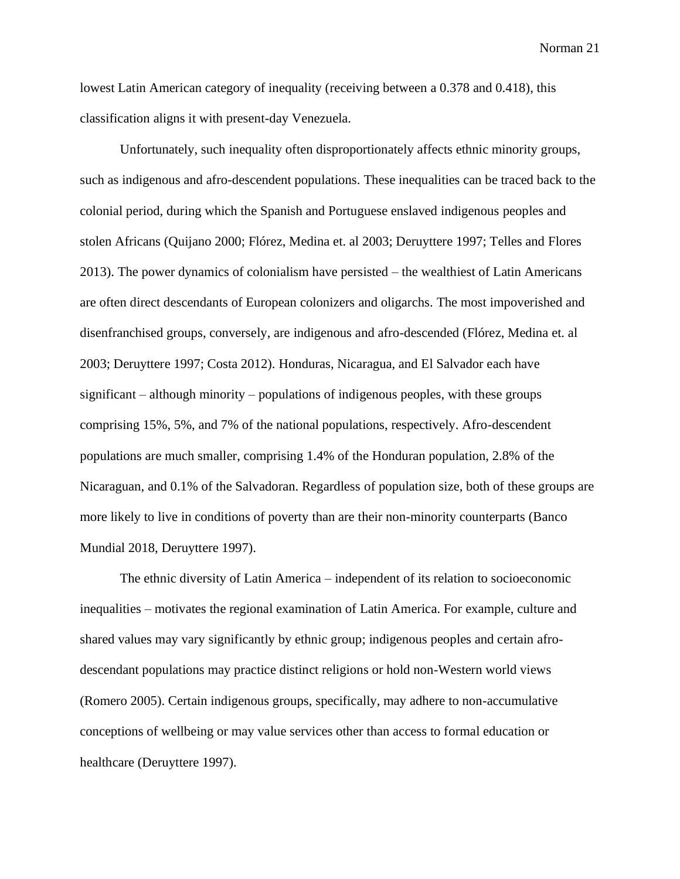lowest Latin American category of inequality (receiving between a 0.378 and 0.418), this classification aligns it with present-day Venezuela.

Unfortunately, such inequality often disproportionately affects ethnic minority groups, such as indigenous and afro-descendent populations. These inequalities can be traced back to the colonial period, during which the Spanish and Portuguese enslaved indigenous peoples and stolen Africans (Quijano 2000; Flórez, Medina et. al 2003; Deruyttere 1997; Telles and Flores 2013). The power dynamics of colonialism have persisted – the wealthiest of Latin Americans are often direct descendants of European colonizers and oligarchs. The most impoverished and disenfranchised groups, conversely, are indigenous and afro-descended (Flórez, Medina et. al 2003; Deruyttere 1997; Costa 2012). Honduras, Nicaragua, and El Salvador each have significant – although minority – populations of indigenous peoples, with these groups comprising 15%, 5%, and 7% of the national populations, respectively. Afro-descendent populations are much smaller, comprising 1.4% of the Honduran population, 2.8% of the Nicaraguan, and 0.1% of the Salvadoran. Regardless of population size, both of these groups are more likely to live in conditions of poverty than are their non-minority counterparts (Banco Mundial 2018, Deruyttere 1997).

The ethnic diversity of Latin America – independent of its relation to socioeconomic inequalities – motivates the regional examination of Latin America. For example, culture and shared values may vary significantly by ethnic group; indigenous peoples and certain afrodescendant populations may practice distinct religions or hold non-Western world views (Romero 2005). Certain indigenous groups, specifically, may adhere to non-accumulative conceptions of wellbeing or may value services other than access to formal education or healthcare (Deruyttere 1997).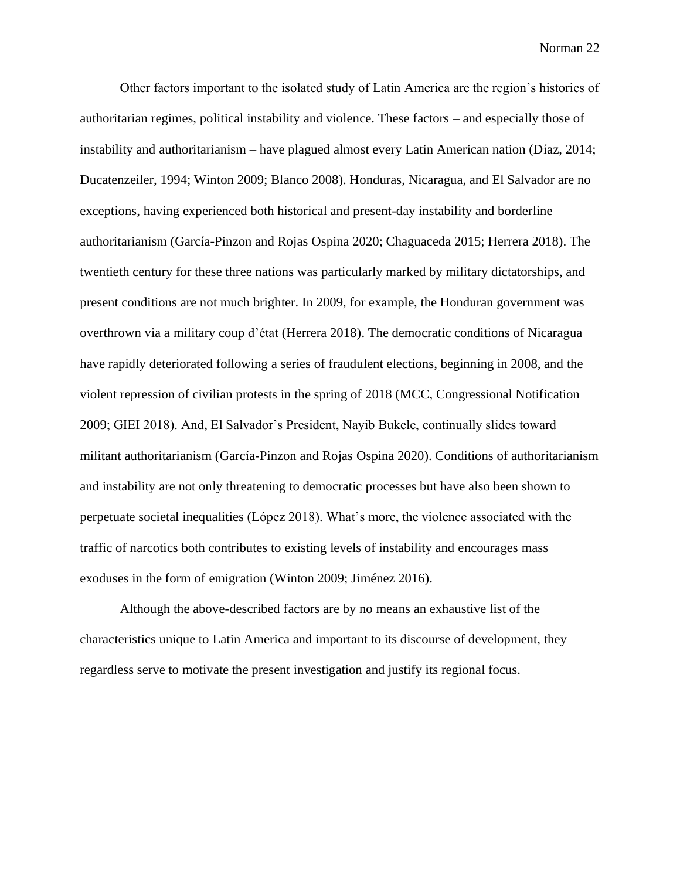Other factors important to the isolated study of Latin America are the region's histories of authoritarian regimes, political instability and violence. These factors – and especially those of instability and authoritarianism – have plagued almost every Latin American nation (Díaz, 2014; Ducatenzeiler, 1994; Winton 2009; Blanco 2008). Honduras, Nicaragua, and El Salvador are no exceptions, having experienced both historical and present-day instability and borderline authoritarianism (García-Pinzon and Rojas Ospina 2020; Chaguaceda 2015; Herrera 2018). The twentieth century for these three nations was particularly marked by military dictatorships, and present conditions are not much brighter. In 2009, for example, the Honduran government was overthrown via a military coup d'état (Herrera 2018). The democratic conditions of Nicaragua have rapidly deteriorated following a series of fraudulent elections, beginning in 2008, and the violent repression of civilian protests in the spring of 2018 (MCC, Congressional Notification 2009; GIEI 2018). And, El Salvador's President, Nayib Bukele, continually slides toward militant authoritarianism (García-Pinzon and Rojas Ospina 2020). Conditions of authoritarianism and instability are not only threatening to democratic processes but have also been shown to perpetuate societal inequalities (López 2018). What's more, the violence associated with the traffic of narcotics both contributes to existing levels of instability and encourages mass exoduses in the form of emigration (Winton 2009; Jiménez 2016).

Although the above-described factors are by no means an exhaustive list of the characteristics unique to Latin America and important to its discourse of development, they regardless serve to motivate the present investigation and justify its regional focus.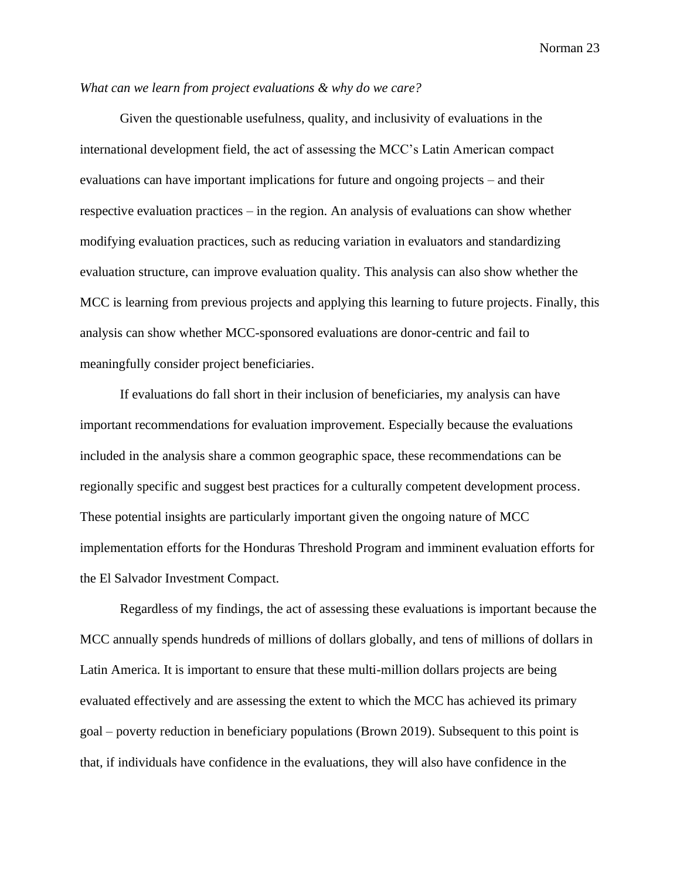## *What can we learn from project evaluations & why do we care?*

Given the questionable usefulness, quality, and inclusivity of evaluations in the international development field, the act of assessing the MCC's Latin American compact evaluations can have important implications for future and ongoing projects – and their respective evaluation practices – in the region. An analysis of evaluations can show whether modifying evaluation practices, such as reducing variation in evaluators and standardizing evaluation structure, can improve evaluation quality. This analysis can also show whether the MCC is learning from previous projects and applying this learning to future projects. Finally, this analysis can show whether MCC-sponsored evaluations are donor-centric and fail to meaningfully consider project beneficiaries.

If evaluations do fall short in their inclusion of beneficiaries, my analysis can have important recommendations for evaluation improvement. Especially because the evaluations included in the analysis share a common geographic space, these recommendations can be regionally specific and suggest best practices for a culturally competent development process. These potential insights are particularly important given the ongoing nature of MCC implementation efforts for the Honduras Threshold Program and imminent evaluation efforts for the El Salvador Investment Compact.

Regardless of my findings, the act of assessing these evaluations is important because the MCC annually spends hundreds of millions of dollars globally, and tens of millions of dollars in Latin America. It is important to ensure that these multi-million dollars projects are being evaluated effectively and are assessing the extent to which the MCC has achieved its primary goal – poverty reduction in beneficiary populations (Brown 2019). Subsequent to this point is that, if individuals have confidence in the evaluations, they will also have confidence in the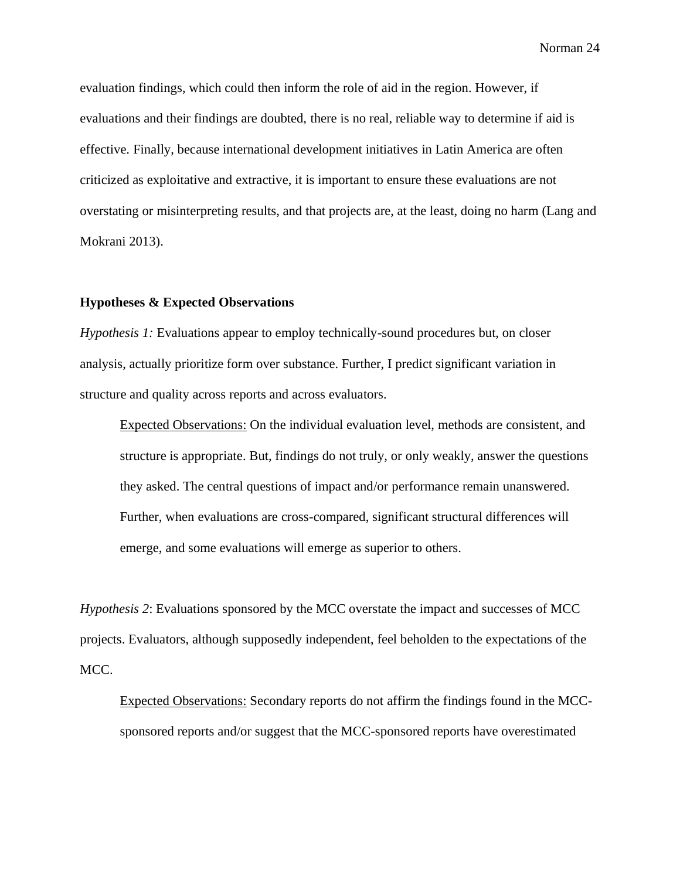evaluation findings, which could then inform the role of aid in the region. However, if evaluations and their findings are doubted, there is no real, reliable way to determine if aid is effective. Finally, because international development initiatives in Latin America are often criticized as exploitative and extractive, it is important to ensure these evaluations are not overstating or misinterpreting results, and that projects are, at the least, doing no harm (Lang and Mokrani 2013).

#### **Hypotheses & Expected Observations**

*Hypothesis 1:* Evaluations appear to employ technically-sound procedures but, on closer analysis, actually prioritize form over substance. Further, I predict significant variation in structure and quality across reports and across evaluators.

Expected Observations: On the individual evaluation level, methods are consistent, and structure is appropriate. But, findings do not truly, or only weakly, answer the questions they asked. The central questions of impact and/or performance remain unanswered. Further, when evaluations are cross-compared, significant structural differences will emerge, and some evaluations will emerge as superior to others.

*Hypothesis 2*: Evaluations sponsored by the MCC overstate the impact and successes of MCC projects. Evaluators, although supposedly independent, feel beholden to the expectations of the MCC.

Expected Observations: Secondary reports do not affirm the findings found in the MCCsponsored reports and/or suggest that the MCC-sponsored reports have overestimated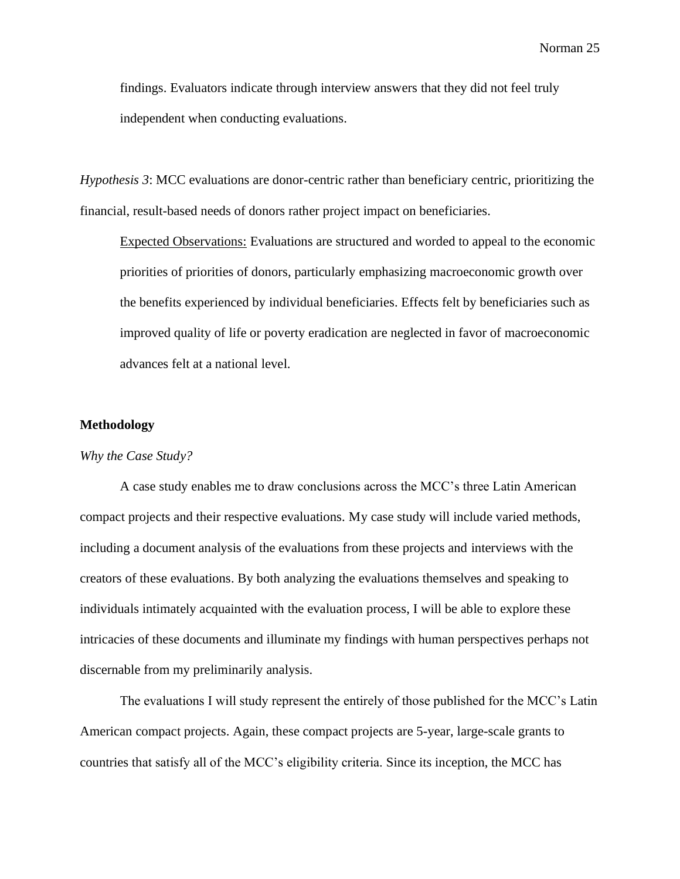findings. Evaluators indicate through interview answers that they did not feel truly independent when conducting evaluations.

*Hypothesis 3*: MCC evaluations are donor-centric rather than beneficiary centric, prioritizing the financial, result-based needs of donors rather project impact on beneficiaries.

Expected Observations: Evaluations are structured and worded to appeal to the economic priorities of priorities of donors, particularly emphasizing macroeconomic growth over the benefits experienced by individual beneficiaries. Effects felt by beneficiaries such as improved quality of life or poverty eradication are neglected in favor of macroeconomic advances felt at a national level.

#### **Methodology**

### *Why the Case Study?*

A case study enables me to draw conclusions across the MCC's three Latin American compact projects and their respective evaluations. My case study will include varied methods, including a document analysis of the evaluations from these projects and interviews with the creators of these evaluations. By both analyzing the evaluations themselves and speaking to individuals intimately acquainted with the evaluation process, I will be able to explore these intricacies of these documents and illuminate my findings with human perspectives perhaps not discernable from my preliminarily analysis.

The evaluations I will study represent the entirely of those published for the MCC's Latin American compact projects. Again, these compact projects are 5-year, large-scale grants to countries that satisfy all of the MCC's eligibility criteria. Since its inception, the MCC has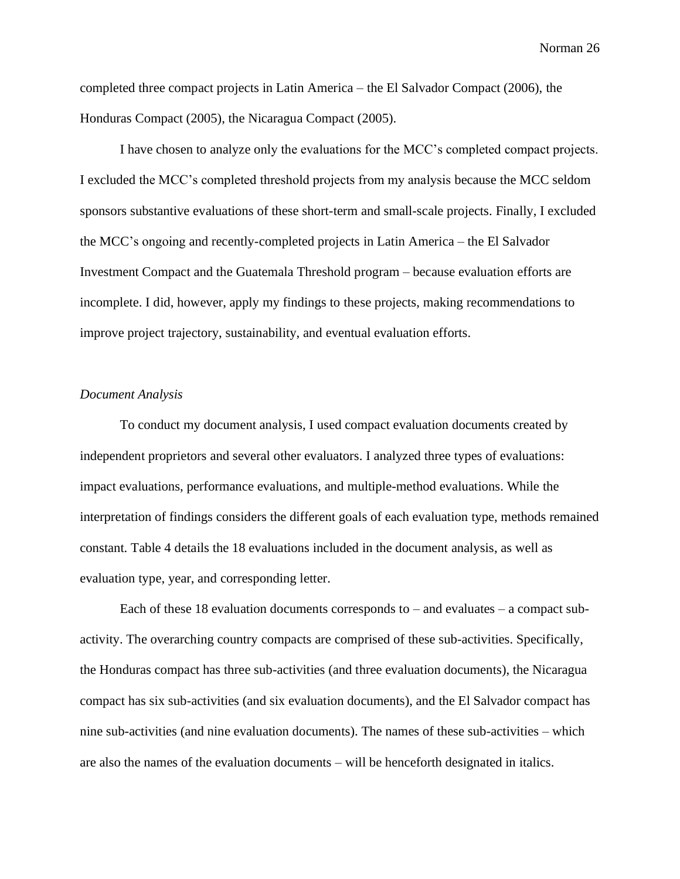completed three compact projects in Latin America – the El Salvador Compact (2006), the Honduras Compact (2005), the Nicaragua Compact (2005).

I have chosen to analyze only the evaluations for the MCC's completed compact projects. I excluded the MCC's completed threshold projects from my analysis because the MCC seldom sponsors substantive evaluations of these short-term and small-scale projects. Finally, I excluded the MCC's ongoing and recently-completed projects in Latin America – the El Salvador Investment Compact and the Guatemala Threshold program – because evaluation efforts are incomplete. I did, however, apply my findings to these projects, making recommendations to improve project trajectory, sustainability, and eventual evaluation efforts.

## *Document Analysis*

To conduct my document analysis, I used compact evaluation documents created by independent proprietors and several other evaluators. I analyzed three types of evaluations: impact evaluations, performance evaluations, and multiple-method evaluations. While the interpretation of findings considers the different goals of each evaluation type, methods remained constant. Table 4 details the 18 evaluations included in the document analysis, as well as evaluation type, year, and corresponding letter.

Each of these 18 evaluation documents corresponds to – and evaluates – a compact subactivity. The overarching country compacts are comprised of these sub-activities. Specifically, the Honduras compact has three sub-activities (and three evaluation documents), the Nicaragua compact has six sub-activities (and six evaluation documents), and the El Salvador compact has nine sub-activities (and nine evaluation documents). The names of these sub-activities – which are also the names of the evaluation documents – will be henceforth designated in italics.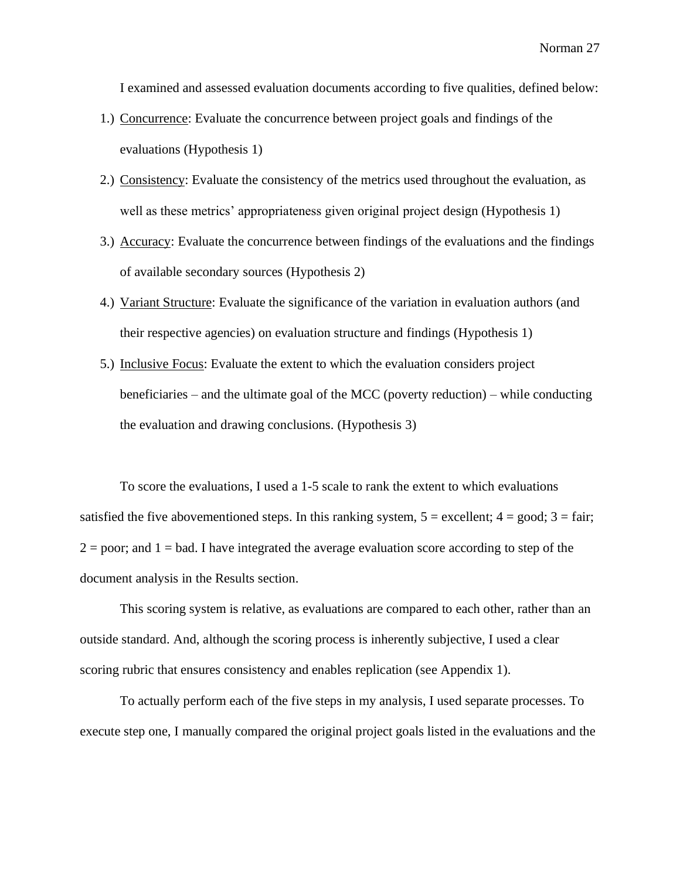I examined and assessed evaluation documents according to five qualities, defined below:

- 1.) Concurrence: Evaluate the concurrence between project goals and findings of the evaluations (Hypothesis 1)
- 2.) Consistency: Evaluate the consistency of the metrics used throughout the evaluation, as well as these metrics' appropriateness given original project design (Hypothesis 1)
- 3.) Accuracy: Evaluate the concurrence between findings of the evaluations and the findings of available secondary sources (Hypothesis 2)
- 4.) Variant Structure: Evaluate the significance of the variation in evaluation authors (and their respective agencies) on evaluation structure and findings (Hypothesis 1)
- 5.) Inclusive Focus: Evaluate the extent to which the evaluation considers project beneficiaries – and the ultimate goal of the MCC (poverty reduction) – while conducting the evaluation and drawing conclusions. (Hypothesis 3)

To score the evaluations, I used a 1-5 scale to rank the extent to which evaluations satisfied the five abovementioned steps. In this ranking system,  $5 =$  excellent;  $4 =$  good;  $3 =$  fair;  $2 =$  poor; and  $1 =$  bad. I have integrated the average evaluation score according to step of the document analysis in the Results section.

This scoring system is relative, as evaluations are compared to each other, rather than an outside standard. And, although the scoring process is inherently subjective, I used a clear scoring rubric that ensures consistency and enables replication (see Appendix 1).

To actually perform each of the five steps in my analysis, I used separate processes. To execute step one, I manually compared the original project goals listed in the evaluations and the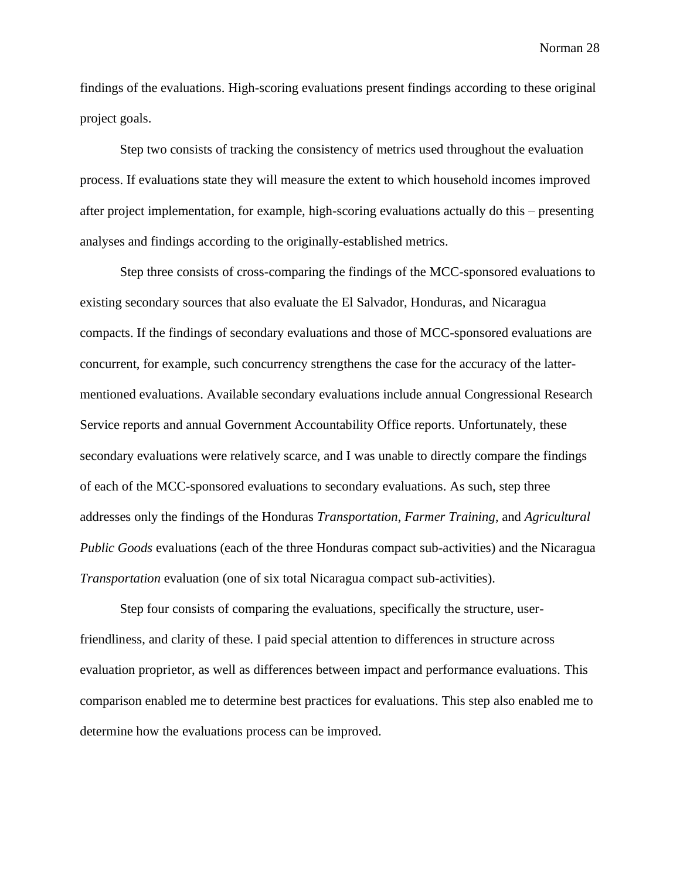findings of the evaluations. High-scoring evaluations present findings according to these original project goals.

Step two consists of tracking the consistency of metrics used throughout the evaluation process. If evaluations state they will measure the extent to which household incomes improved after project implementation, for example, high-scoring evaluations actually do this – presenting analyses and findings according to the originally-established metrics.

Step three consists of cross-comparing the findings of the MCC-sponsored evaluations to existing secondary sources that also evaluate the El Salvador, Honduras, and Nicaragua compacts. If the findings of secondary evaluations and those of MCC-sponsored evaluations are concurrent, for example, such concurrency strengthens the case for the accuracy of the lattermentioned evaluations. Available secondary evaluations include annual Congressional Research Service reports and annual Government Accountability Office reports. Unfortunately, these secondary evaluations were relatively scarce, and I was unable to directly compare the findings of each of the MCC-sponsored evaluations to secondary evaluations. As such, step three addresses only the findings of the Honduras *Transportation*, *Farmer Training*, and *Agricultural Public Goods* evaluations (each of the three Honduras compact sub-activities) and the Nicaragua *Transportation* evaluation (one of six total Nicaragua compact sub-activities).

Step four consists of comparing the evaluations, specifically the structure, userfriendliness, and clarity of these. I paid special attention to differences in structure across evaluation proprietor, as well as differences between impact and performance evaluations. This comparison enabled me to determine best practices for evaluations. This step also enabled me to determine how the evaluations process can be improved.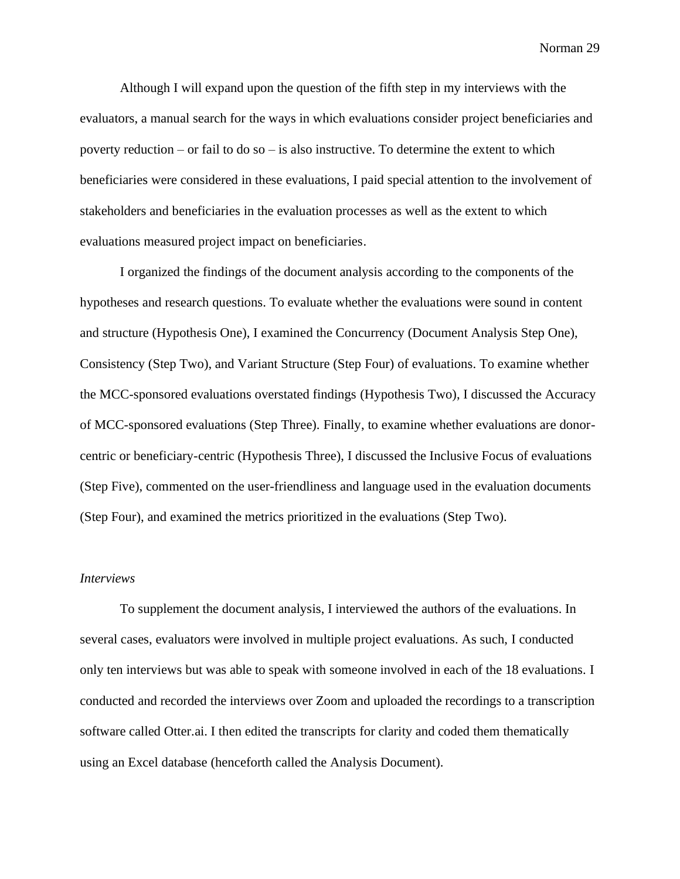Although I will expand upon the question of the fifth step in my interviews with the evaluators, a manual search for the ways in which evaluations consider project beneficiaries and poverty reduction – or fail to do so – is also instructive. To determine the extent to which beneficiaries were considered in these evaluations, I paid special attention to the involvement of stakeholders and beneficiaries in the evaluation processes as well as the extent to which evaluations measured project impact on beneficiaries.

I organized the findings of the document analysis according to the components of the hypotheses and research questions. To evaluate whether the evaluations were sound in content and structure (Hypothesis One), I examined the Concurrency (Document Analysis Step One), Consistency (Step Two), and Variant Structure (Step Four) of evaluations. To examine whether the MCC-sponsored evaluations overstated findings (Hypothesis Two), I discussed the Accuracy of MCC-sponsored evaluations (Step Three). Finally, to examine whether evaluations are donorcentric or beneficiary-centric (Hypothesis Three), I discussed the Inclusive Focus of evaluations (Step Five), commented on the user-friendliness and language used in the evaluation documents (Step Four), and examined the metrics prioritized in the evaluations (Step Two).

#### *Interviews*

To supplement the document analysis, I interviewed the authors of the evaluations. In several cases, evaluators were involved in multiple project evaluations. As such, I conducted only ten interviews but was able to speak with someone involved in each of the 18 evaluations. I conducted and recorded the interviews over Zoom and uploaded the recordings to a transcription software called Otter.ai. I then edited the transcripts for clarity and coded them thematically using an Excel database (henceforth called the Analysis Document).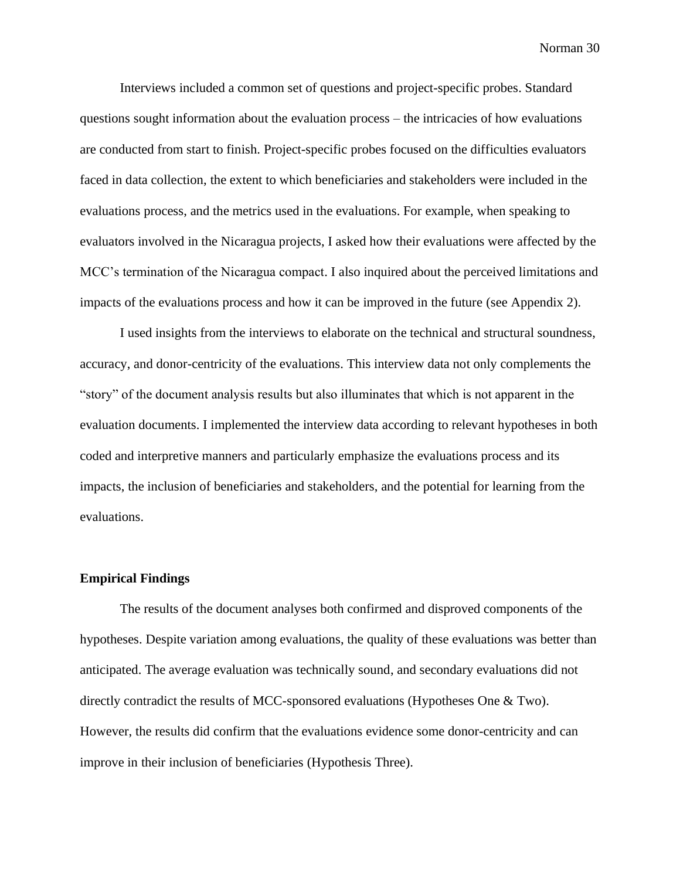Interviews included a common set of questions and project-specific probes. Standard questions sought information about the evaluation process – the intricacies of how evaluations are conducted from start to finish. Project-specific probes focused on the difficulties evaluators faced in data collection, the extent to which beneficiaries and stakeholders were included in the evaluations process, and the metrics used in the evaluations. For example, when speaking to evaluators involved in the Nicaragua projects, I asked how their evaluations were affected by the MCC's termination of the Nicaragua compact. I also inquired about the perceived limitations and impacts of the evaluations process and how it can be improved in the future (see Appendix 2).

I used insights from the interviews to elaborate on the technical and structural soundness, accuracy, and donor-centricity of the evaluations. This interview data not only complements the "story" of the document analysis results but also illuminates that which is not apparent in the evaluation documents. I implemented the interview data according to relevant hypotheses in both coded and interpretive manners and particularly emphasize the evaluations process and its impacts, the inclusion of beneficiaries and stakeholders, and the potential for learning from the evaluations.

## **Empirical Findings**

The results of the document analyses both confirmed and disproved components of the hypotheses. Despite variation among evaluations, the quality of these evaluations was better than anticipated. The average evaluation was technically sound, and secondary evaluations did not directly contradict the results of MCC-sponsored evaluations (Hypotheses One & Two). However, the results did confirm that the evaluations evidence some donor-centricity and can improve in their inclusion of beneficiaries (Hypothesis Three).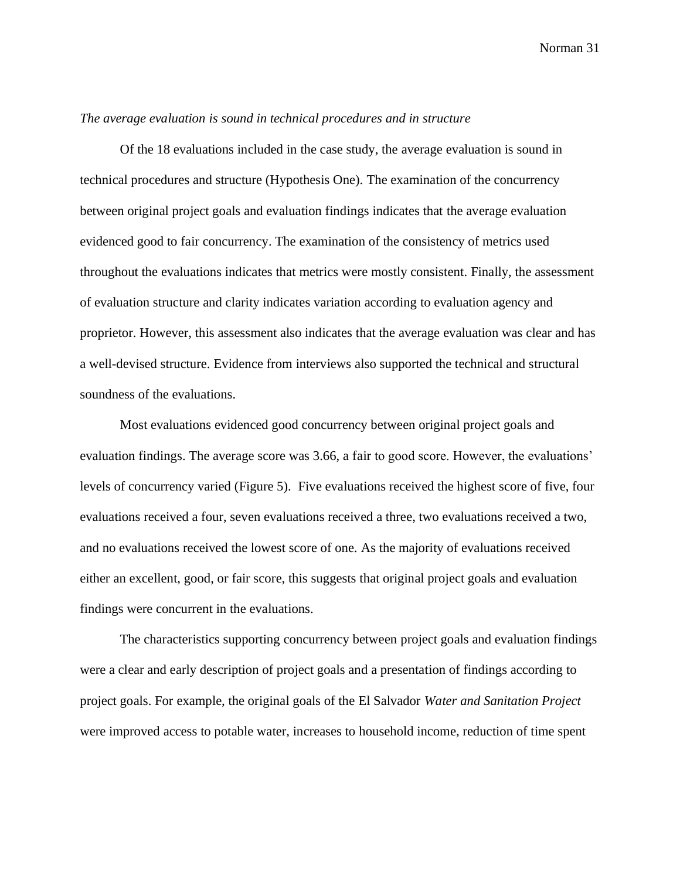#### *The average evaluation is sound in technical procedures and in structure*

Of the 18 evaluations included in the case study, the average evaluation is sound in technical procedures and structure (Hypothesis One). The examination of the concurrency between original project goals and evaluation findings indicates that the average evaluation evidenced good to fair concurrency. The examination of the consistency of metrics used throughout the evaluations indicates that metrics were mostly consistent. Finally, the assessment of evaluation structure and clarity indicates variation according to evaluation agency and proprietor. However, this assessment also indicates that the average evaluation was clear and has a well-devised structure. Evidence from interviews also supported the technical and structural soundness of the evaluations.

Most evaluations evidenced good concurrency between original project goals and evaluation findings. The average score was 3.66, a fair to good score. However, the evaluations' levels of concurrency varied (Figure 5). Five evaluations received the highest score of five, four evaluations received a four, seven evaluations received a three, two evaluations received a two, and no evaluations received the lowest score of one. As the majority of evaluations received either an excellent, good, or fair score, this suggests that original project goals and evaluation findings were concurrent in the evaluations.

The characteristics supporting concurrency between project goals and evaluation findings were a clear and early description of project goals and a presentation of findings according to project goals. For example, the original goals of the El Salvador *Water and Sanitation Project*  were improved access to potable water, increases to household income, reduction of time spent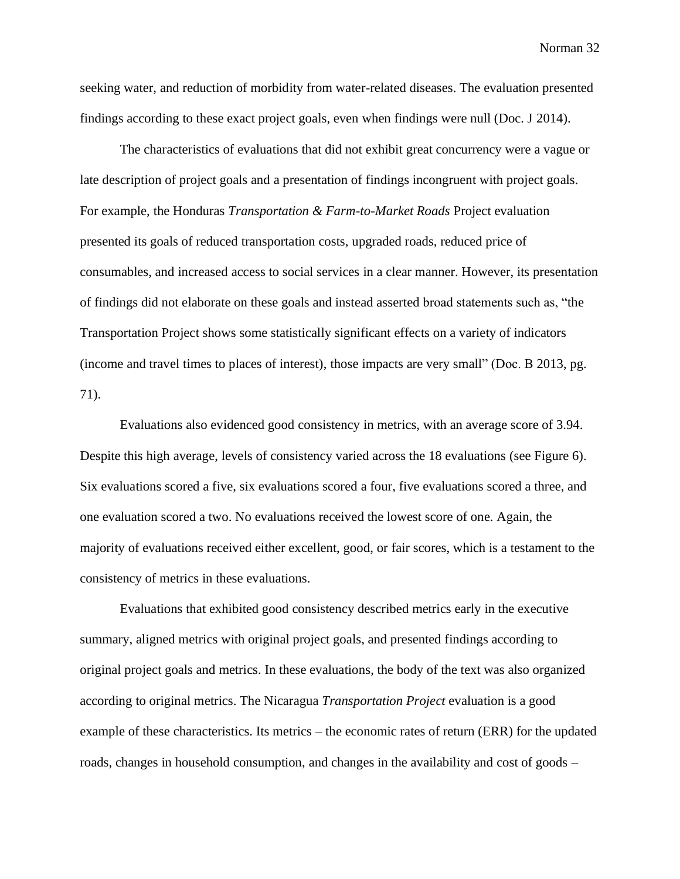seeking water, and reduction of morbidity from water-related diseases. The evaluation presented findings according to these exact project goals, even when findings were null (Doc. J 2014).

The characteristics of evaluations that did not exhibit great concurrency were a vague or late description of project goals and a presentation of findings incongruent with project goals. For example, the Honduras *Transportation & Farm-to-Market Roads* Project evaluation presented its goals of reduced transportation costs, upgraded roads, reduced price of consumables, and increased access to social services in a clear manner. However, its presentation of findings did not elaborate on these goals and instead asserted broad statements such as, "the Transportation Project shows some statistically significant effects on a variety of indicators (income and travel times to places of interest), those impacts are very small" (Doc. B 2013, pg. 71).

Evaluations also evidenced good consistency in metrics, with an average score of 3.94. Despite this high average, levels of consistency varied across the 18 evaluations (see Figure 6). Six evaluations scored a five, six evaluations scored a four, five evaluations scored a three, and one evaluation scored a two. No evaluations received the lowest score of one. Again, the majority of evaluations received either excellent, good, or fair scores, which is a testament to the consistency of metrics in these evaluations.

Evaluations that exhibited good consistency described metrics early in the executive summary, aligned metrics with original project goals, and presented findings according to original project goals and metrics. In these evaluations, the body of the text was also organized according to original metrics. The Nicaragua *Transportation Project* evaluation is a good example of these characteristics. Its metrics – the economic rates of return (ERR) for the updated roads, changes in household consumption, and changes in the availability and cost of goods –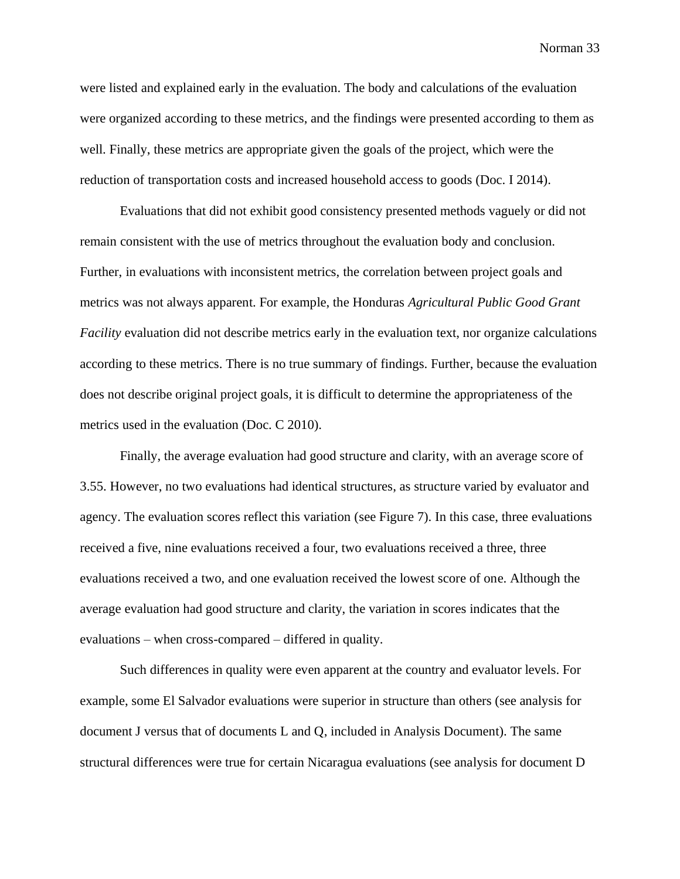were listed and explained early in the evaluation. The body and calculations of the evaluation were organized according to these metrics, and the findings were presented according to them as well. Finally, these metrics are appropriate given the goals of the project, which were the reduction of transportation costs and increased household access to goods (Doc. I 2014).

Evaluations that did not exhibit good consistency presented methods vaguely or did not remain consistent with the use of metrics throughout the evaluation body and conclusion. Further, in evaluations with inconsistent metrics, the correlation between project goals and metrics was not always apparent. For example, the Honduras *Agricultural Public Good Grant Facility* evaluation did not describe metrics early in the evaluation text, nor organize calculations according to these metrics. There is no true summary of findings. Further, because the evaluation does not describe original project goals, it is difficult to determine the appropriateness of the metrics used in the evaluation (Doc. C 2010).

Finally, the average evaluation had good structure and clarity, with an average score of 3.55. However, no two evaluations had identical structures, as structure varied by evaluator and agency. The evaluation scores reflect this variation (see Figure 7). In this case, three evaluations received a five, nine evaluations received a four, two evaluations received a three, three evaluations received a two, and one evaluation received the lowest score of one. Although the average evaluation had good structure and clarity, the variation in scores indicates that the evaluations – when cross-compared – differed in quality.

Such differences in quality were even apparent at the country and evaluator levels. For example, some El Salvador evaluations were superior in structure than others (see analysis for document J versus that of documents L and Q, included in Analysis Document). The same structural differences were true for certain Nicaragua evaluations (see analysis for document D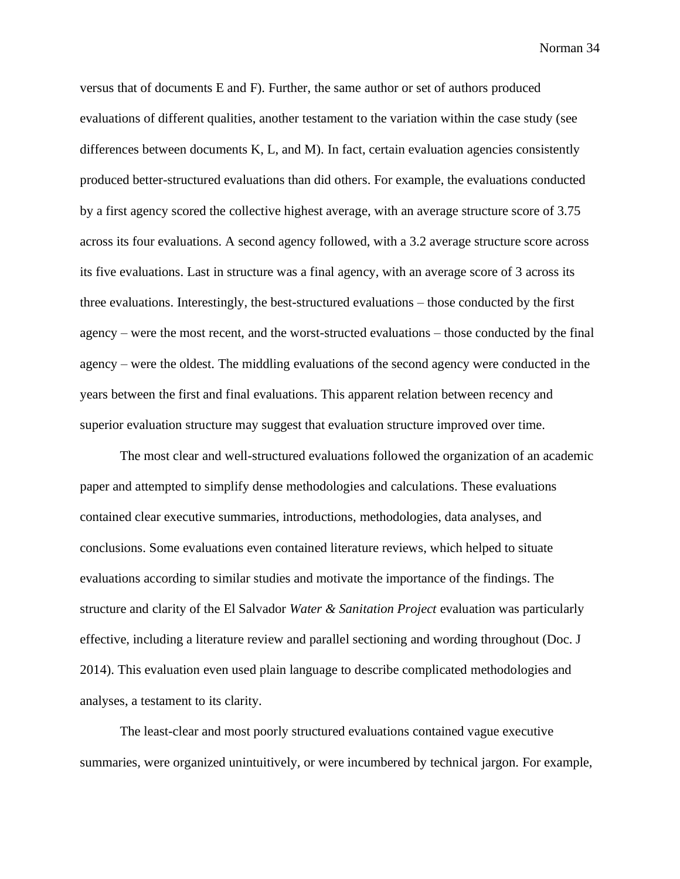versus that of documents E and F). Further, the same author or set of authors produced evaluations of different qualities, another testament to the variation within the case study (see differences between documents K, L, and M). In fact, certain evaluation agencies consistently produced better-structured evaluations than did others. For example, the evaluations conducted by a first agency scored the collective highest average, with an average structure score of 3.75 across its four evaluations. A second agency followed, with a 3.2 average structure score across its five evaluations. Last in structure was a final agency, with an average score of 3 across its three evaluations. Interestingly, the best-structured evaluations – those conducted by the first agency – were the most recent, and the worst-structed evaluations – those conducted by the final agency – were the oldest. The middling evaluations of the second agency were conducted in the years between the first and final evaluations. This apparent relation between recency and superior evaluation structure may suggest that evaluation structure improved over time.

The most clear and well-structured evaluations followed the organization of an academic paper and attempted to simplify dense methodologies and calculations. These evaluations contained clear executive summaries, introductions, methodologies, data analyses, and conclusions. Some evaluations even contained literature reviews, which helped to situate evaluations according to similar studies and motivate the importance of the findings. The structure and clarity of the El Salvador *Water & Sanitation Project* evaluation was particularly effective, including a literature review and parallel sectioning and wording throughout (Doc. J 2014). This evaluation even used plain language to describe complicated methodologies and analyses, a testament to its clarity.

The least-clear and most poorly structured evaluations contained vague executive summaries, were organized unintuitively, or were incumbered by technical jargon. For example,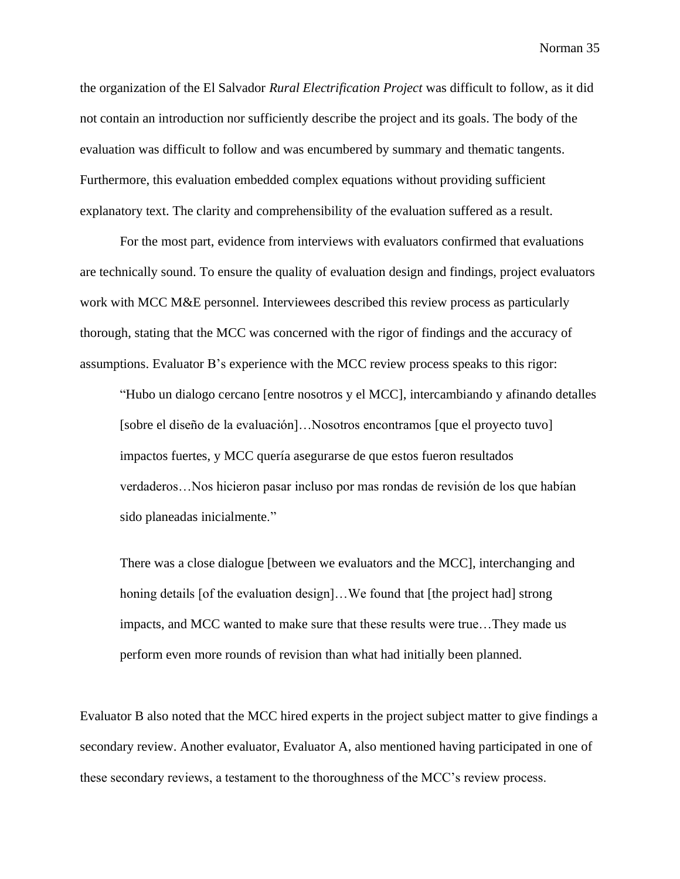the organization of the El Salvador *Rural Electrification Project* was difficult to follow, as it did not contain an introduction nor sufficiently describe the project and its goals. The body of the evaluation was difficult to follow and was encumbered by summary and thematic tangents. Furthermore, this evaluation embedded complex equations without providing sufficient explanatory text. The clarity and comprehensibility of the evaluation suffered as a result.

For the most part, evidence from interviews with evaluators confirmed that evaluations are technically sound. To ensure the quality of evaluation design and findings, project evaluators work with MCC M&E personnel. Interviewees described this review process as particularly thorough, stating that the MCC was concerned with the rigor of findings and the accuracy of assumptions. Evaluator B's experience with the MCC review process speaks to this rigor:

"Hubo un dialogo cercano [entre nosotros y el MCC], intercambiando y afinando detalles [sobre el diseño de la evaluación]…Nosotros encontramos [que el proyecto tuvo] impactos fuertes, y MCC quería asegurarse de que estos fueron resultados verdaderos…Nos hicieron pasar incluso por mas rondas de revisión de los que habían sido planeadas inicialmente."

There was a close dialogue [between we evaluators and the MCC], interchanging and honing details [of the evaluation design]...We found that [the project had] strong impacts, and MCC wanted to make sure that these results were true…They made us perform even more rounds of revision than what had initially been planned.

Evaluator B also noted that the MCC hired experts in the project subject matter to give findings a secondary review. Another evaluator, Evaluator A, also mentioned having participated in one of these secondary reviews, a testament to the thoroughness of the MCC's review process.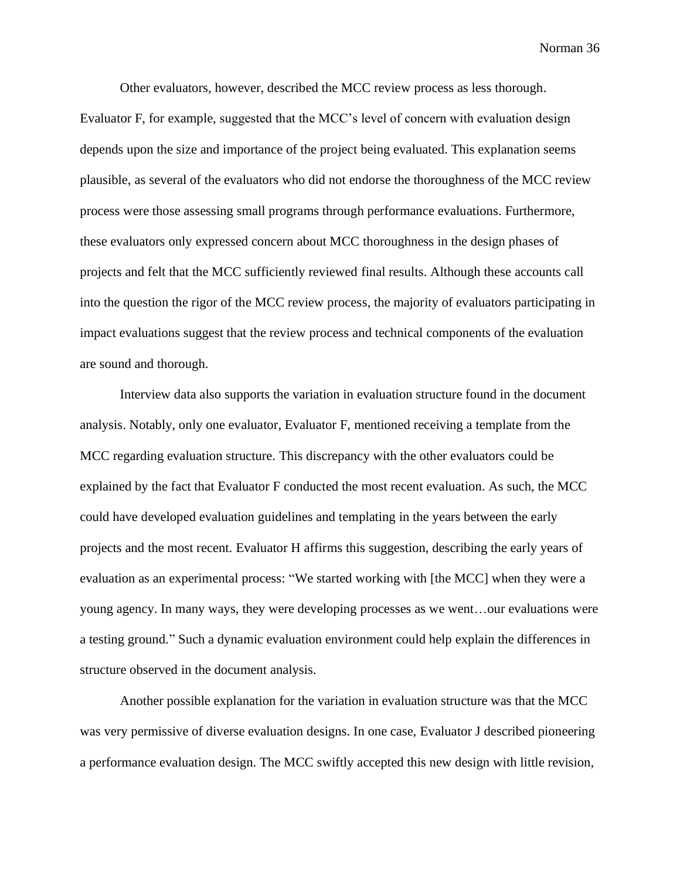Other evaluators, however, described the MCC review process as less thorough.

Evaluator F, for example, suggested that the MCC's level of concern with evaluation design depends upon the size and importance of the project being evaluated. This explanation seems plausible, as several of the evaluators who did not endorse the thoroughness of the MCC review process were those assessing small programs through performance evaluations. Furthermore, these evaluators only expressed concern about MCC thoroughness in the design phases of projects and felt that the MCC sufficiently reviewed final results. Although these accounts call into the question the rigor of the MCC review process, the majority of evaluators participating in impact evaluations suggest that the review process and technical components of the evaluation are sound and thorough.

Interview data also supports the variation in evaluation structure found in the document analysis. Notably, only one evaluator, Evaluator F, mentioned receiving a template from the MCC regarding evaluation structure. This discrepancy with the other evaluators could be explained by the fact that Evaluator F conducted the most recent evaluation. As such, the MCC could have developed evaluation guidelines and templating in the years between the early projects and the most recent. Evaluator H affirms this suggestion, describing the early years of evaluation as an experimental process: "We started working with [the MCC] when they were a young agency. In many ways, they were developing processes as we went…our evaluations were a testing ground." Such a dynamic evaluation environment could help explain the differences in structure observed in the document analysis.

Another possible explanation for the variation in evaluation structure was that the MCC was very permissive of diverse evaluation designs. In one case, Evaluator J described pioneering a performance evaluation design. The MCC swiftly accepted this new design with little revision,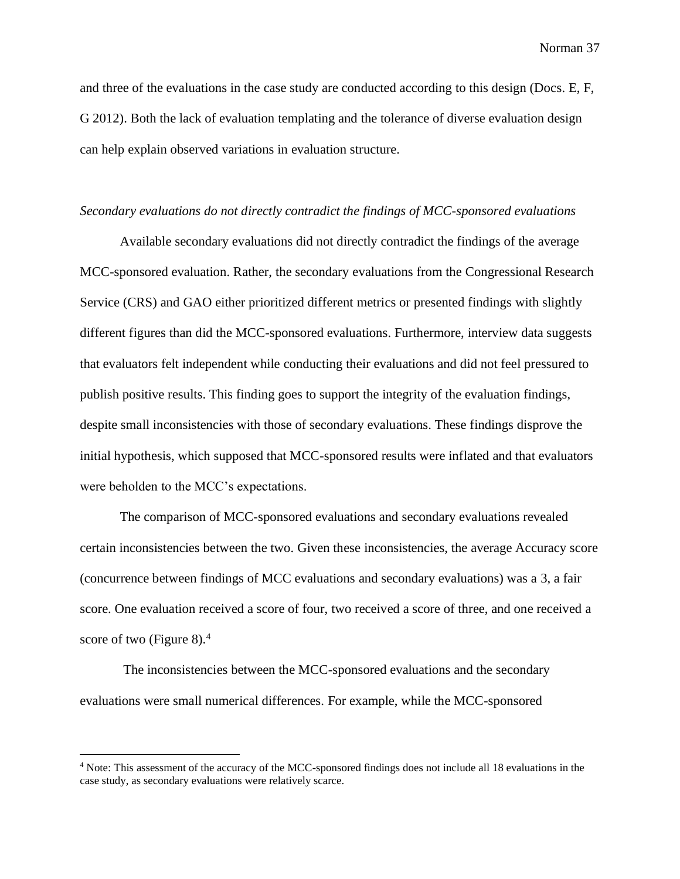and three of the evaluations in the case study are conducted according to this design (Docs. E, F, G 2012). Both the lack of evaluation templating and the tolerance of diverse evaluation design can help explain observed variations in evaluation structure.

#### *Secondary evaluations do not directly contradict the findings of MCC-sponsored evaluations*

Available secondary evaluations did not directly contradict the findings of the average MCC-sponsored evaluation. Rather, the secondary evaluations from the Congressional Research Service (CRS) and GAO either prioritized different metrics or presented findings with slightly different figures than did the MCC-sponsored evaluations. Furthermore, interview data suggests that evaluators felt independent while conducting their evaluations and did not feel pressured to publish positive results. This finding goes to support the integrity of the evaluation findings, despite small inconsistencies with those of secondary evaluations. These findings disprove the initial hypothesis, which supposed that MCC-sponsored results were inflated and that evaluators were beholden to the MCC's expectations.

The comparison of MCC-sponsored evaluations and secondary evaluations revealed certain inconsistencies between the two. Given these inconsistencies, the average Accuracy score (concurrence between findings of MCC evaluations and secondary evaluations) was a 3, a fair score. One evaluation received a score of four, two received a score of three, and one received a score of two (Figure 8). $4$ 

The inconsistencies between the MCC-sponsored evaluations and the secondary evaluations were small numerical differences. For example, while the MCC-sponsored

<sup>4</sup> Note: This assessment of the accuracy of the MCC-sponsored findings does not include all 18 evaluations in the case study, as secondary evaluations were relatively scarce.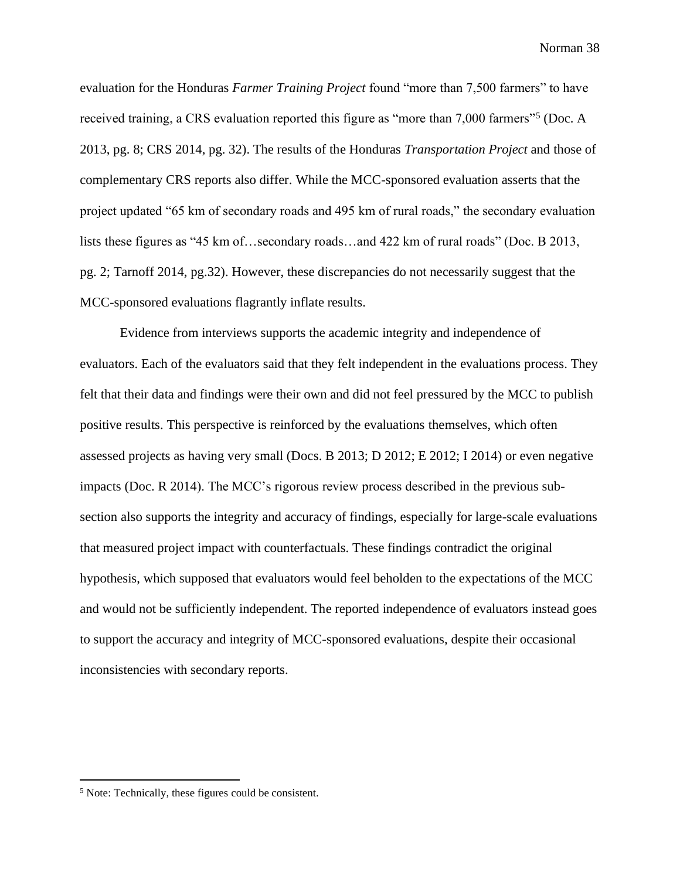evaluation for the Honduras *Farmer Training Project* found "more than 7,500 farmers" to have received training, a CRS evaluation reported this figure as "more than 7,000 farmers"<sup>5</sup> (Doc. A 2013, pg. 8; CRS 2014, pg. 32). The results of the Honduras *Transportation Project* and those of complementary CRS reports also differ. While the MCC-sponsored evaluation asserts that the project updated "65 km of secondary roads and 495 km of rural roads," the secondary evaluation lists these figures as "45 km of…secondary roads…and 422 km of rural roads" (Doc. B 2013, pg. 2; Tarnoff 2014, pg.32). However, these discrepancies do not necessarily suggest that the MCC-sponsored evaluations flagrantly inflate results.

Evidence from interviews supports the academic integrity and independence of evaluators. Each of the evaluators said that they felt independent in the evaluations process. They felt that their data and findings were their own and did not feel pressured by the MCC to publish positive results. This perspective is reinforced by the evaluations themselves, which often assessed projects as having very small (Docs. B 2013; D 2012; E 2012; I 2014) or even negative impacts (Doc. R 2014). The MCC's rigorous review process described in the previous subsection also supports the integrity and accuracy of findings, especially for large-scale evaluations that measured project impact with counterfactuals. These findings contradict the original hypothesis, which supposed that evaluators would feel beholden to the expectations of the MCC and would not be sufficiently independent. The reported independence of evaluators instead goes to support the accuracy and integrity of MCC-sponsored evaluations, despite their occasional inconsistencies with secondary reports.

<sup>5</sup> Note: Technically, these figures could be consistent.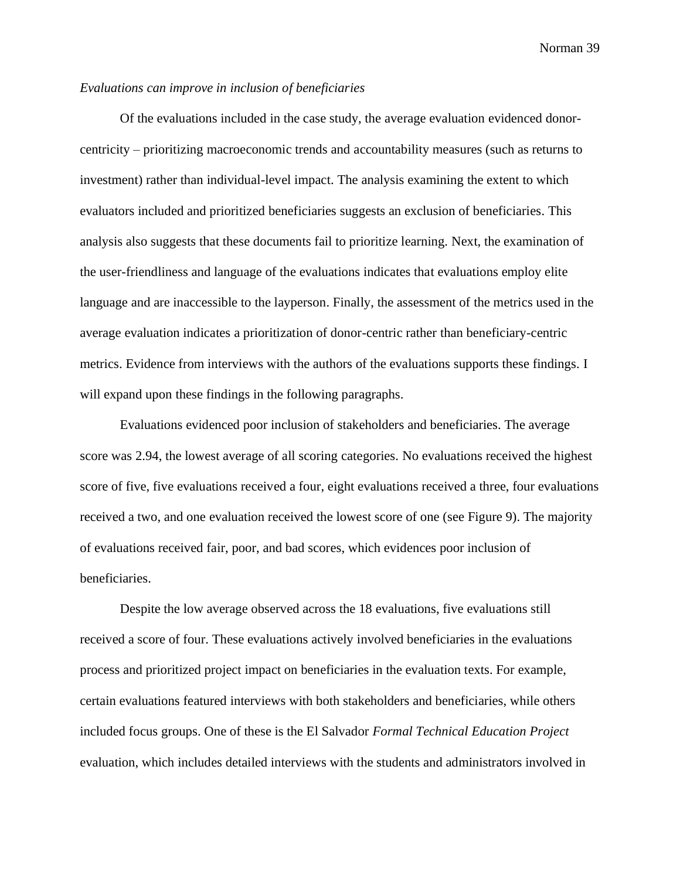## *Evaluations can improve in inclusion of beneficiaries*

Of the evaluations included in the case study, the average evaluation evidenced donorcentricity – prioritizing macroeconomic trends and accountability measures (such as returns to investment) rather than individual-level impact. The analysis examining the extent to which evaluators included and prioritized beneficiaries suggests an exclusion of beneficiaries. This analysis also suggests that these documents fail to prioritize learning. Next, the examination of the user-friendliness and language of the evaluations indicates that evaluations employ elite language and are inaccessible to the layperson. Finally, the assessment of the metrics used in the average evaluation indicates a prioritization of donor-centric rather than beneficiary-centric metrics. Evidence from interviews with the authors of the evaluations supports these findings. I will expand upon these findings in the following paragraphs.

Evaluations evidenced poor inclusion of stakeholders and beneficiaries. The average score was 2.94, the lowest average of all scoring categories. No evaluations received the highest score of five, five evaluations received a four, eight evaluations received a three, four evaluations received a two, and one evaluation received the lowest score of one (see Figure 9). The majority of evaluations received fair, poor, and bad scores, which evidences poor inclusion of beneficiaries.

Despite the low average observed across the 18 evaluations, five evaluations still received a score of four. These evaluations actively involved beneficiaries in the evaluations process and prioritized project impact on beneficiaries in the evaluation texts. For example, certain evaluations featured interviews with both stakeholders and beneficiaries, while others included focus groups. One of these is the El Salvador *Formal Technical Education Project*  evaluation, which includes detailed interviews with the students and administrators involved in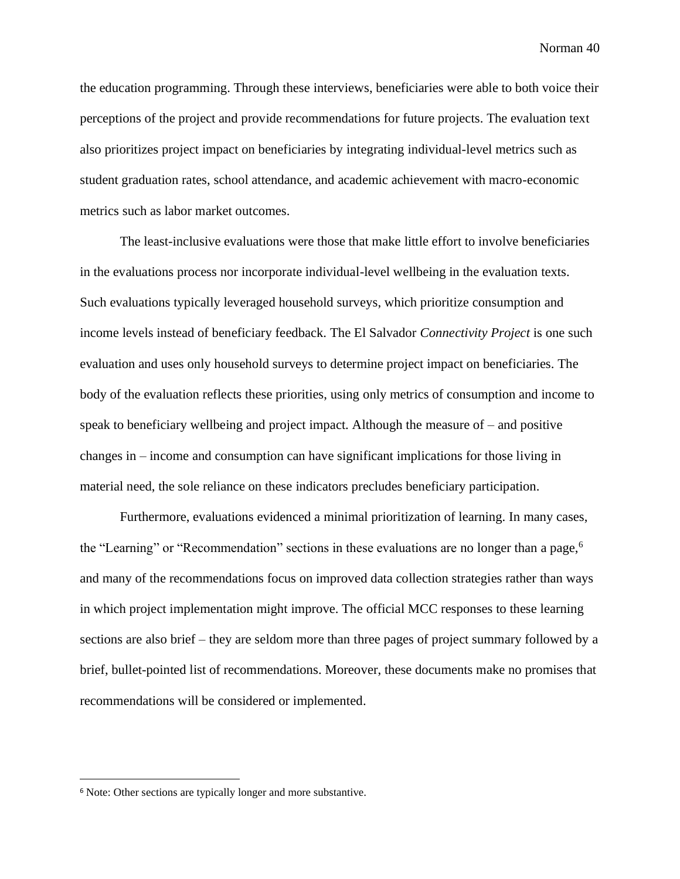the education programming. Through these interviews, beneficiaries were able to both voice their perceptions of the project and provide recommendations for future projects. The evaluation text also prioritizes project impact on beneficiaries by integrating individual-level metrics such as student graduation rates, school attendance, and academic achievement with macro-economic metrics such as labor market outcomes.

The least-inclusive evaluations were those that make little effort to involve beneficiaries in the evaluations process nor incorporate individual-level wellbeing in the evaluation texts. Such evaluations typically leveraged household surveys, which prioritize consumption and income levels instead of beneficiary feedback. The El Salvador *Connectivity Project* is one such evaluation and uses only household surveys to determine project impact on beneficiaries. The body of the evaluation reflects these priorities, using only metrics of consumption and income to speak to beneficiary wellbeing and project impact. Although the measure of – and positive changes in – income and consumption can have significant implications for those living in material need, the sole reliance on these indicators precludes beneficiary participation.

Furthermore, evaluations evidenced a minimal prioritization of learning. In many cases, the "Learning" or "Recommendation" sections in these evaluations are no longer than a page,<sup>6</sup> and many of the recommendations focus on improved data collection strategies rather than ways in which project implementation might improve. The official MCC responses to these learning sections are also brief – they are seldom more than three pages of project summary followed by a brief, bullet-pointed list of recommendations. Moreover, these documents make no promises that recommendations will be considered or implemented.

<sup>6</sup> Note: Other sections are typically longer and more substantive.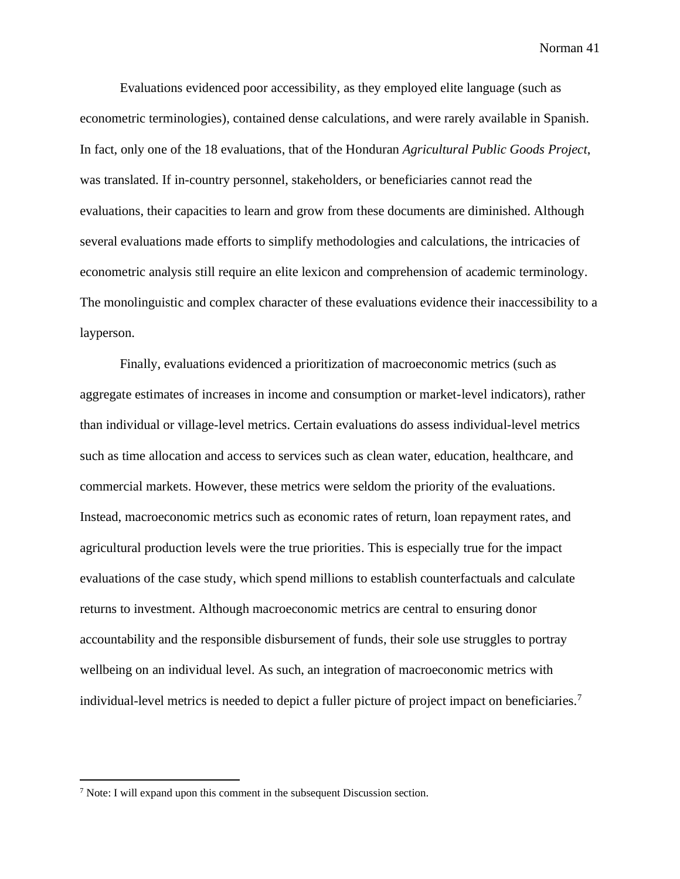Evaluations evidenced poor accessibility, as they employed elite language (such as econometric terminologies), contained dense calculations, and were rarely available in Spanish. In fact, only one of the 18 evaluations, that of the Honduran *Agricultural Public Goods Project*, was translated. If in-country personnel, stakeholders, or beneficiaries cannot read the evaluations, their capacities to learn and grow from these documents are diminished. Although several evaluations made efforts to simplify methodologies and calculations, the intricacies of econometric analysis still require an elite lexicon and comprehension of academic terminology. The monolinguistic and complex character of these evaluations evidence their inaccessibility to a layperson.

Finally, evaluations evidenced a prioritization of macroeconomic metrics (such as aggregate estimates of increases in income and consumption or market-level indicators), rather than individual or village-level metrics. Certain evaluations do assess individual-level metrics such as time allocation and access to services such as clean water, education, healthcare, and commercial markets. However, these metrics were seldom the priority of the evaluations. Instead, macroeconomic metrics such as economic rates of return, loan repayment rates, and agricultural production levels were the true priorities. This is especially true for the impact evaluations of the case study, which spend millions to establish counterfactuals and calculate returns to investment. Although macroeconomic metrics are central to ensuring donor accountability and the responsible disbursement of funds, their sole use struggles to portray wellbeing on an individual level. As such, an integration of macroeconomic metrics with individual-level metrics is needed to depict a fuller picture of project impact on beneficiaries.<sup>7</sup>

<sup>7</sup> Note: I will expand upon this comment in the subsequent Discussion section.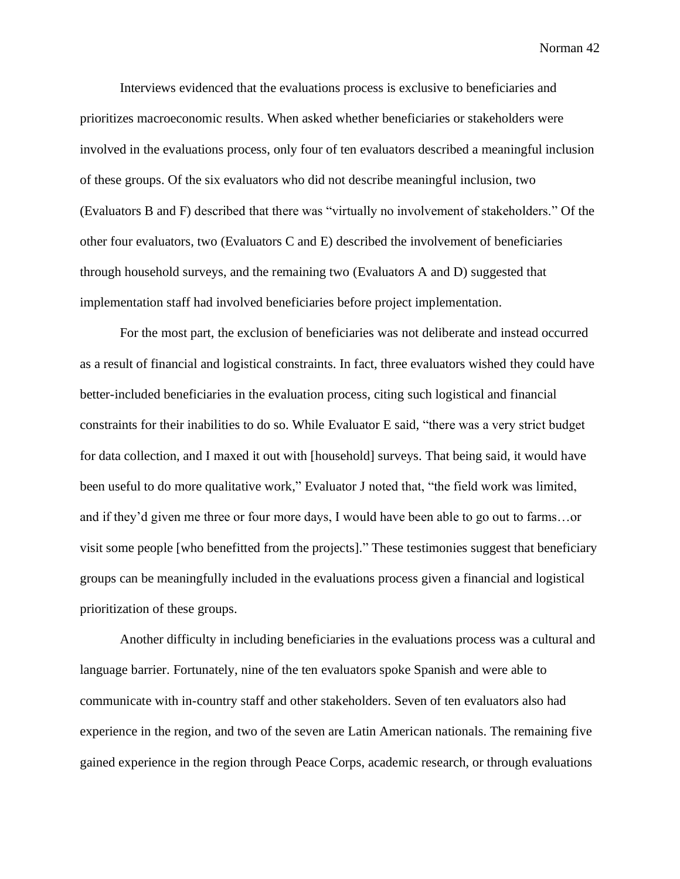Interviews evidenced that the evaluations process is exclusive to beneficiaries and prioritizes macroeconomic results. When asked whether beneficiaries or stakeholders were involved in the evaluations process, only four of ten evaluators described a meaningful inclusion of these groups. Of the six evaluators who did not describe meaningful inclusion, two (Evaluators B and F) described that there was "virtually no involvement of stakeholders." Of the other four evaluators, two (Evaluators C and E) described the involvement of beneficiaries through household surveys, and the remaining two (Evaluators A and D) suggested that implementation staff had involved beneficiaries before project implementation.

For the most part, the exclusion of beneficiaries was not deliberate and instead occurred as a result of financial and logistical constraints. In fact, three evaluators wished they could have better-included beneficiaries in the evaluation process, citing such logistical and financial constraints for their inabilities to do so. While Evaluator E said, "there was a very strict budget for data collection, and I maxed it out with [household] surveys. That being said, it would have been useful to do more qualitative work," Evaluator J noted that, "the field work was limited, and if they'd given me three or four more days, I would have been able to go out to farms…or visit some people [who benefitted from the projects]." These testimonies suggest that beneficiary groups can be meaningfully included in the evaluations process given a financial and logistical prioritization of these groups.

Another difficulty in including beneficiaries in the evaluations process was a cultural and language barrier. Fortunately, nine of the ten evaluators spoke Spanish and were able to communicate with in-country staff and other stakeholders. Seven of ten evaluators also had experience in the region, and two of the seven are Latin American nationals. The remaining five gained experience in the region through Peace Corps, academic research, or through evaluations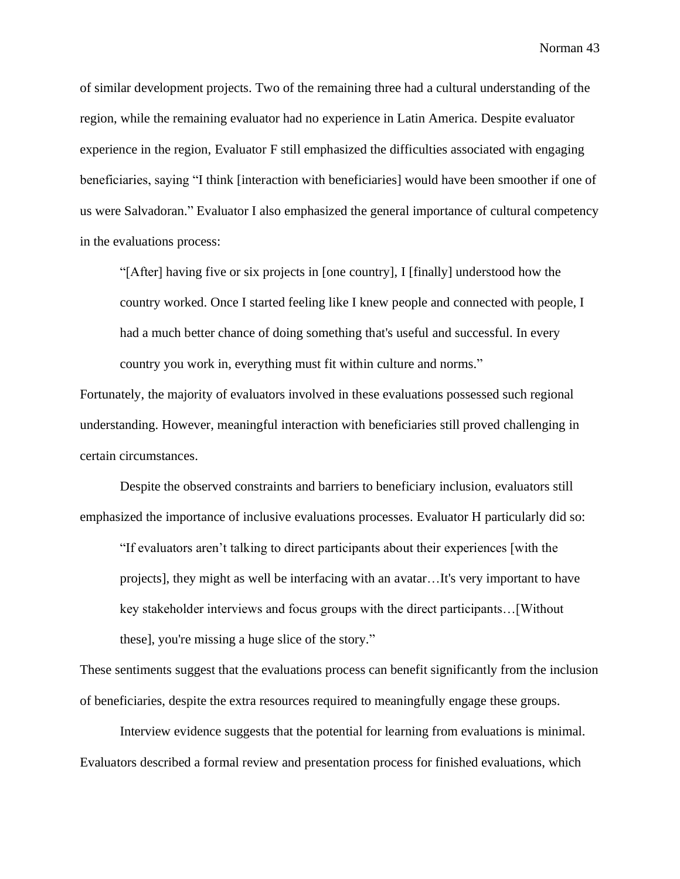of similar development projects. Two of the remaining three had a cultural understanding of the region, while the remaining evaluator had no experience in Latin America. Despite evaluator experience in the region, Evaluator F still emphasized the difficulties associated with engaging beneficiaries, saying "I think [interaction with beneficiaries] would have been smoother if one of us were Salvadoran." Evaluator I also emphasized the general importance of cultural competency in the evaluations process:

"[After] having five or six projects in [one country], I [finally] understood how the country worked. Once I started feeling like I knew people and connected with people, I had a much better chance of doing something that's useful and successful. In every country you work in, everything must fit within culture and norms."

Fortunately, the majority of evaluators involved in these evaluations possessed such regional understanding. However, meaningful interaction with beneficiaries still proved challenging in certain circumstances.

Despite the observed constraints and barriers to beneficiary inclusion, evaluators still emphasized the importance of inclusive evaluations processes. Evaluator H particularly did so:

"If evaluators aren't talking to direct participants about their experiences [with the projects], they might as well be interfacing with an avatar…It's very important to have key stakeholder interviews and focus groups with the direct participants…[Without these], you're missing a huge slice of the story."

These sentiments suggest that the evaluations process can benefit significantly from the inclusion of beneficiaries, despite the extra resources required to meaningfully engage these groups.

Interview evidence suggests that the potential for learning from evaluations is minimal. Evaluators described a formal review and presentation process for finished evaluations, which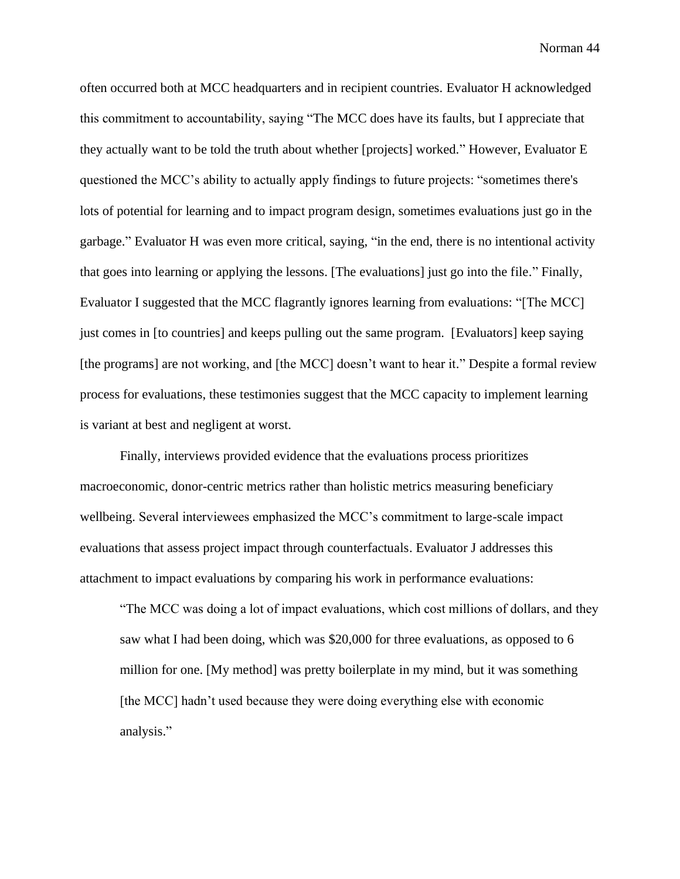often occurred both at MCC headquarters and in recipient countries. Evaluator H acknowledged this commitment to accountability, saying "The MCC does have its faults, but I appreciate that they actually want to be told the truth about whether [projects] worked." However, Evaluator E questioned the MCC's ability to actually apply findings to future projects: "sometimes there's lots of potential for learning and to impact program design, sometimes evaluations just go in the garbage." Evaluator H was even more critical, saying, "in the end, there is no intentional activity that goes into learning or applying the lessons. [The evaluations] just go into the file." Finally, Evaluator I suggested that the MCC flagrantly ignores learning from evaluations: "[The MCC] just comes in [to countries] and keeps pulling out the same program. [Evaluators] keep saying [the programs] are not working, and [the MCC] doesn't want to hear it." Despite a formal review process for evaluations, these testimonies suggest that the MCC capacity to implement learning is variant at best and negligent at worst.

Finally, interviews provided evidence that the evaluations process prioritizes macroeconomic, donor-centric metrics rather than holistic metrics measuring beneficiary wellbeing. Several interviewees emphasized the MCC's commitment to large-scale impact evaluations that assess project impact through counterfactuals. Evaluator J addresses this attachment to impact evaluations by comparing his work in performance evaluations:

"The MCC was doing a lot of impact evaluations, which cost millions of dollars, and they saw what I had been doing, which was \$20,000 for three evaluations, as opposed to 6 million for one. [My method] was pretty boilerplate in my mind, but it was something [the MCC] hadn't used because they were doing everything else with economic analysis."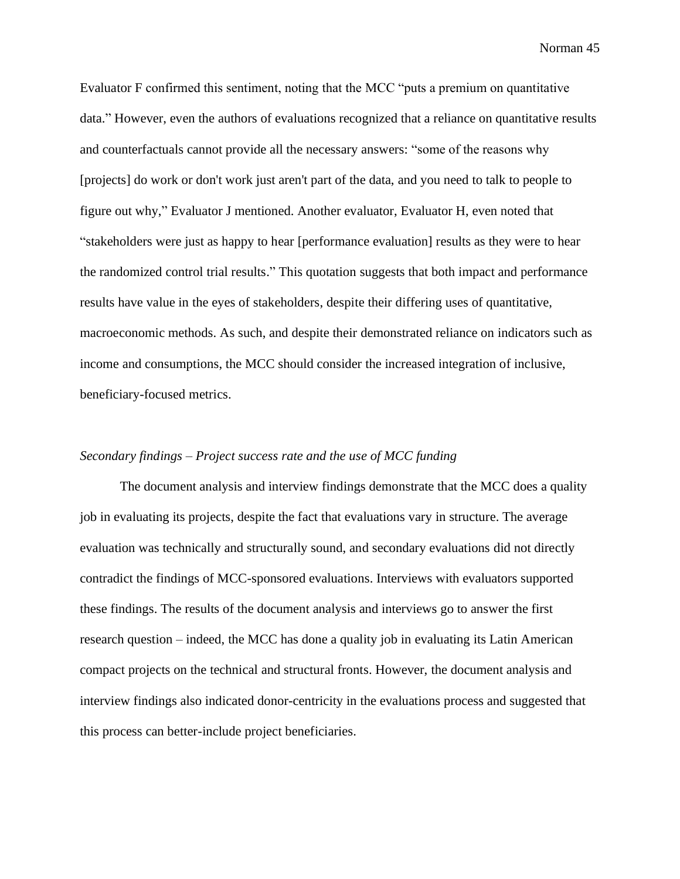Evaluator F confirmed this sentiment, noting that the MCC "puts a premium on quantitative data." However, even the authors of evaluations recognized that a reliance on quantitative results and counterfactuals cannot provide all the necessary answers: "some of the reasons why [projects] do work or don't work just aren't part of the data, and you need to talk to people to figure out why," Evaluator J mentioned. Another evaluator, Evaluator H, even noted that "stakeholders were just as happy to hear [performance evaluation] results as they were to hear the randomized control trial results." This quotation suggests that both impact and performance results have value in the eyes of stakeholders, despite their differing uses of quantitative, macroeconomic methods. As such, and despite their demonstrated reliance on indicators such as income and consumptions, the MCC should consider the increased integration of inclusive, beneficiary-focused metrics.

## *Secondary findings – Project success rate and the use of MCC funding*

The document analysis and interview findings demonstrate that the MCC does a quality job in evaluating its projects, despite the fact that evaluations vary in structure. The average evaluation was technically and structurally sound, and secondary evaluations did not directly contradict the findings of MCC-sponsored evaluations. Interviews with evaluators supported these findings. The results of the document analysis and interviews go to answer the first research question – indeed, the MCC has done a quality job in evaluating its Latin American compact projects on the technical and structural fronts. However, the document analysis and interview findings also indicated donor-centricity in the evaluations process and suggested that this process can better-include project beneficiaries.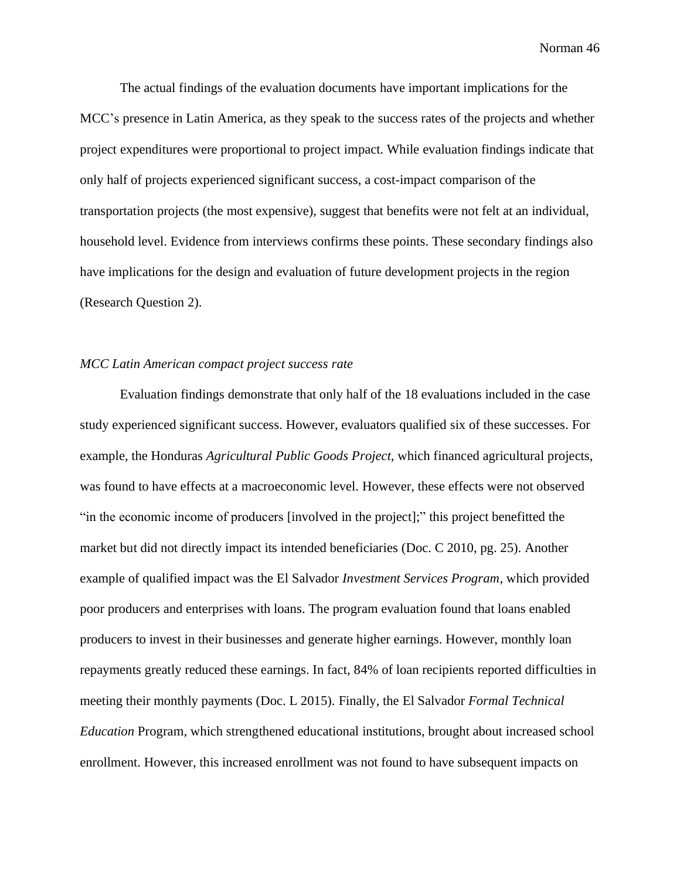The actual findings of the evaluation documents have important implications for the MCC's presence in Latin America, as they speak to the success rates of the projects and whether project expenditures were proportional to project impact. While evaluation findings indicate that only half of projects experienced significant success, a cost-impact comparison of the transportation projects (the most expensive), suggest that benefits were not felt at an individual, household level. Evidence from interviews confirms these points. These secondary findings also have implications for the design and evaluation of future development projects in the region (Research Question 2).

## *MCC Latin American compact project success rate*

Evaluation findings demonstrate that only half of the 18 evaluations included in the case study experienced significant success. However, evaluators qualified six of these successes. For example, the Honduras *Agricultural Public Goods Project,* which financed agricultural projects, was found to have effects at a macroeconomic level. However, these effects were not observed "in the economic income of producers [involved in the project];" this project benefitted the market but did not directly impact its intended beneficiaries (Doc. C 2010, pg. 25). Another example of qualified impact was the El Salvador *Investment Services Program*, which provided poor producers and enterprises with loans. The program evaluation found that loans enabled producers to invest in their businesses and generate higher earnings. However, monthly loan repayments greatly reduced these earnings. In fact, 84% of loan recipients reported difficulties in meeting their monthly payments (Doc. L 2015). Finally, the El Salvador *Formal Technical Education* Program, which strengthened educational institutions, brought about increased school enrollment. However, this increased enrollment was not found to have subsequent impacts on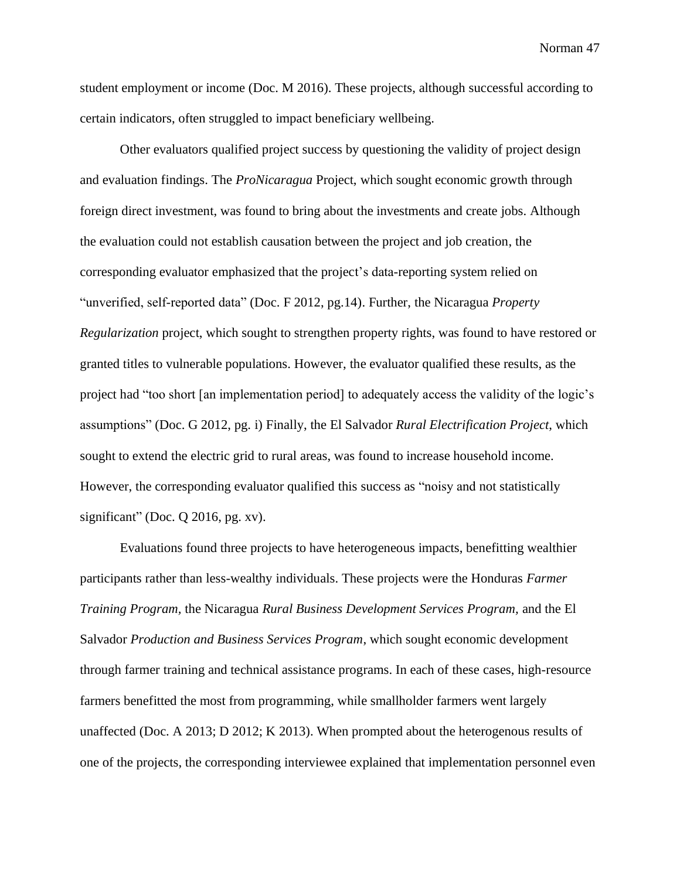student employment or income (Doc. M 2016). These projects, although successful according to certain indicators, often struggled to impact beneficiary wellbeing.

Other evaluators qualified project success by questioning the validity of project design and evaluation findings. The *ProNicaragua* Project, which sought economic growth through foreign direct investment, was found to bring about the investments and create jobs. Although the evaluation could not establish causation between the project and job creation, the corresponding evaluator emphasized that the project's data-reporting system relied on "unverified, self-reported data" (Doc. F 2012, pg.14). Further, the Nicaragua *Property Regularization* project, which sought to strengthen property rights, was found to have restored or granted titles to vulnerable populations. However, the evaluator qualified these results, as the project had "too short [an implementation period] to adequately access the validity of the logic's assumptions" (Doc. G 2012, pg. i) Finally, the El Salvador *Rural Electrification Project*, which sought to extend the electric grid to rural areas, was found to increase household income. However, the corresponding evaluator qualified this success as "noisy and not statistically significant" (Doc. Q 2016, pg. xv).

Evaluations found three projects to have heterogeneous impacts, benefitting wealthier participants rather than less-wealthy individuals. These projects were the Honduras *Farmer Training Program,* the Nicaragua *Rural Business Development Services Program,* and the El Salvador *Production and Business Services Program*, which sought economic development through farmer training and technical assistance programs. In each of these cases, high-resource farmers benefitted the most from programming, while smallholder farmers went largely unaffected (Doc. A 2013; D 2012; K 2013). When prompted about the heterogenous results of one of the projects, the corresponding interviewee explained that implementation personnel even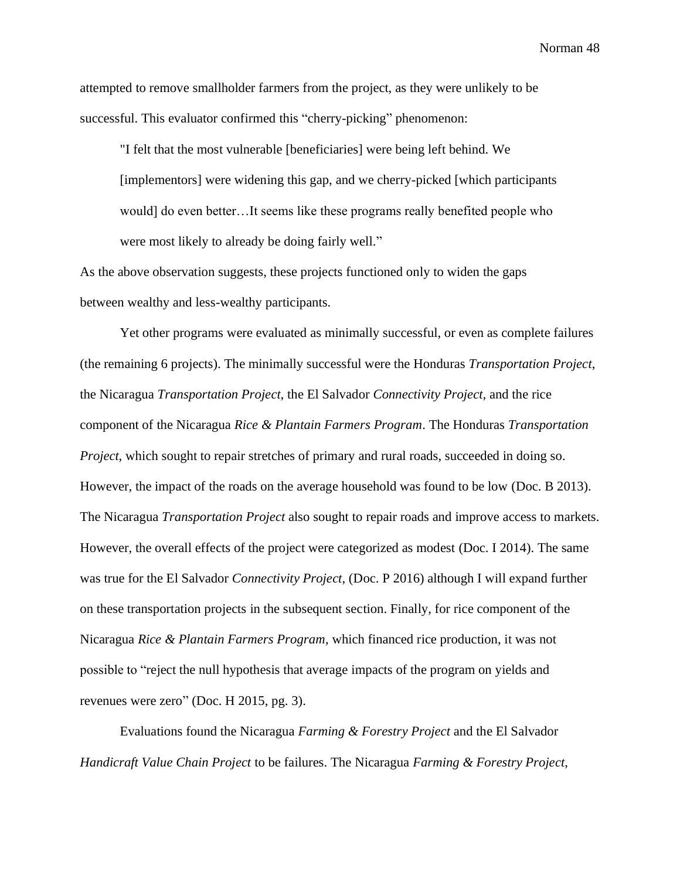attempted to remove smallholder farmers from the project, as they were unlikely to be successful. This evaluator confirmed this "cherry-picking" phenomenon:

"I felt that the most vulnerable [beneficiaries] were being left behind. We [implementors] were widening this gap, and we cherry-picked [which participants would] do even better…It seems like these programs really benefited people who were most likely to already be doing fairly well."

As the above observation suggests, these projects functioned only to widen the gaps between wealthy and less-wealthy participants.

Yet other programs were evaluated as minimally successful, or even as complete failures (the remaining 6 projects). The minimally successful were the Honduras *Transportation Project*, the Nicaragua *Transportation Project,* the El Salvador *Connectivity Project,* and the rice component of the Nicaragua *Rice & Plantain Farmers Program*. The Honduras *Transportation Project*, which sought to repair stretches of primary and rural roads, succeeded in doing so. However, the impact of the roads on the average household was found to be low (Doc. B 2013). The Nicaragua *Transportation Project* also sought to repair roads and improve access to markets. However, the overall effects of the project were categorized as modest (Doc. I 2014). The same was true for the El Salvador *Connectivity Project*, (Doc. P 2016) although I will expand further on these transportation projects in the subsequent section. Finally, for rice component of the Nicaragua *Rice & Plantain Farmers Program*, which financed rice production, it was not possible to "reject the null hypothesis that average impacts of the program on yields and revenues were zero" (Doc. H 2015, pg. 3).

Evaluations found the Nicaragua *Farming & Forestry Project* and the El Salvador *Handicraft Value Chain Project* to be failures. The Nicaragua *Farming & Forestry Project*,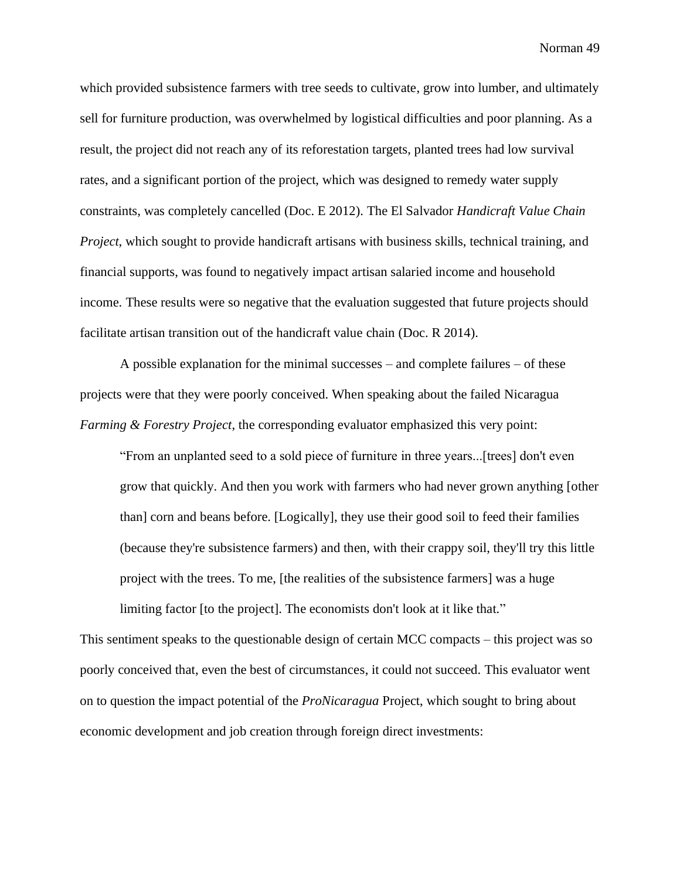which provided subsistence farmers with tree seeds to cultivate, grow into lumber, and ultimately sell for furniture production, was overwhelmed by logistical difficulties and poor planning. As a result, the project did not reach any of its reforestation targets, planted trees had low survival rates, and a significant portion of the project, which was designed to remedy water supply constraints, was completely cancelled (Doc. E 2012). The El Salvador *Handicraft Value Chain Project*, which sought to provide handicraft artisans with business skills, technical training, and financial supports, was found to negatively impact artisan salaried income and household income. These results were so negative that the evaluation suggested that future projects should facilitate artisan transition out of the handicraft value chain (Doc. R 2014).

A possible explanation for the minimal successes – and complete failures – of these projects were that they were poorly conceived. When speaking about the failed Nicaragua *Farming & Forestry Project*, the corresponding evaluator emphasized this very point:

"From an unplanted seed to a sold piece of furniture in three years...[trees] don't even grow that quickly. And then you work with farmers who had never grown anything [other than] corn and beans before. [Logically], they use their good soil to feed their families (because they're subsistence farmers) and then, with their crappy soil, they'll try this little project with the trees. To me, [the realities of the subsistence farmers] was a huge limiting factor [to the project]. The economists don't look at it like that."

This sentiment speaks to the questionable design of certain MCC compacts – this project was so poorly conceived that, even the best of circumstances, it could not succeed. This evaluator went on to question the impact potential of the *ProNicaragua* Project, which sought to bring about economic development and job creation through foreign direct investments: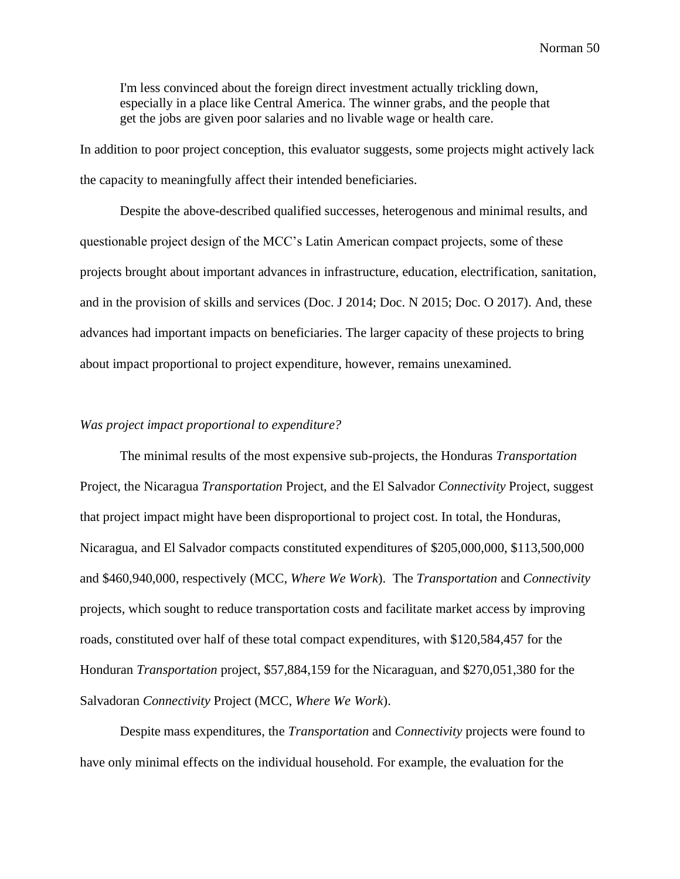I'm less convinced about the foreign direct investment actually trickling down, especially in a place like Central America. The winner grabs, and the people that get the jobs are given poor salaries and no livable wage or health care.

In addition to poor project conception, this evaluator suggests, some projects might actively lack the capacity to meaningfully affect their intended beneficiaries.

Despite the above-described qualified successes, heterogenous and minimal results, and questionable project design of the MCC's Latin American compact projects, some of these projects brought about important advances in infrastructure, education, electrification, sanitation, and in the provision of skills and services (Doc. J 2014; Doc. N 2015; Doc. O 2017). And, these advances had important impacts on beneficiaries. The larger capacity of these projects to bring about impact proportional to project expenditure, however, remains unexamined.

#### *Was project impact proportional to expenditure?*

The minimal results of the most expensive sub-projects, the Honduras *Transportation*  Project, the Nicaragua *Transportation* Project, and the El Salvador *Connectivity* Project, suggest that project impact might have been disproportional to project cost. In total, the Honduras, Nicaragua, and El Salvador compacts constituted expenditures of \$205,000,000, \$113,500,000 and \$460,940,000, respectively (MCC, *Where We Work*). The *Transportation* and *Connectivity*  projects, which sought to reduce transportation costs and facilitate market access by improving roads, constituted over half of these total compact expenditures, with \$120,584,457 for the Honduran *Transportation* project, \$57,884,159 for the Nicaraguan, and \$270,051,380 for the Salvadoran *Connectivity* Project (MCC, *Where We Work*).

Despite mass expenditures, the *Transportation* and *Connectivity* projects were found to have only minimal effects on the individual household. For example, the evaluation for the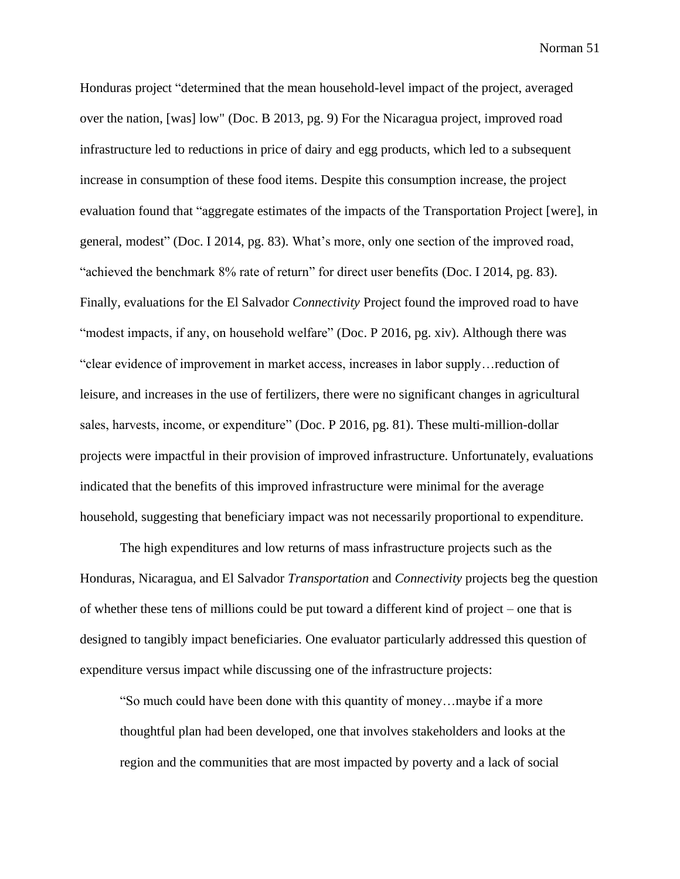Honduras project "determined that the mean household-level impact of the project, averaged over the nation, [was] low" (Doc. B 2013, pg. 9) For the Nicaragua project, improved road infrastructure led to reductions in price of dairy and egg products, which led to a subsequent increase in consumption of these food items. Despite this consumption increase, the project evaluation found that "aggregate estimates of the impacts of the Transportation Project [were], in general, modest" (Doc. I 2014, pg. 83). What's more, only one section of the improved road, "achieved the benchmark 8% rate of return" for direct user benefits (Doc. I 2014, pg. 83). Finally, evaluations for the El Salvador *Connectivity* Project found the improved road to have "modest impacts, if any, on household welfare" (Doc. P 2016, pg. xiv). Although there was "clear evidence of improvement in market access, increases in labor supply…reduction of leisure, and increases in the use of fertilizers, there were no significant changes in agricultural sales, harvests, income, or expenditure" (Doc. P 2016, pg. 81). These multi-million-dollar projects were impactful in their provision of improved infrastructure. Unfortunately, evaluations indicated that the benefits of this improved infrastructure were minimal for the average household, suggesting that beneficiary impact was not necessarily proportional to expenditure.

The high expenditures and low returns of mass infrastructure projects such as the Honduras, Nicaragua, and El Salvador *Transportation* and *Connectivity* projects beg the question of whether these tens of millions could be put toward a different kind of project – one that is designed to tangibly impact beneficiaries. One evaluator particularly addressed this question of expenditure versus impact while discussing one of the infrastructure projects:

"So much could have been done with this quantity of money…maybe if a more thoughtful plan had been developed, one that involves stakeholders and looks at the region and the communities that are most impacted by poverty and a lack of social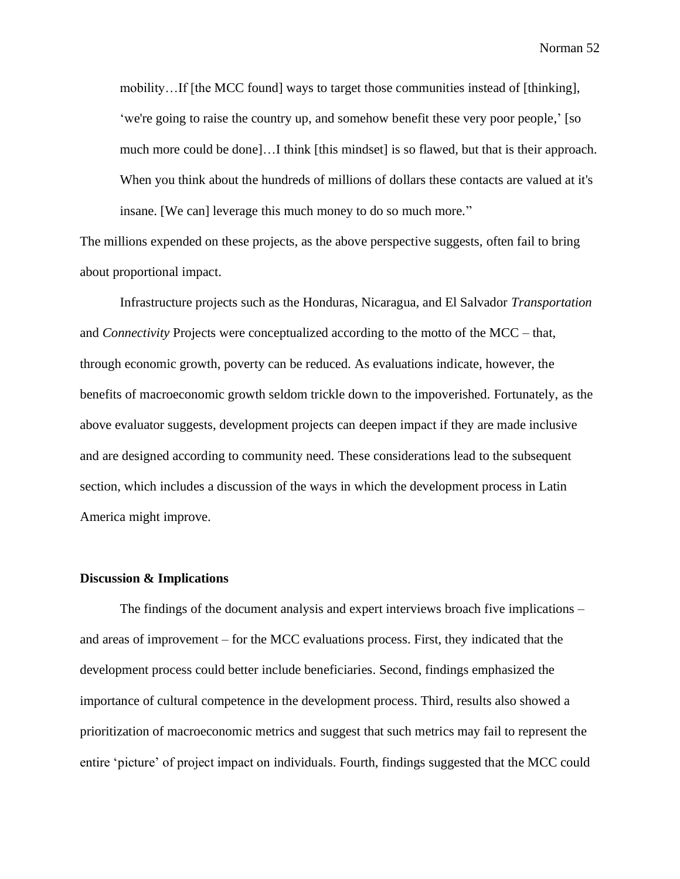mobility…If [the MCC found] ways to target those communities instead of [thinking], 'we're going to raise the country up, and somehow benefit these very poor people,' [so much more could be done]…I think [this mindset] is so flawed, but that is their approach. When you think about the hundreds of millions of dollars these contacts are valued at it's insane. [We can] leverage this much money to do so much more."

The millions expended on these projects, as the above perspective suggests, often fail to bring about proportional impact.

Infrastructure projects such as the Honduras, Nicaragua, and El Salvador *Transportation*  and *Connectivity* Projects were conceptualized according to the motto of the MCC – that, through economic growth, poverty can be reduced. As evaluations indicate, however, the benefits of macroeconomic growth seldom trickle down to the impoverished. Fortunately, as the above evaluator suggests, development projects can deepen impact if they are made inclusive and are designed according to community need. These considerations lead to the subsequent section, which includes a discussion of the ways in which the development process in Latin America might improve.

#### **Discussion & Implications**

The findings of the document analysis and expert interviews broach five implications – and areas of improvement – for the MCC evaluations process. First, they indicated that the development process could better include beneficiaries. Second, findings emphasized the importance of cultural competence in the development process. Third, results also showed a prioritization of macroeconomic metrics and suggest that such metrics may fail to represent the entire 'picture' of project impact on individuals. Fourth, findings suggested that the MCC could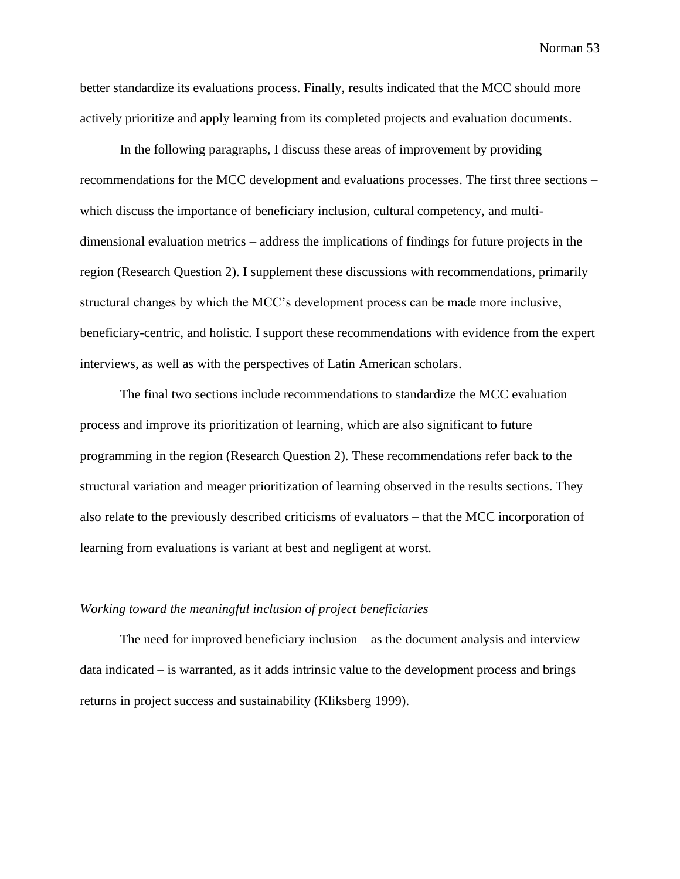better standardize its evaluations process. Finally, results indicated that the MCC should more actively prioritize and apply learning from its completed projects and evaluation documents.

In the following paragraphs, I discuss these areas of improvement by providing recommendations for the MCC development and evaluations processes. The first three sections – which discuss the importance of beneficiary inclusion, cultural competency, and multidimensional evaluation metrics – address the implications of findings for future projects in the region (Research Question 2). I supplement these discussions with recommendations, primarily structural changes by which the MCC's development process can be made more inclusive, beneficiary-centric, and holistic. I support these recommendations with evidence from the expert interviews, as well as with the perspectives of Latin American scholars.

The final two sections include recommendations to standardize the MCC evaluation process and improve its prioritization of learning, which are also significant to future programming in the region (Research Question 2). These recommendations refer back to the structural variation and meager prioritization of learning observed in the results sections. They also relate to the previously described criticisms of evaluators – that the MCC incorporation of learning from evaluations is variant at best and negligent at worst.

#### *Working toward the meaningful inclusion of project beneficiaries*

The need for improved beneficiary inclusion – as the document analysis and interview data indicated – is warranted, as it adds intrinsic value to the development process and brings returns in project success and sustainability (Kliksberg 1999).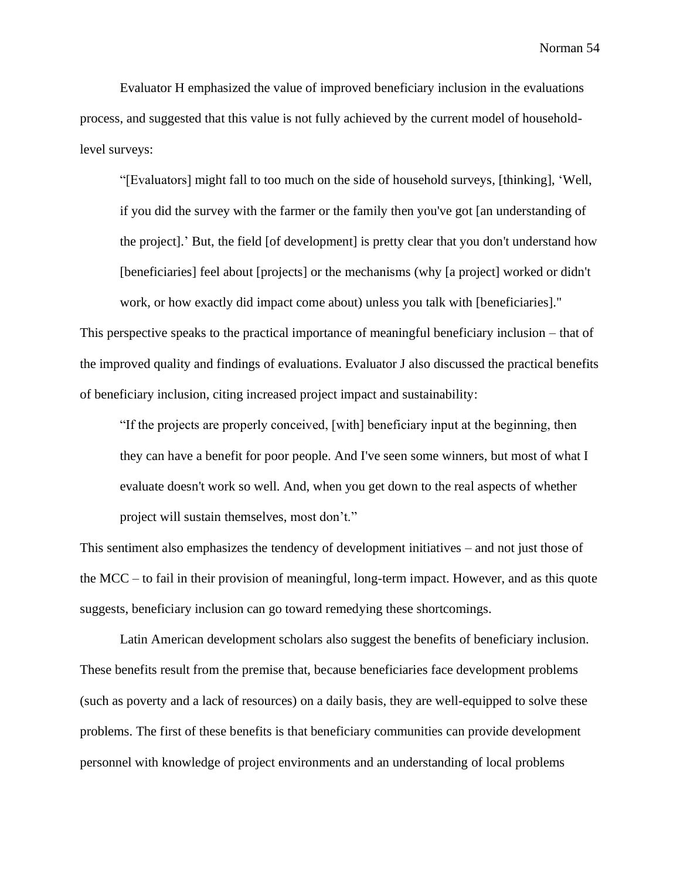Evaluator H emphasized the value of improved beneficiary inclusion in the evaluations process, and suggested that this value is not fully achieved by the current model of householdlevel surveys:

"[Evaluators] might fall to too much on the side of household surveys, [thinking], 'Well, if you did the survey with the farmer or the family then you've got [an understanding of the project].' But, the field [of development] is pretty clear that you don't understand how [beneficiaries] feel about [projects] or the mechanisms (why [a project] worked or didn't work, or how exactly did impact come about) unless you talk with [beneficiaries]."

This perspective speaks to the practical importance of meaningful beneficiary inclusion – that of the improved quality and findings of evaluations. Evaluator J also discussed the practical benefits of beneficiary inclusion, citing increased project impact and sustainability:

"If the projects are properly conceived, [with] beneficiary input at the beginning, then they can have a benefit for poor people. And I've seen some winners, but most of what I evaluate doesn't work so well. And, when you get down to the real aspects of whether project will sustain themselves, most don't."

This sentiment also emphasizes the tendency of development initiatives – and not just those of the MCC – to fail in their provision of meaningful, long-term impact. However, and as this quote suggests, beneficiary inclusion can go toward remedying these shortcomings.

Latin American development scholars also suggest the benefits of beneficiary inclusion. These benefits result from the premise that, because beneficiaries face development problems (such as poverty and a lack of resources) on a daily basis, they are well-equipped to solve these problems. The first of these benefits is that beneficiary communities can provide development personnel with knowledge of project environments and an understanding of local problems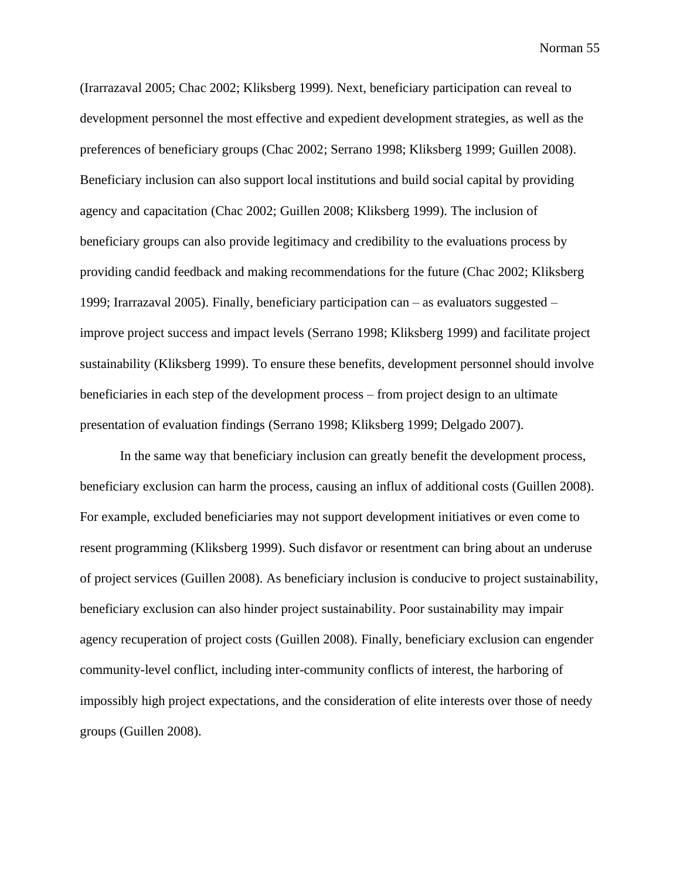(Irarrazaval 2005; Chac 2002; Kliksberg 1999). Next, beneficiary participation can reveal to development personnel the most effective and expedient development strategies, as well as the preferences of beneficiary groups (Chac 2002; Serrano 1998; Kliksberg 1999; Guillen 2008). Beneficiary inclusion can also support local institutions and build social capital by providing agency and capacitation (Chac 2002; Guillen 2008; Kliksberg 1999). The inclusion of beneficiary groups can also provide legitimacy and credibility to the evaluations process by providing candid feedback and making recommendations for the future (Chac 2002; Kliksberg 1999; Irarrazaval 2005). Finally, beneficiary participation can – as evaluators suggested – improve project success and impact levels (Serrano 1998; Kliksberg 1999) and facilitate project sustainability (Kliksberg 1999). To ensure these benefits, development personnel should involve beneficiaries in each step of the development process – from project design to an ultimate presentation of evaluation findings (Serrano 1998; Kliksberg 1999; Delgado 2007).

In the same way that beneficiary inclusion can greatly benefit the development process, beneficiary exclusion can harm the process, causing an influx of additional costs (Guillen 2008). For example, excluded beneficiaries may not support development initiatives or even come to resent programming (Kliksberg 1999). Such disfavor or resentment can bring about an underuse of project services (Guillen 2008). As beneficiary inclusion is conducive to project sustainability, beneficiary exclusion can also hinder project sustainability. Poor sustainability may impair agency recuperation of project costs (Guillen 2008). Finally, beneficiary exclusion can engender community-level conflict, including inter-community conflicts of interest, the harboring of impossibly high project expectations, and the consideration of elite interests over those of needy groups (Guillen 2008).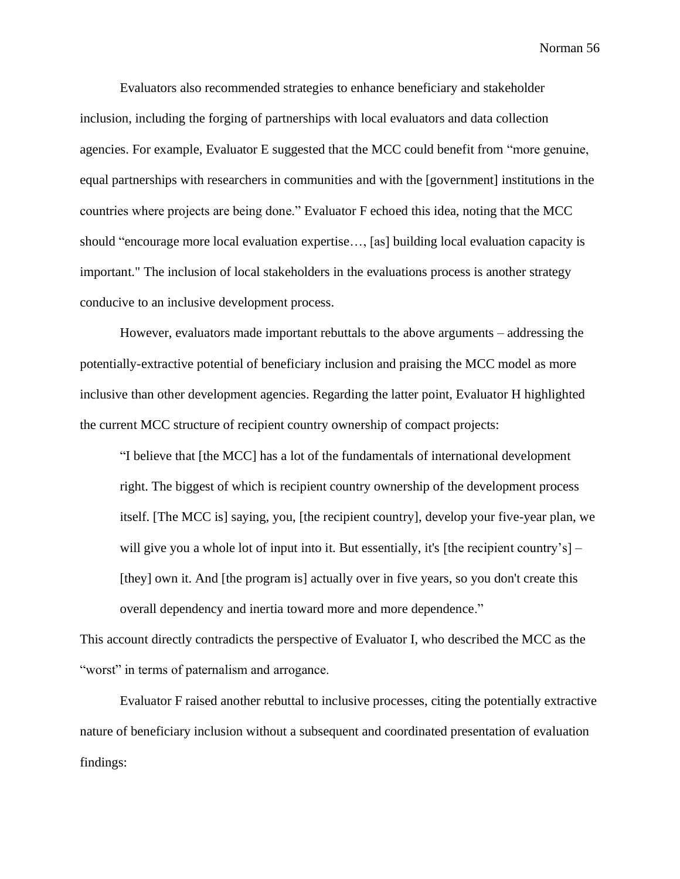Evaluators also recommended strategies to enhance beneficiary and stakeholder inclusion, including the forging of partnerships with local evaluators and data collection agencies. For example, Evaluator E suggested that the MCC could benefit from "more genuine, equal partnerships with researchers in communities and with the [government] institutions in the countries where projects are being done." Evaluator F echoed this idea, noting that the MCC should "encourage more local evaluation expertise…, [as] building local evaluation capacity is important." The inclusion of local stakeholders in the evaluations process is another strategy conducive to an inclusive development process.

However, evaluators made important rebuttals to the above arguments – addressing the potentially-extractive potential of beneficiary inclusion and praising the MCC model as more inclusive than other development agencies. Regarding the latter point, Evaluator H highlighted the current MCC structure of recipient country ownership of compact projects:

"I believe that [the MCC] has a lot of the fundamentals of international development right. The biggest of which is recipient country ownership of the development process itself. [The MCC is] saying, you, [the recipient country], develop your five-year plan, we will give you a whole lot of input into it. But essentially, it's [the recipient country's]  $-$ [they] own it. And [the program is] actually over in five years, so you don't create this overall dependency and inertia toward more and more dependence."

This account directly contradicts the perspective of Evaluator I, who described the MCC as the "worst" in terms of paternalism and arrogance.

Evaluator F raised another rebuttal to inclusive processes, citing the potentially extractive nature of beneficiary inclusion without a subsequent and coordinated presentation of evaluation findings: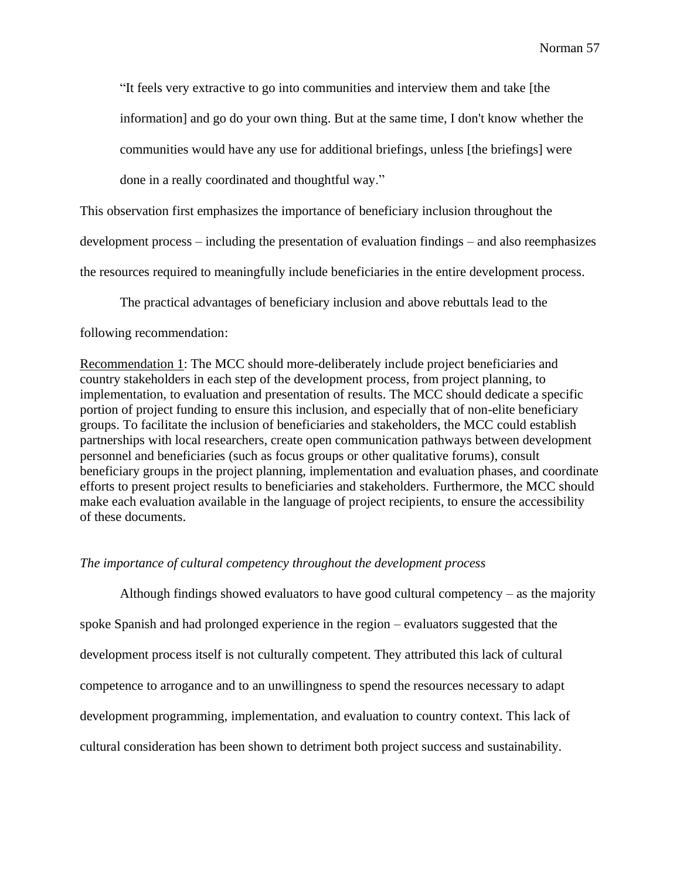"It feels very extractive to go into communities and interview them and take [the information] and go do your own thing. But at the same time, I don't know whether the communities would have any use for additional briefings, unless [the briefings] were done in a really coordinated and thoughtful way."

This observation first emphasizes the importance of beneficiary inclusion throughout the

development process – including the presentation of evaluation findings – and also reemphasizes

the resources required to meaningfully include beneficiaries in the entire development process.

The practical advantages of beneficiary inclusion and above rebuttals lead to the

## following recommendation:

Recommendation 1: The MCC should more-deliberately include project beneficiaries and country stakeholders in each step of the development process, from project planning, to implementation, to evaluation and presentation of results. The MCC should dedicate a specific portion of project funding to ensure this inclusion, and especially that of non-elite beneficiary groups. To facilitate the inclusion of beneficiaries and stakeholders, the MCC could establish partnerships with local researchers, create open communication pathways between development personnel and beneficiaries (such as focus groups or other qualitative forums), consult beneficiary groups in the project planning, implementation and evaluation phases, and coordinate efforts to present project results to beneficiaries and stakeholders. Furthermore, the MCC should make each evaluation available in the language of project recipients, to ensure the accessibility of these documents.

## *The importance of cultural competency throughout the development process*

Although findings showed evaluators to have good cultural competency – as the majority spoke Spanish and had prolonged experience in the region – evaluators suggested that the development process itself is not culturally competent. They attributed this lack of cultural competence to arrogance and to an unwillingness to spend the resources necessary to adapt development programming, implementation, and evaluation to country context. This lack of cultural consideration has been shown to detriment both project success and sustainability.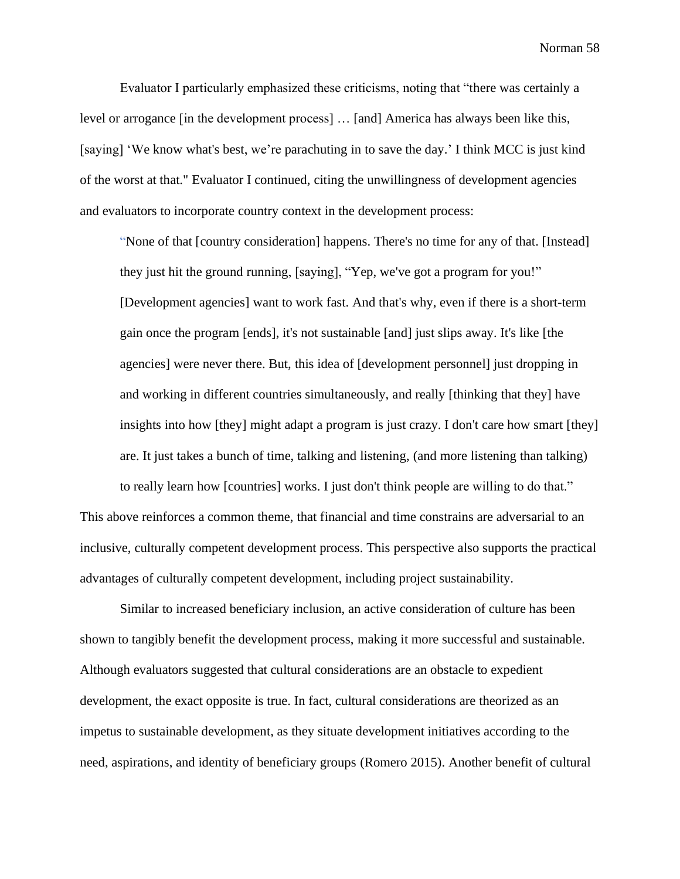Evaluator I particularly emphasized these criticisms, noting that "there was certainly a level or arrogance [in the development process] … [and] America has always been like this, [saying] 'We know what's best, we're parachuting in to save the day.' I think MCC is just kind of the worst at that." Evaluator I continued, citing the unwillingness of development agencies and evaluators to incorporate country context in the development process:

"None of that [country consideration] happens. There's no time for any of that. [Instead] they just hit the ground running, [saying], "Yep, we've got a program for you!" [Development agencies] want to work fast. And that's why, even if there is a short-term gain once the program [ends], it's not sustainable [and] just slips away. It's like [the agencies] were never there. But, this idea of [development personnel] just dropping in and working in different countries simultaneously, and really [thinking that they] have insights into how [they] might adapt a program is just crazy. I don't care how smart [they] are. It just takes a bunch of time, talking and listening, (and more listening than talking)

to really learn how [countries] works. I just don't think people are willing to do that." This above reinforces a common theme, that financial and time constrains are adversarial to an inclusive, culturally competent development process. This perspective also supports the practical advantages of culturally competent development, including project sustainability.

Similar to increased beneficiary inclusion, an active consideration of culture has been shown to tangibly benefit the development process, making it more successful and sustainable. Although evaluators suggested that cultural considerations are an obstacle to expedient development, the exact opposite is true. In fact, cultural considerations are theorized as an impetus to sustainable development, as they situate development initiatives according to the need, aspirations, and identity of beneficiary groups (Romero 2015). Another benefit of cultural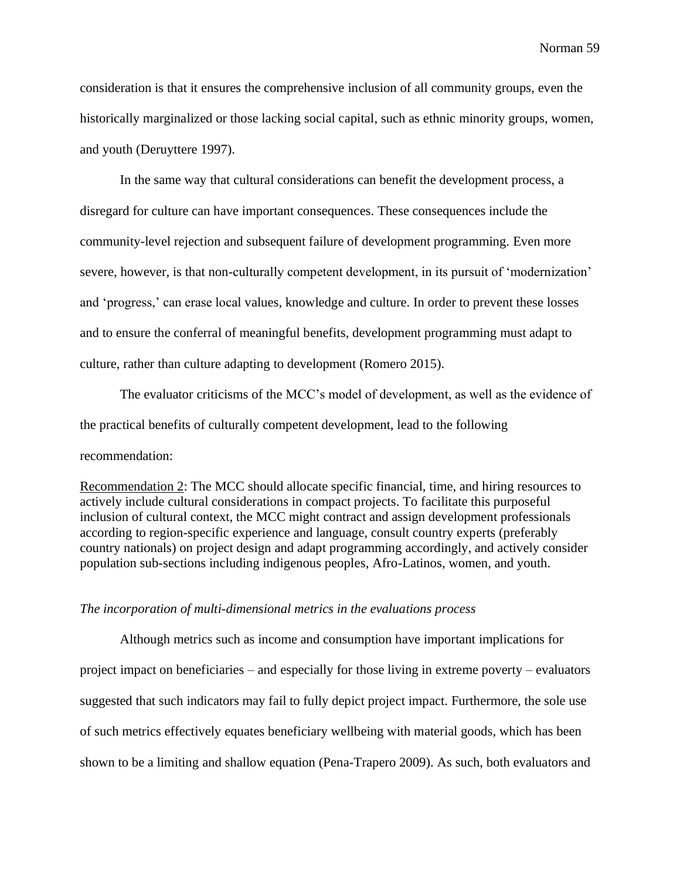consideration is that it ensures the comprehensive inclusion of all community groups, even the historically marginalized or those lacking social capital, such as ethnic minority groups, women, and youth (Deruyttere 1997).

In the same way that cultural considerations can benefit the development process, a disregard for culture can have important consequences. These consequences include the community-level rejection and subsequent failure of development programming. Even more severe, however, is that non-culturally competent development, in its pursuit of 'modernization' and 'progress,' can erase local values, knowledge and culture. In order to prevent these losses and to ensure the conferral of meaningful benefits, development programming must adapt to culture, rather than culture adapting to development (Romero 2015).

The evaluator criticisms of the MCC's model of development, as well as the evidence of the practical benefits of culturally competent development, lead to the following recommendation:

Recommendation 2: The MCC should allocate specific financial, time, and hiring resources to actively include cultural considerations in compact projects. To facilitate this purposeful inclusion of cultural context, the MCC might contract and assign development professionals according to region-specific experience and language, consult country experts (preferably country nationals) on project design and adapt programming accordingly, and actively consider population sub-sections including indigenous peoples, Afro-Latinos, women, and youth.

#### *The incorporation of multi-dimensional metrics in the evaluations process*

Although metrics such as income and consumption have important implications for project impact on beneficiaries – and especially for those living in extreme poverty – evaluators suggested that such indicators may fail to fully depict project impact. Furthermore, the sole use of such metrics effectively equates beneficiary wellbeing with material goods, which has been shown to be a limiting and shallow equation (Pena-Trapero 2009). As such, both evaluators and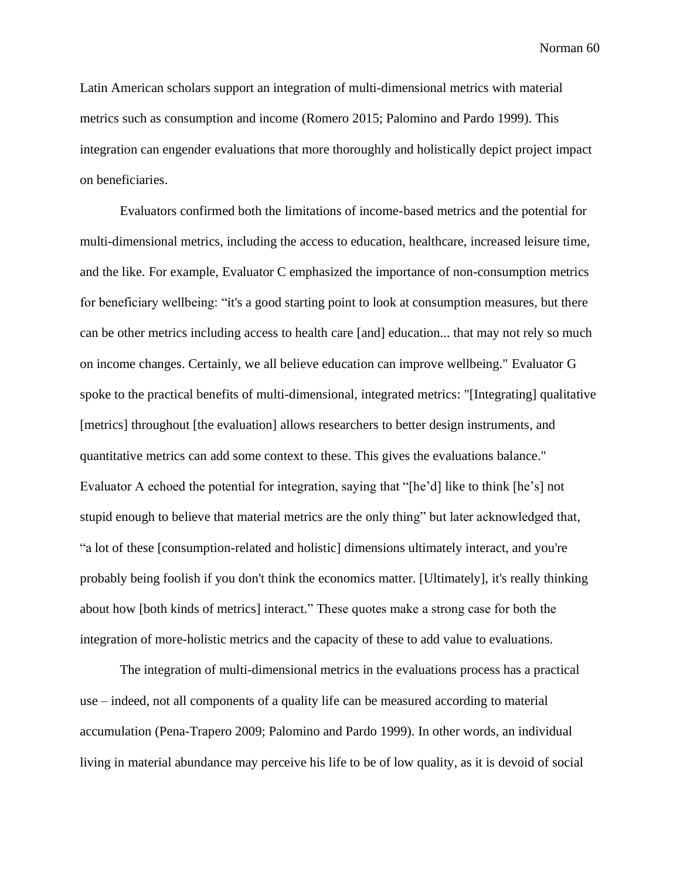Latin American scholars support an integration of multi-dimensional metrics with material metrics such as consumption and income (Romero 2015; Palomino and Pardo 1999). This integration can engender evaluations that more thoroughly and holistically depict project impact on beneficiaries.

Evaluators confirmed both the limitations of income-based metrics and the potential for multi-dimensional metrics, including the access to education, healthcare, increased leisure time, and the like. For example, Evaluator C emphasized the importance of non-consumption metrics for beneficiary wellbeing: "it's a good starting point to look at consumption measures, but there can be other metrics including access to health care [and] education... that may not rely so much on income changes. Certainly, we all believe education can improve wellbeing." Evaluator G spoke to the practical benefits of multi-dimensional, integrated metrics: "[Integrating] qualitative [metrics] throughout [the evaluation] allows researchers to better design instruments, and quantitative metrics can add some context to these. This gives the evaluations balance." Evaluator A echoed the potential for integration, saying that "[he'd] like to think [he's] not stupid enough to believe that material metrics are the only thing" but later acknowledged that, "a lot of these [consumption-related and holistic] dimensions ultimately interact, and you're probably being foolish if you don't think the economics matter. [Ultimately], it's really thinking about how [both kinds of metrics] interact." These quotes make a strong case for both the integration of more-holistic metrics and the capacity of these to add value to evaluations.

The integration of multi-dimensional metrics in the evaluations process has a practical use – indeed, not all components of a quality life can be measured according to material accumulation (Pena-Trapero 2009; Palomino and Pardo 1999). In other words, an individual living in material abundance may perceive his life to be of low quality, as it is devoid of social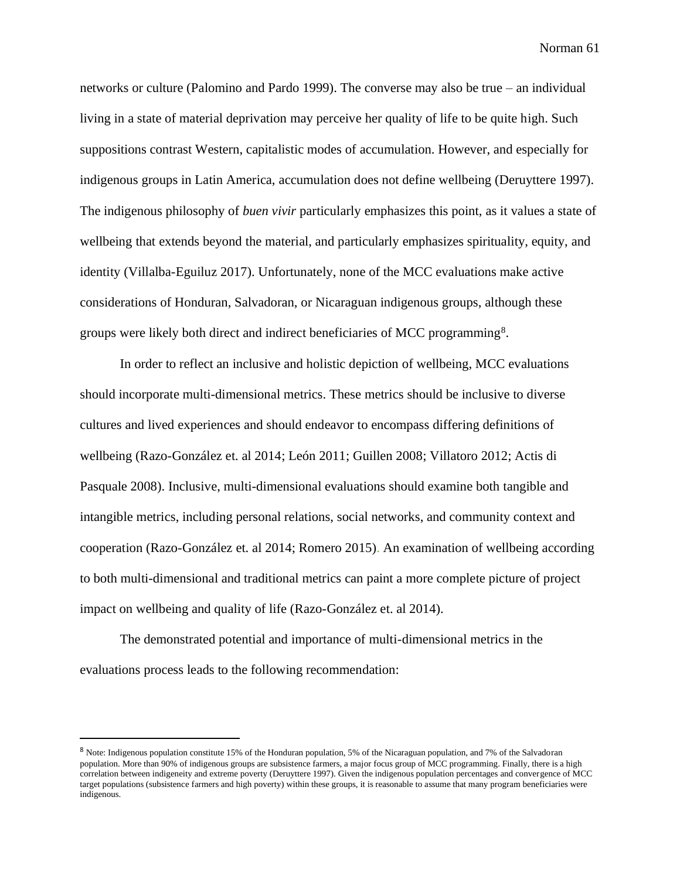networks or culture (Palomino and Pardo 1999). The converse may also be true – an individual living in a state of material deprivation may perceive her quality of life to be quite high. Such suppositions contrast Western, capitalistic modes of accumulation. However, and especially for indigenous groups in Latin America, accumulation does not define wellbeing (Deruyttere 1997). The indigenous philosophy of *buen vivir* particularly emphasizes this point, as it values a state of wellbeing that extends beyond the material, and particularly emphasizes spirituality, equity, and identity (Villalba-Eguiluz 2017). Unfortunately, none of the MCC evaluations make active considerations of Honduran, Salvadoran, or Nicaraguan indigenous groups, although these groups were likely both direct and indirect beneficiaries of MCC programming<sup>8</sup>.

In order to reflect an inclusive and holistic depiction of wellbeing, MCC evaluations should incorporate multi-dimensional metrics. These metrics should be inclusive to diverse cultures and lived experiences and should endeavor to encompass differing definitions of wellbeing (Razo-González et. al 2014; León 2011; Guillen 2008; Villatoro 2012; Actis di Pasquale 2008). Inclusive, multi-dimensional evaluations should examine both tangible and intangible metrics, including personal relations, social networks, and community context and cooperation (Razo-González et. al 2014; Romero 2015). An examination of wellbeing according to both multi-dimensional and traditional metrics can paint a more complete picture of project impact on wellbeing and quality of life (Razo-González et. al 2014).

The demonstrated potential and importance of multi-dimensional metrics in the evaluations process leads to the following recommendation:

<sup>8</sup> Note: Indigenous population constitute 15% of the Honduran population, 5% of the Nicaraguan population, and 7% of the Salvadoran population. More than 90% of indigenous groups are subsistence farmers, a major focus group of MCC programming. Finally, there is a high correlation between indigeneity and extreme poverty (Deruyttere 1997). Given the indigenous population percentages and convergence of MCC target populations (subsistence farmers and high poverty) within these groups, it is reasonable to assume that many program beneficiaries were indigenous.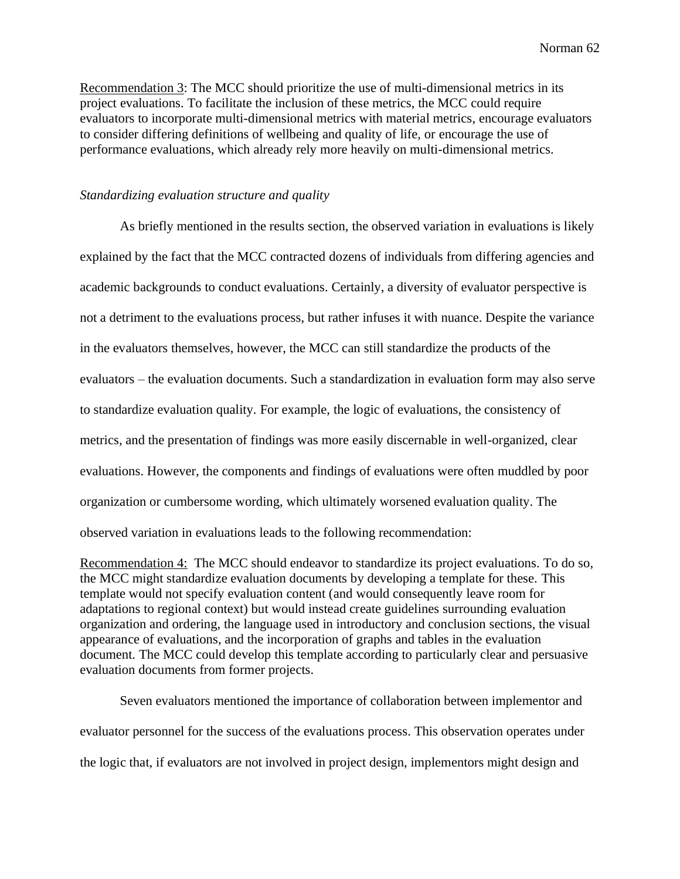Recommendation 3: The MCC should prioritize the use of multi-dimensional metrics in its project evaluations. To facilitate the inclusion of these metrics, the MCC could require evaluators to incorporate multi-dimensional metrics with material metrics, encourage evaluators to consider differing definitions of wellbeing and quality of life, or encourage the use of performance evaluations, which already rely more heavily on multi-dimensional metrics.

## *Standardizing evaluation structure and quality*

As briefly mentioned in the results section, the observed variation in evaluations is likely explained by the fact that the MCC contracted dozens of individuals from differing agencies and academic backgrounds to conduct evaluations. Certainly, a diversity of evaluator perspective is not a detriment to the evaluations process, but rather infuses it with nuance. Despite the variance in the evaluators themselves, however, the MCC can still standardize the products of the evaluators – the evaluation documents. Such a standardization in evaluation form may also serve to standardize evaluation quality. For example, the logic of evaluations, the consistency of metrics, and the presentation of findings was more easily discernable in well-organized, clear evaluations. However, the components and findings of evaluations were often muddled by poor organization or cumbersome wording, which ultimately worsened evaluation quality. The observed variation in evaluations leads to the following recommendation:

Recommendation 4: The MCC should endeavor to standardize its project evaluations. To do so, the MCC might standardize evaluation documents by developing a template for these. This template would not specify evaluation content (and would consequently leave room for adaptations to regional context) but would instead create guidelines surrounding evaluation organization and ordering, the language used in introductory and conclusion sections, the visual appearance of evaluations, and the incorporation of graphs and tables in the evaluation document. The MCC could develop this template according to particularly clear and persuasive evaluation documents from former projects.

Seven evaluators mentioned the importance of collaboration between implementor and evaluator personnel for the success of the evaluations process. This observation operates under the logic that, if evaluators are not involved in project design, implementors might design and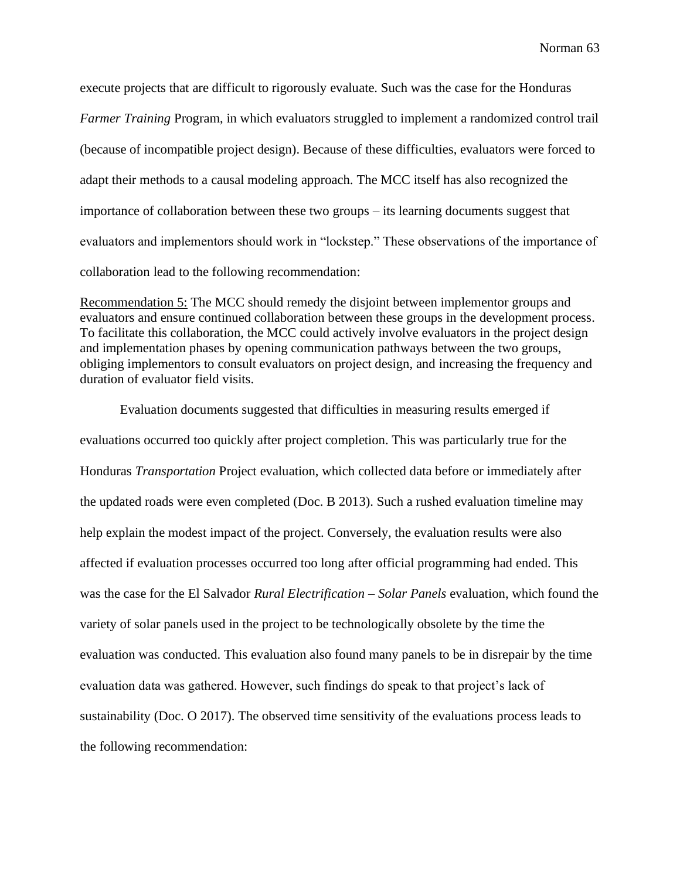execute projects that are difficult to rigorously evaluate. Such was the case for the Honduras *Farmer Training* Program, in which evaluators struggled to implement a randomized control trail (because of incompatible project design). Because of these difficulties, evaluators were forced to adapt their methods to a causal modeling approach. The MCC itself has also recognized the importance of collaboration between these two groups – its learning documents suggest that evaluators and implementors should work in "lockstep." These observations of the importance of collaboration lead to the following recommendation:

Recommendation 5: The MCC should remedy the disjoint between implementor groups and evaluators and ensure continued collaboration between these groups in the development process. To facilitate this collaboration, the MCC could actively involve evaluators in the project design and implementation phases by opening communication pathways between the two groups, obliging implementors to consult evaluators on project design, and increasing the frequency and duration of evaluator field visits.

Evaluation documents suggested that difficulties in measuring results emerged if evaluations occurred too quickly after project completion. This was particularly true for the Honduras *Transportation* Project evaluation, which collected data before or immediately after the updated roads were even completed (Doc. B 2013). Such a rushed evaluation timeline may help explain the modest impact of the project. Conversely, the evaluation results were also affected if evaluation processes occurred too long after official programming had ended. This was the case for the El Salvador *Rural Electrification – Solar Panels* evaluation, which found the variety of solar panels used in the project to be technologically obsolete by the time the evaluation was conducted. This evaluation also found many panels to be in disrepair by the time evaluation data was gathered. However, such findings do speak to that project's lack of sustainability (Doc. O 2017). The observed time sensitivity of the evaluations process leads to the following recommendation: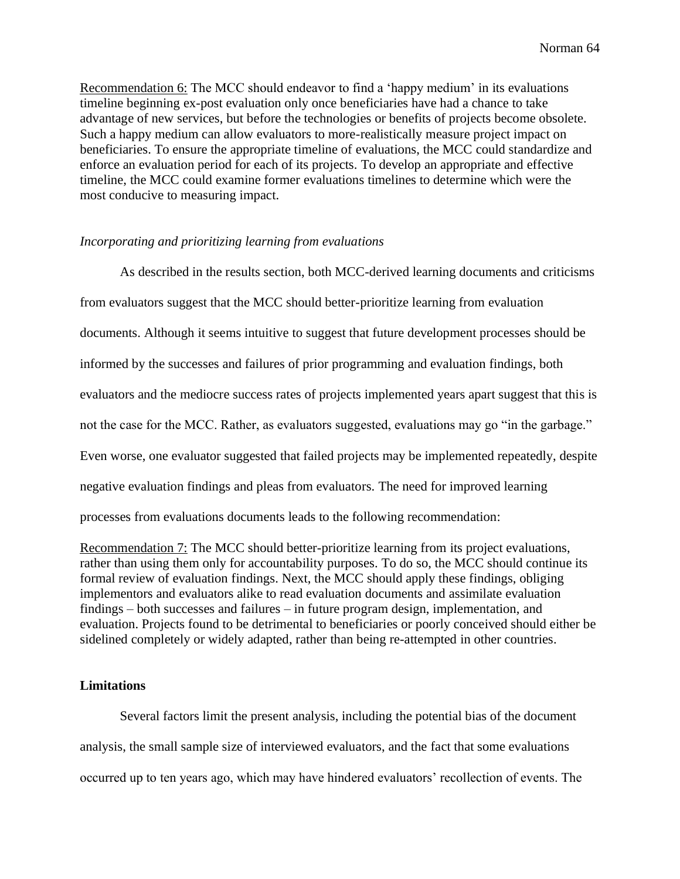Recommendation 6: The MCC should endeavor to find a 'happy medium' in its evaluations timeline beginning ex-post evaluation only once beneficiaries have had a chance to take advantage of new services, but before the technologies or benefits of projects become obsolete. Such a happy medium can allow evaluators to more-realistically measure project impact on beneficiaries. To ensure the appropriate timeline of evaluations, the MCC could standardize and enforce an evaluation period for each of its projects. To develop an appropriate and effective timeline, the MCC could examine former evaluations timelines to determine which were the most conducive to measuring impact.

## *Incorporating and prioritizing learning from evaluations*

As described in the results section, both MCC-derived learning documents and criticisms from evaluators suggest that the MCC should better-prioritize learning from evaluation documents. Although it seems intuitive to suggest that future development processes should be informed by the successes and failures of prior programming and evaluation findings, both evaluators and the mediocre success rates of projects implemented years apart suggest that this is not the case for the MCC. Rather, as evaluators suggested, evaluations may go "in the garbage." Even worse, one evaluator suggested that failed projects may be implemented repeatedly, despite negative evaluation findings and pleas from evaluators. The need for improved learning processes from evaluations documents leads to the following recommendation:

Recommendation 7: The MCC should better-prioritize learning from its project evaluations, rather than using them only for accountability purposes. To do so, the MCC should continue its formal review of evaluation findings. Next, the MCC should apply these findings, obliging implementors and evaluators alike to read evaluation documents and assimilate evaluation findings – both successes and failures – in future program design, implementation, and evaluation. Projects found to be detrimental to beneficiaries or poorly conceived should either be sidelined completely or widely adapted, rather than being re-attempted in other countries.

## **Limitations**

Several factors limit the present analysis, including the potential bias of the document analysis, the small sample size of interviewed evaluators, and the fact that some evaluations occurred up to ten years ago, which may have hindered evaluators' recollection of events. The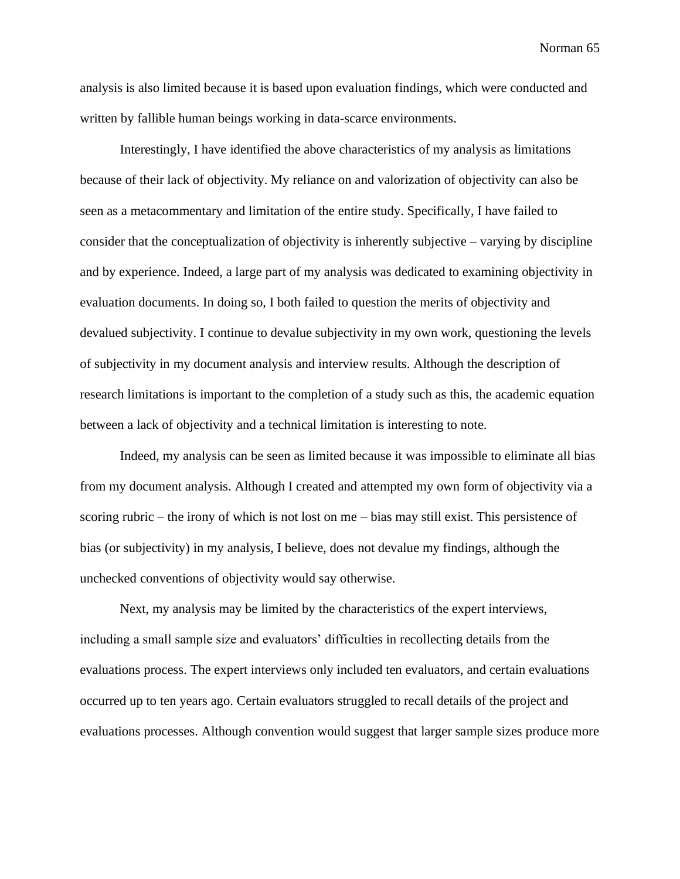analysis is also limited because it is based upon evaluation findings, which were conducted and written by fallible human beings working in data-scarce environments.

Interestingly, I have identified the above characteristics of my analysis as limitations because of their lack of objectivity. My reliance on and valorization of objectivity can also be seen as a metacommentary and limitation of the entire study. Specifically, I have failed to consider that the conceptualization of objectivity is inherently subjective – varying by discipline and by experience. Indeed, a large part of my analysis was dedicated to examining objectivity in evaluation documents. In doing so, I both failed to question the merits of objectivity and devalued subjectivity. I continue to devalue subjectivity in my own work, questioning the levels of subjectivity in my document analysis and interview results. Although the description of research limitations is important to the completion of a study such as this, the academic equation between a lack of objectivity and a technical limitation is interesting to note.

Indeed, my analysis can be seen as limited because it was impossible to eliminate all bias from my document analysis. Although I created and attempted my own form of objectivity via a scoring rubric – the irony of which is not lost on me – bias may still exist. This persistence of bias (or subjectivity) in my analysis, I believe, does not devalue my findings, although the unchecked conventions of objectivity would say otherwise.

Next, my analysis may be limited by the characteristics of the expert interviews, including a small sample size and evaluators' difficulties in recollecting details from the evaluations process. The expert interviews only included ten evaluators, and certain evaluations occurred up to ten years ago. Certain evaluators struggled to recall details of the project and evaluations processes. Although convention would suggest that larger sample sizes produce more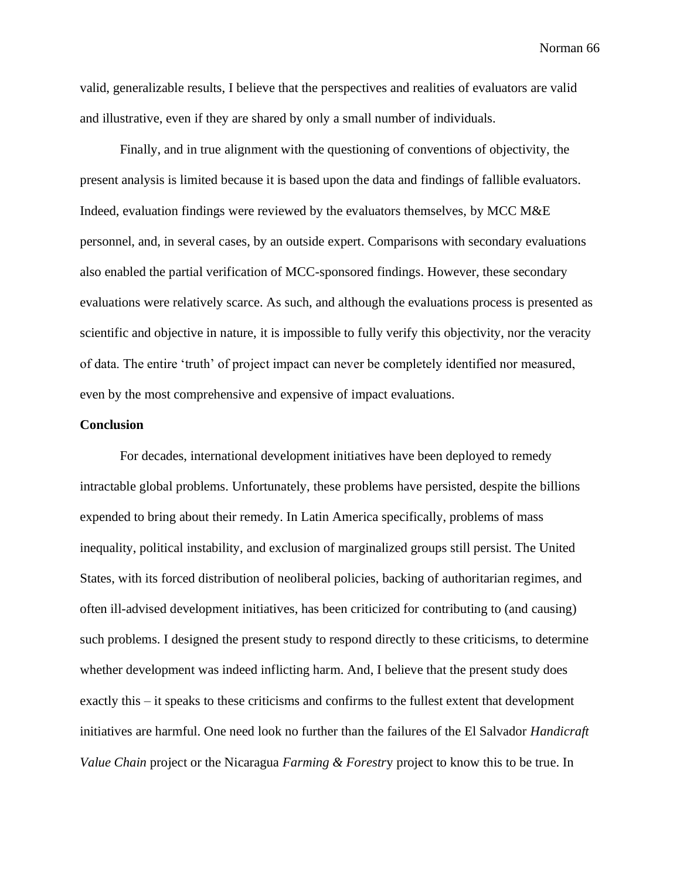valid, generalizable results, I believe that the perspectives and realities of evaluators are valid and illustrative, even if they are shared by only a small number of individuals.

Finally, and in true alignment with the questioning of conventions of objectivity, the present analysis is limited because it is based upon the data and findings of fallible evaluators. Indeed, evaluation findings were reviewed by the evaluators themselves, by MCC M&E personnel, and, in several cases, by an outside expert. Comparisons with secondary evaluations also enabled the partial verification of MCC-sponsored findings. However, these secondary evaluations were relatively scarce. As such, and although the evaluations process is presented as scientific and objective in nature, it is impossible to fully verify this objectivity, nor the veracity of data. The entire 'truth' of project impact can never be completely identified nor measured, even by the most comprehensive and expensive of impact evaluations.

#### **Conclusion**

For decades, international development initiatives have been deployed to remedy intractable global problems. Unfortunately, these problems have persisted, despite the billions expended to bring about their remedy. In Latin America specifically, problems of mass inequality, political instability, and exclusion of marginalized groups still persist. The United States, with its forced distribution of neoliberal policies, backing of authoritarian regimes, and often ill-advised development initiatives, has been criticized for contributing to (and causing) such problems. I designed the present study to respond directly to these criticisms, to determine whether development was indeed inflicting harm. And, I believe that the present study does exactly this – it speaks to these criticisms and confirms to the fullest extent that development initiatives are harmful. One need look no further than the failures of the El Salvador *Handicraft Value Chain* project or the Nicaragua *Farming & Forestr*y project to know this to be true. In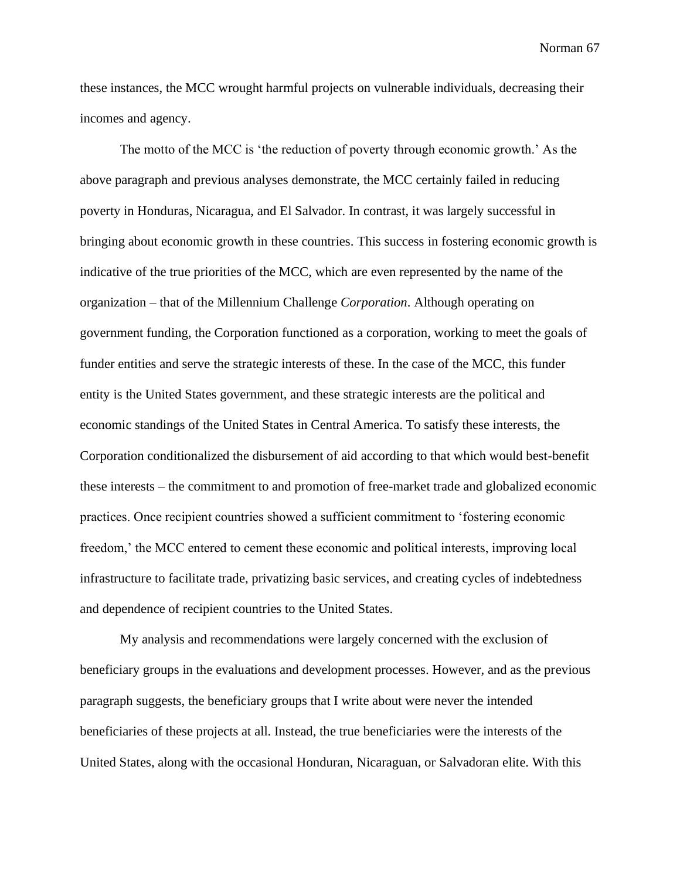these instances, the MCC wrought harmful projects on vulnerable individuals, decreasing their incomes and agency.

The motto of the MCC is 'the reduction of poverty through economic growth.' As the above paragraph and previous analyses demonstrate, the MCC certainly failed in reducing poverty in Honduras, Nicaragua, and El Salvador. In contrast, it was largely successful in bringing about economic growth in these countries. This success in fostering economic growth is indicative of the true priorities of the MCC, which are even represented by the name of the organization – that of the Millennium Challenge *Corporation*. Although operating on government funding, the Corporation functioned as a corporation, working to meet the goals of funder entities and serve the strategic interests of these. In the case of the MCC, this funder entity is the United States government, and these strategic interests are the political and economic standings of the United States in Central America. To satisfy these interests, the Corporation conditionalized the disbursement of aid according to that which would best-benefit these interests – the commitment to and promotion of free-market trade and globalized economic practices. Once recipient countries showed a sufficient commitment to 'fostering economic freedom,' the MCC entered to cement these economic and political interests, improving local infrastructure to facilitate trade, privatizing basic services, and creating cycles of indebtedness and dependence of recipient countries to the United States.

My analysis and recommendations were largely concerned with the exclusion of beneficiary groups in the evaluations and development processes. However, and as the previous paragraph suggests, the beneficiary groups that I write about were never the intended beneficiaries of these projects at all. Instead, the true beneficiaries were the interests of the United States, along with the occasional Honduran, Nicaraguan, or Salvadoran elite. With this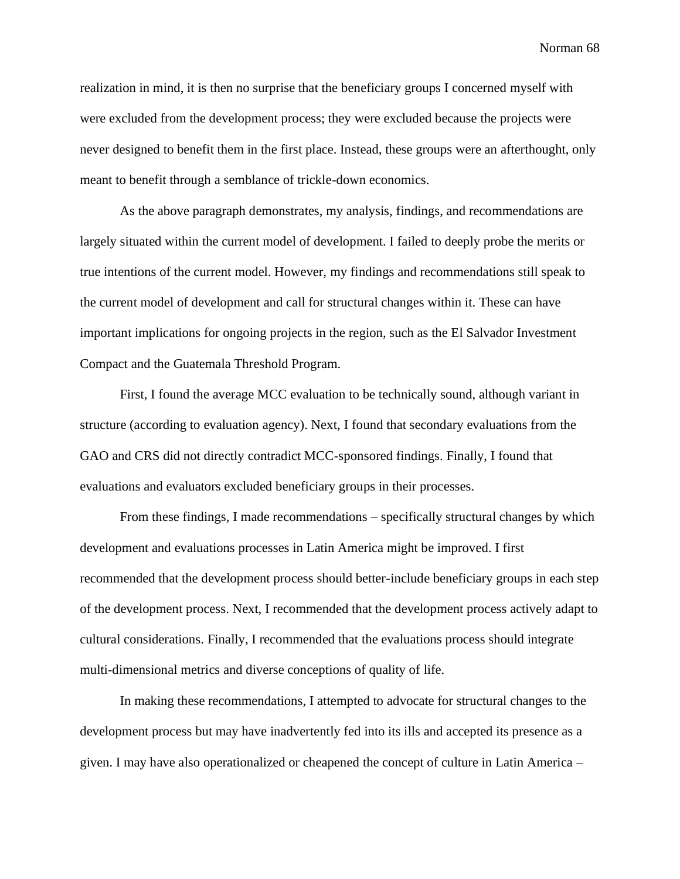realization in mind, it is then no surprise that the beneficiary groups I concerned myself with were excluded from the development process; they were excluded because the projects were never designed to benefit them in the first place. Instead, these groups were an afterthought, only meant to benefit through a semblance of trickle-down economics.

As the above paragraph demonstrates, my analysis, findings, and recommendations are largely situated within the current model of development. I failed to deeply probe the merits or true intentions of the current model. However, my findings and recommendations still speak to the current model of development and call for structural changes within it. These can have important implications for ongoing projects in the region, such as the El Salvador Investment Compact and the Guatemala Threshold Program.

First, I found the average MCC evaluation to be technically sound, although variant in structure (according to evaluation agency). Next, I found that secondary evaluations from the GAO and CRS did not directly contradict MCC-sponsored findings. Finally, I found that evaluations and evaluators excluded beneficiary groups in their processes.

From these findings, I made recommendations – specifically structural changes by which development and evaluations processes in Latin America might be improved. I first recommended that the development process should better-include beneficiary groups in each step of the development process. Next, I recommended that the development process actively adapt to cultural considerations. Finally, I recommended that the evaluations process should integrate multi-dimensional metrics and diverse conceptions of quality of life.

In making these recommendations, I attempted to advocate for structural changes to the development process but may have inadvertently fed into its ills and accepted its presence as a given. I may have also operationalized or cheapened the concept of culture in Latin America –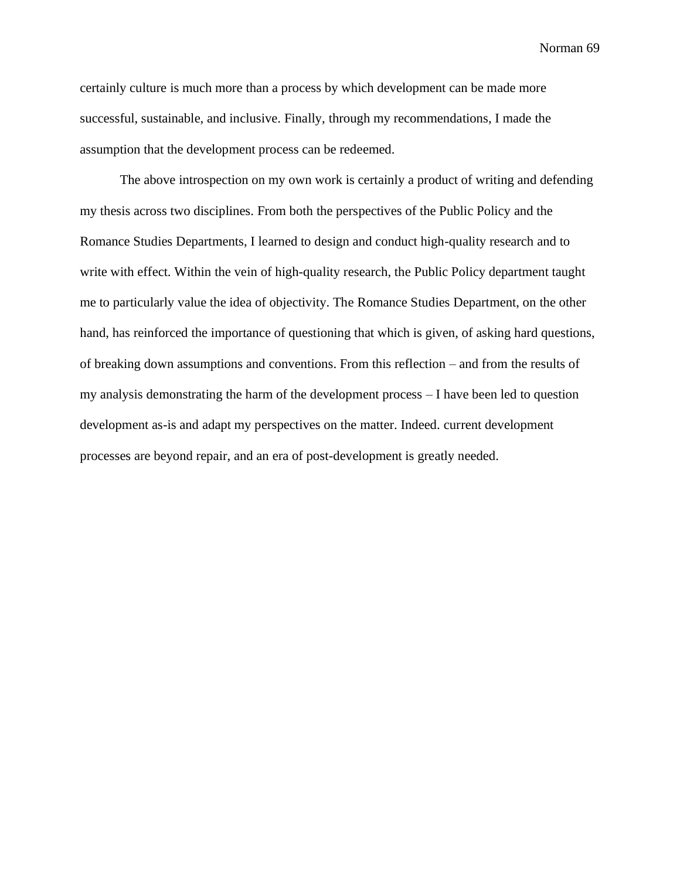certainly culture is much more than a process by which development can be made more successful, sustainable, and inclusive. Finally, through my recommendations, I made the assumption that the development process can be redeemed.

The above introspection on my own work is certainly a product of writing and defending my thesis across two disciplines. From both the perspectives of the Public Policy and the Romance Studies Departments, I learned to design and conduct high-quality research and to write with effect. Within the vein of high-quality research, the Public Policy department taught me to particularly value the idea of objectivity. The Romance Studies Department, on the other hand, has reinforced the importance of questioning that which is given, of asking hard questions, of breaking down assumptions and conventions. From this reflection – and from the results of my analysis demonstrating the harm of the development process – I have been led to question development as-is and adapt my perspectives on the matter. Indeed. current development processes are beyond repair, and an era of post-development is greatly needed.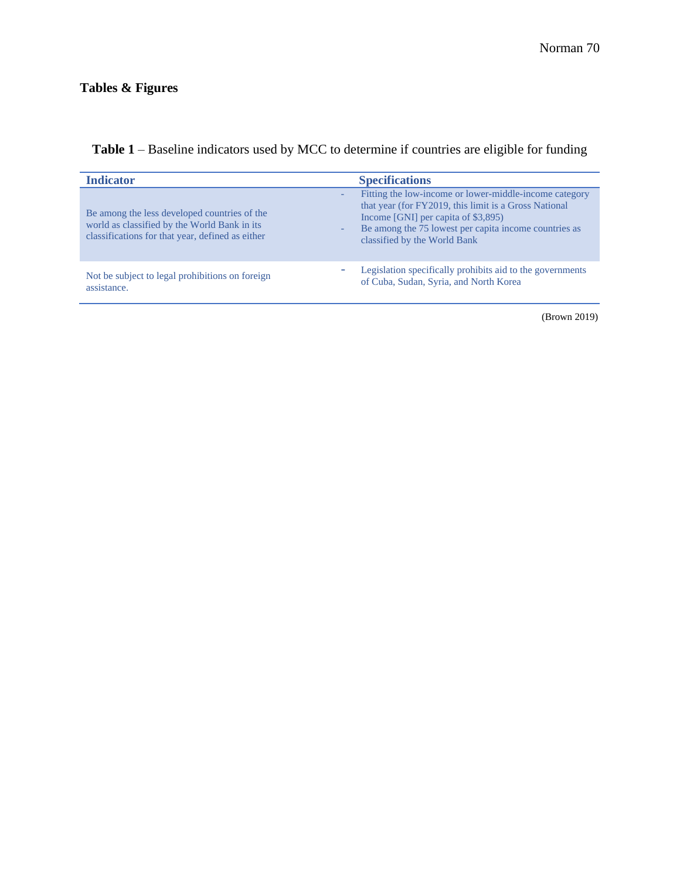| <b>Indicator</b>                                                                                                                                 | <b>Specifications</b>                                                                                                                                                                                                                           |
|--------------------------------------------------------------------------------------------------------------------------------------------------|-------------------------------------------------------------------------------------------------------------------------------------------------------------------------------------------------------------------------------------------------|
| Be among the less developed countries of the<br>world as classified by the World Bank in its<br>classifications for that year, defined as either | Fitting the low-income or lower-middle-income category<br>that year (for FY2019, this limit is a Gross National<br>Income [GNI] per capita of \$3,895)<br>Be among the 75 lowest per capita income countries as<br>classified by the World Bank |
| Not be subject to legal prohibitions on foreign<br>assistance.                                                                                   | Legislation specifically prohibits aid to the governments<br>of Cuba, Sudan, Syria, and North Korea                                                                                                                                             |

# **Table 1** – Baseline indicators used by MCC to determine if countries are eligible for funding

(Brown 2019)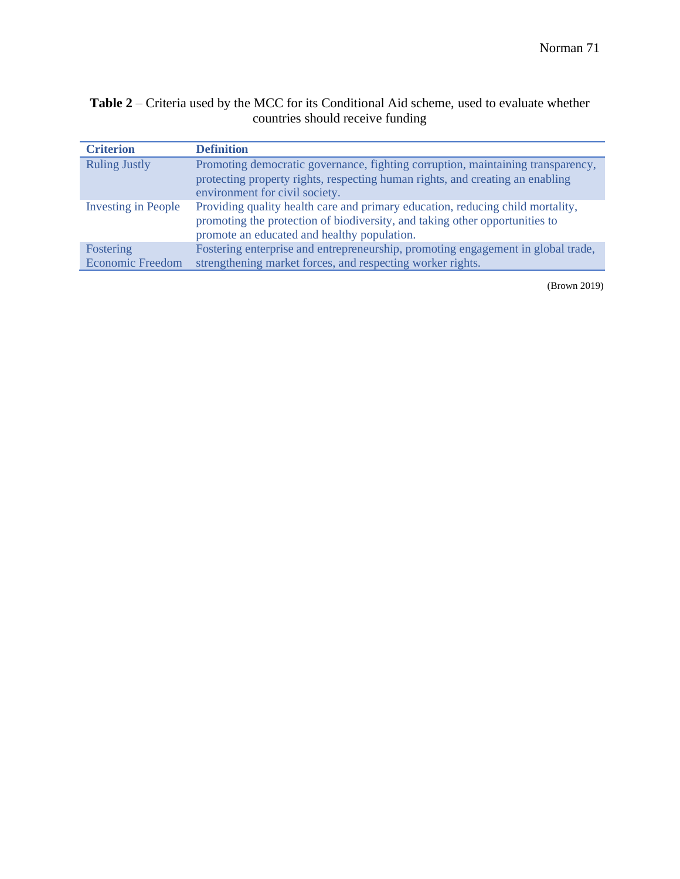## **Table 2** – Criteria used by the MCC for its Conditional Aid scheme, used to evaluate whether countries should receive funding

| <b>Criterion</b>           | <b>Definition</b>                                                                                                                                                                                            |
|----------------------------|--------------------------------------------------------------------------------------------------------------------------------------------------------------------------------------------------------------|
| <b>Ruling Justly</b>       | Promoting democratic governance, fighting corruption, maintaining transparency,<br>protecting property rights, respecting human rights, and creating an enabling<br>environment for civil society.           |
| <b>Investing in People</b> | Providing quality health care and primary education, reducing child mortality,<br>promoting the protection of biodiversity, and taking other opportunities to<br>promote an educated and healthy population. |
| Fostering                  | Fostering enterprise and entrepreneurship, promoting engagement in global trade,                                                                                                                             |
| <b>Economic Freedom</b>    | strengthening market forces, and respecting worker rights.                                                                                                                                                   |

(Brown 2019)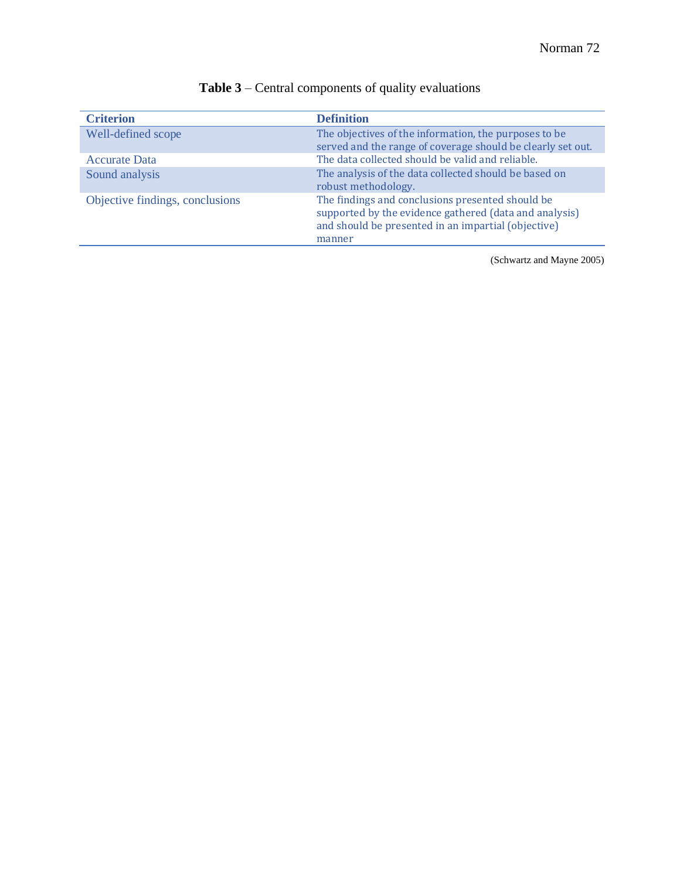| <b>Criterion</b>                | <b>Definition</b>                                                                                                                                                           |
|---------------------------------|-----------------------------------------------------------------------------------------------------------------------------------------------------------------------------|
| Well-defined scope              | The objectives of the information, the purposes to be<br>served and the range of coverage should be clearly set out.                                                        |
| <b>Accurate Data</b>            | The data collected should be valid and reliable.                                                                                                                            |
| Sound analysis                  | The analysis of the data collected should be based on<br>robust methodology.                                                                                                |
| Objective findings, conclusions | The findings and conclusions presented should be<br>supported by the evidence gathered (data and analysis)<br>and should be presented in an impartial (objective)<br>manner |

# **Table 3** – Central components of quality evaluations

(Schwartz and Mayne 2005)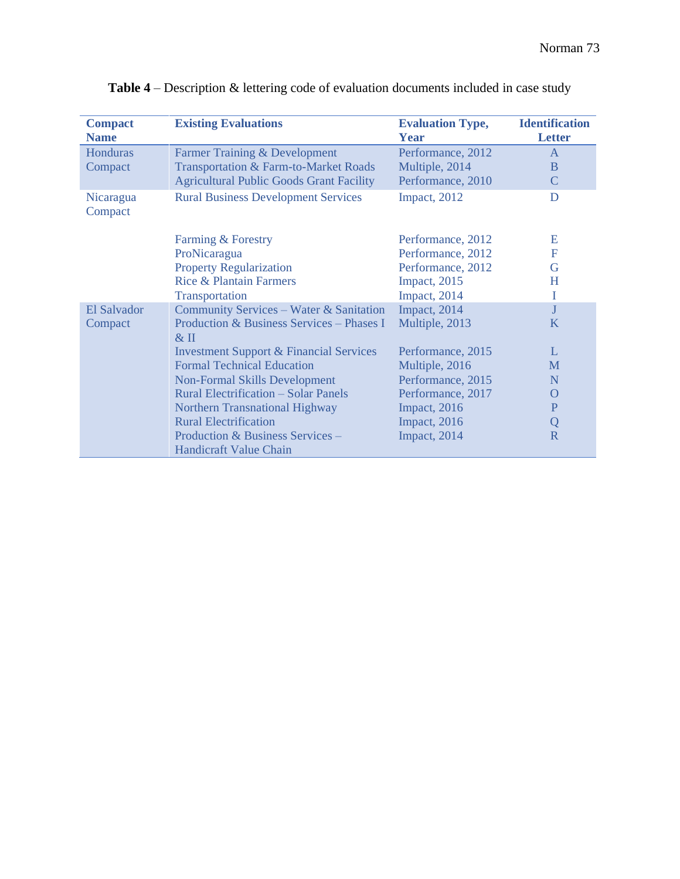| <b>Compact</b><br><b>Name</b> | <b>Existing Evaluations</b>                         | <b>Evaluation Type,</b><br>Year | <b>Identification</b><br><b>Letter</b> |
|-------------------------------|-----------------------------------------------------|---------------------------------|----------------------------------------|
| Honduras                      | Farmer Training & Development                       | Performance, 2012               | $\overline{A}$                         |
| Compact                       | Transportation & Farm-to-Market Roads               | Multiple, 2014                  | B                                      |
|                               | <b>Agricultural Public Goods Grant Facility</b>     | Performance, 2010               | C                                      |
| Nicaragua<br>Compact          | <b>Rural Business Development Services</b>          | Impact, 2012                    | D                                      |
|                               | Farming & Forestry                                  | Performance, 2012               | Ε                                      |
|                               | ProNicaragua                                        | Performance, 2012               | F                                      |
|                               | <b>Property Regularization</b>                      | Performance, 2012               | G                                      |
|                               | <b>Rice &amp; Plantain Farmers</b>                  | Impact, 2015                    | H                                      |
|                               | Transportation                                      | Impact, 2014                    | I                                      |
| El Salvador                   | Community Services - Water & Sanitation             | Impact, 2014                    | J                                      |
| Compact                       | Production & Business Services - Phases I<br>$&$ II | Multiple, 2013                  | K                                      |
|                               | <b>Investment Support &amp; Financial Services</b>  | Performance, 2015               | L                                      |
|                               | <b>Formal Technical Education</b>                   | Multiple, 2016                  | M                                      |
|                               | <b>Non-Formal Skills Development</b>                | Performance, 2015               | $\mathbf N$                            |
|                               | <b>Rural Electrification - Solar Panels</b>         | Performance, 2017               | $\Omega$                               |
|                               | <b>Northern Transnational Highway</b>               | Impact, 2016                    | ${\bf P}$                              |
|                               | <b>Rural Electrification</b>                        | Impact, 2016                    | Q                                      |
|                               | Production & Business Services -                    | Impact, 2014                    | $\overline{\mathbf{R}}$                |
|                               | Handicraft Value Chain                              |                                 |                                        |

|  |  | Table 4 – Description & lettering code of evaluation documents included in case study |  |
|--|--|---------------------------------------------------------------------------------------|--|
|--|--|---------------------------------------------------------------------------------------|--|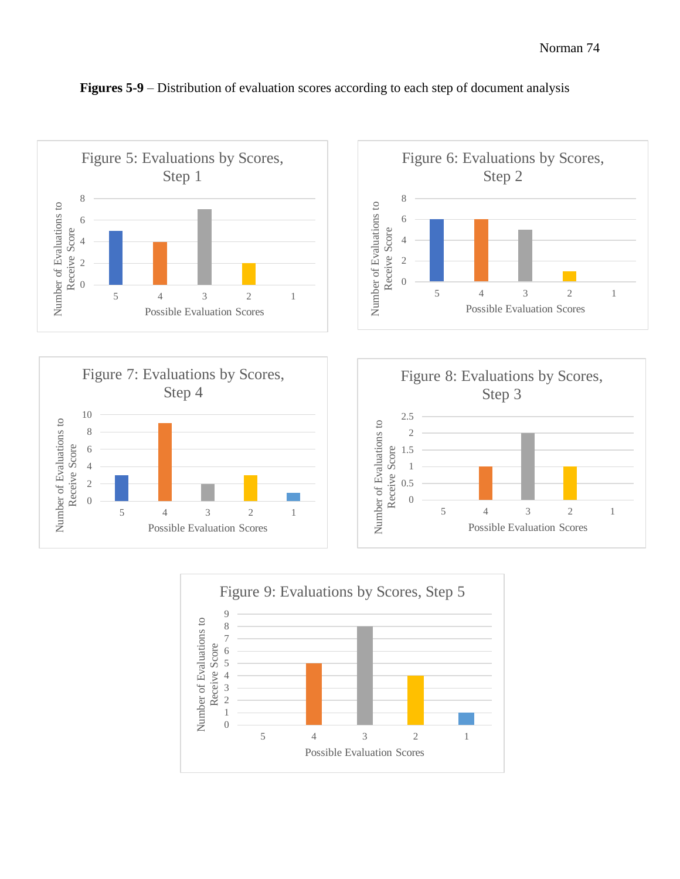

#### **Figures 5-9** – Distribution of evaluation scores according to each step of document analysis







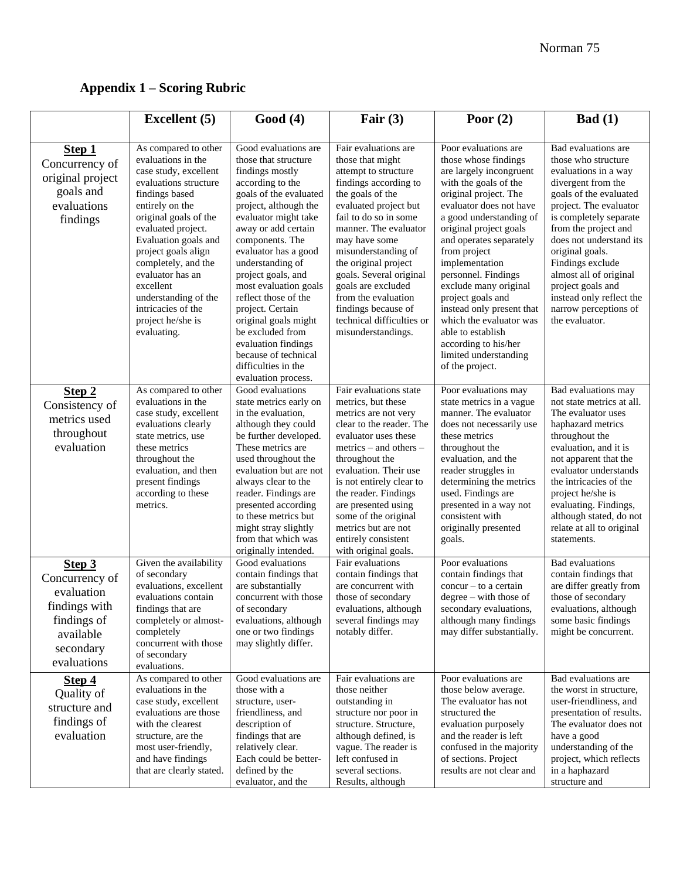# **Appendix 1 – Scoring Rubric**

|                                                                                                                 | <b>Excellent</b> (5)                                                                                                                                                                                                                                                                                                                                                      | Good(4)                                                                                                                                                                                                                                                                                                                                                                                                                                                                                  | Fair $(3)$                                                                                                                                                                                                                                                                                                                                                                                                 | Poor $(2)$                                                                                                                                                                                                                                                                                                                                                                                                                                                                                   | Bad (1)                                                                                                                                                                                                                                                                                                                                                                                |
|-----------------------------------------------------------------------------------------------------------------|---------------------------------------------------------------------------------------------------------------------------------------------------------------------------------------------------------------------------------------------------------------------------------------------------------------------------------------------------------------------------|------------------------------------------------------------------------------------------------------------------------------------------------------------------------------------------------------------------------------------------------------------------------------------------------------------------------------------------------------------------------------------------------------------------------------------------------------------------------------------------|------------------------------------------------------------------------------------------------------------------------------------------------------------------------------------------------------------------------------------------------------------------------------------------------------------------------------------------------------------------------------------------------------------|----------------------------------------------------------------------------------------------------------------------------------------------------------------------------------------------------------------------------------------------------------------------------------------------------------------------------------------------------------------------------------------------------------------------------------------------------------------------------------------------|----------------------------------------------------------------------------------------------------------------------------------------------------------------------------------------------------------------------------------------------------------------------------------------------------------------------------------------------------------------------------------------|
|                                                                                                                 |                                                                                                                                                                                                                                                                                                                                                                           |                                                                                                                                                                                                                                                                                                                                                                                                                                                                                          |                                                                                                                                                                                                                                                                                                                                                                                                            |                                                                                                                                                                                                                                                                                                                                                                                                                                                                                              |                                                                                                                                                                                                                                                                                                                                                                                        |
| <b>Step 1</b><br>Concurrency of<br>original project<br>goals and<br>evaluations<br>findings                     | As compared to other<br>evaluations in the<br>case study, excellent<br>evaluations structure<br>findings based<br>entirely on the<br>original goals of the<br>evaluated project.<br>Evaluation goals and<br>project goals align<br>completely, and the<br>evaluator has an<br>excellent<br>understanding of the<br>intricacies of the<br>project he/she is<br>evaluating. | Good evaluations are<br>those that structure<br>findings mostly<br>according to the<br>goals of the evaluated<br>project, although the<br>evaluator might take<br>away or add certain<br>components. The<br>evaluator has a good<br>understanding of<br>project goals, and<br>most evaluation goals<br>reflect those of the<br>project. Certain<br>original goals might<br>be excluded from<br>evaluation findings<br>because of technical<br>difficulties in the<br>evaluation process. | Fair evaluations are<br>those that might<br>attempt to structure<br>findings according to<br>the goals of the<br>evaluated project but<br>fail to do so in some<br>manner. The evaluator<br>may have some<br>misunderstanding of<br>the original project<br>goals. Several original<br>goals are excluded<br>from the evaluation<br>findings because of<br>technical difficulties or<br>misunderstandings. | Poor evaluations are<br>those whose findings<br>are largely incongruent<br>with the goals of the<br>original project. The<br>evaluator does not have<br>a good understanding of<br>original project goals<br>and operates separately<br>from project<br>implementation<br>personnel. Findings<br>exclude many original<br>project goals and<br>instead only present that<br>which the evaluator was<br>able to establish<br>according to his/her<br>limited understanding<br>of the project. | Bad evaluations are<br>those who structure<br>evaluations in a way<br>divergent from the<br>goals of the evaluated<br>project. The evaluator<br>is completely separate<br>from the project and<br>does not understand its<br>original goals.<br>Findings exclude<br>almost all of original<br>project goals and<br>instead only reflect the<br>narrow perceptions of<br>the evaluator. |
| Step 2<br>Consistency of<br>metrics used<br>throughout<br>evaluation                                            | As compared to other<br>evaluations in the<br>case study, excellent<br>evaluations clearly<br>state metrics, use<br>these metrics<br>throughout the<br>evaluation, and then<br>present findings<br>according to these<br>metrics.                                                                                                                                         | Good evaluations<br>state metrics early on<br>in the evaluation,<br>although they could<br>be further developed.<br>These metrics are<br>used throughout the<br>evaluation but are not<br>always clear to the<br>reader. Findings are<br>presented according<br>to these metrics but<br>might stray slightly<br>from that which was<br>originally intended.                                                                                                                              | Fair evaluations state<br>metrics, but these<br>metrics are not very<br>clear to the reader. The<br>evaluator uses these<br>$metrics - and others -$<br>throughout the<br>evaluation. Their use<br>is not entirely clear to<br>the reader. Findings<br>are presented using<br>some of the original<br>metrics but are not<br>entirely consistent<br>with original goals.                                   | Poor evaluations may<br>state metrics in a vague<br>manner. The evaluator<br>does not necessarily use<br>these metrics<br>throughout the<br>evaluation, and the<br>reader struggles in<br>determining the metrics<br>used. Findings are<br>presented in a way not<br>consistent with<br>originally presented<br>goals.                                                                                                                                                                       | Bad evaluations may<br>not state metrics at all.<br>The evaluator uses<br>haphazard metrics<br>throughout the<br>evaluation, and it is<br>not apparent that the<br>evaluator understands<br>the intricacies of the<br>project he/she is<br>evaluating. Findings,<br>although stated, do not<br>relate at all to original<br>statements.                                                |
| Step 3<br>Concurrency of<br>evaluation<br>findings with<br>findings of<br>available<br>secondary<br>evaluations | Given the availability<br>of secondary<br>evaluations, excellent<br>evaluations contain<br>findings that are<br>completely or almost-<br>completely<br>concurrent with those<br>of secondary<br>evaluations.                                                                                                                                                              | Good evaluations<br>contain findings that<br>are substantially<br>concurrent with those<br>of secondary<br>evaluations, although<br>one or two findings<br>may slightly differ.                                                                                                                                                                                                                                                                                                          | Fair evaluations<br>contain findings that<br>are concurrent with<br>those of secondary<br>evaluations, although<br>several findings may<br>notably differ.                                                                                                                                                                                                                                                 | Poor evaluations<br>contain findings that<br>concur - to a certain<br>$degree - with those of$<br>secondary evaluations,<br>although many findings<br>may differ substantially.                                                                                                                                                                                                                                                                                                              | <b>Bad</b> evaluations<br>contain findings that<br>are differ greatly from<br>those of secondary<br>evaluations, although<br>some basic findings<br>might be concurrent.                                                                                                                                                                                                               |
| Step 4<br>Quality of<br>structure and<br>findings of<br>evaluation                                              | As compared to other<br>evaluations in the<br>case study, excellent<br>evaluations are those<br>with the clearest<br>structure, are the<br>most user-friendly,<br>and have findings<br>that are clearly stated.                                                                                                                                                           | Good evaluations are<br>those with a<br>structure, user-<br>friendliness, and<br>description of<br>findings that are<br>relatively clear.<br>Each could be better-<br>defined by the<br>evaluator, and the                                                                                                                                                                                                                                                                               | Fair evaluations are<br>those neither<br>outstanding in<br>structure nor poor in<br>structure. Structure,<br>although defined, is<br>vague. The reader is<br>left confused in<br>several sections.<br>Results, although                                                                                                                                                                                    | Poor evaluations are<br>those below average.<br>The evaluator has not<br>structured the<br>evaluation purposely<br>and the reader is left<br>confused in the majority<br>of sections. Project<br>results are not clear and                                                                                                                                                                                                                                                                   | Bad evaluations are<br>the worst in structure,<br>user-friendliness, and<br>presentation of results.<br>The evaluator does not<br>have a good<br>understanding of the<br>project, which reflects<br>in a haphazard<br>structure and                                                                                                                                                    |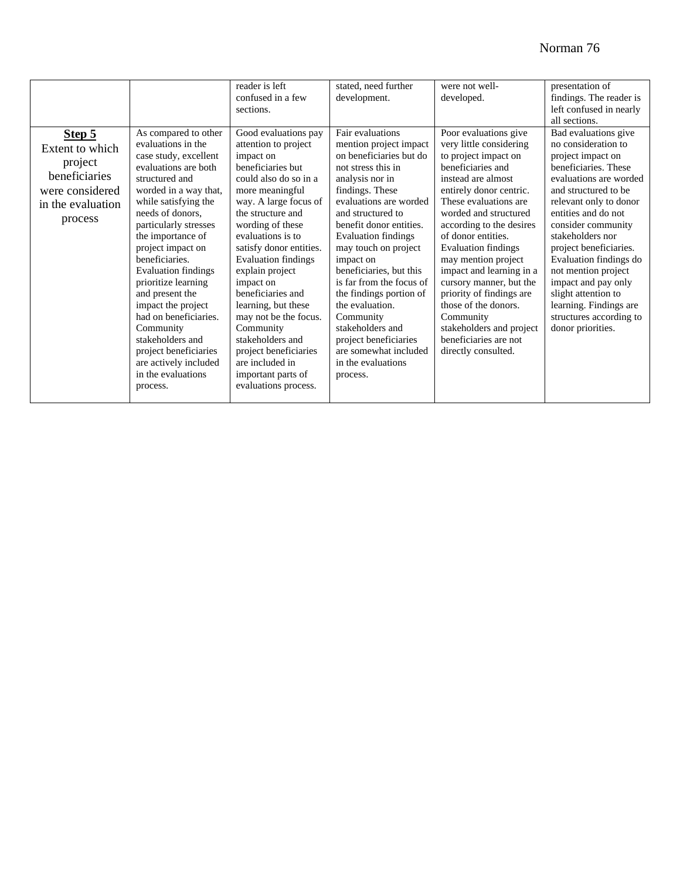|                                                                                                          |                                                                                                                                                                                                                                                                                                                                                                                                                                                                                                                     | reader is left<br>confused in a few<br>sections.                                                                                                                                                                                                                                                                                                                                                                                                                                                           | stated, need further<br>development.                                                                                                                                                                                                                                                                                                                                                                                                                                                                     | were not well-<br>developed.                                                                                                                                                                                                                                                                                                                                                                                                                                                                                | presentation of<br>findings. The reader is<br>left confused in nearly<br>all sections.                                                                                                                                                                                                                                                                                                                                                   |
|----------------------------------------------------------------------------------------------------------|---------------------------------------------------------------------------------------------------------------------------------------------------------------------------------------------------------------------------------------------------------------------------------------------------------------------------------------------------------------------------------------------------------------------------------------------------------------------------------------------------------------------|------------------------------------------------------------------------------------------------------------------------------------------------------------------------------------------------------------------------------------------------------------------------------------------------------------------------------------------------------------------------------------------------------------------------------------------------------------------------------------------------------------|----------------------------------------------------------------------------------------------------------------------------------------------------------------------------------------------------------------------------------------------------------------------------------------------------------------------------------------------------------------------------------------------------------------------------------------------------------------------------------------------------------|-------------------------------------------------------------------------------------------------------------------------------------------------------------------------------------------------------------------------------------------------------------------------------------------------------------------------------------------------------------------------------------------------------------------------------------------------------------------------------------------------------------|------------------------------------------------------------------------------------------------------------------------------------------------------------------------------------------------------------------------------------------------------------------------------------------------------------------------------------------------------------------------------------------------------------------------------------------|
| Step 5<br>Extent to which<br>project<br>beneficiaries<br>were considered<br>in the evaluation<br>process | As compared to other<br>evaluations in the<br>case study, excellent<br>evaluations are both<br>structured and<br>worded in a way that,<br>while satisfying the<br>needs of donors,<br>particularly stresses<br>the importance of<br>project impact on<br>beneficiaries.<br><b>Evaluation findings</b><br>prioritize learning<br>and present the<br>impact the project<br>had on beneficiaries.<br>Community<br>stakeholders and<br>project beneficiaries<br>are actively included<br>in the evaluations<br>process. | Good evaluations pay<br>attention to project<br>impact on<br>beneficiaries but<br>could also do so in a<br>more meaningful<br>way. A large focus of<br>the structure and<br>wording of these<br>evaluations is to<br>satisfy donor entities.<br><b>Evaluation findings</b><br>explain project<br>impact on<br>beneficiaries and<br>learning, but these<br>may not be the focus.<br>Community<br>stakeholders and<br>project beneficiaries<br>are included in<br>important parts of<br>evaluations process. | Fair evaluations<br>mention project impact<br>on beneficiaries but do<br>not stress this in<br>analysis nor in<br>findings. These<br>evaluations are worded<br>and structured to<br>benefit donor entities.<br><b>Evaluation findings</b><br>may touch on project<br>impact on<br>beneficiaries, but this<br>is far from the focus of<br>the findings portion of<br>the evaluation.<br>Community<br>stakeholders and<br>project beneficiaries<br>are somewhat included<br>in the evaluations<br>process. | Poor evaluations give<br>very little considering<br>to project impact on<br>beneficiaries and<br>instead are almost<br>entirely donor centric.<br>These evaluations are<br>worded and structured<br>according to the desires<br>of donor entities.<br><b>Evaluation findings</b><br>may mention project<br>impact and learning in a<br>cursory manner, but the<br>priority of findings are<br>those of the donors.<br>Community<br>stakeholders and project<br>beneficiaries are not<br>directly consulted. | Bad evaluations give<br>no consideration to<br>project impact on<br>beneficiaries. These<br>evaluations are worded<br>and structured to be<br>relevant only to donor<br>entities and do not<br>consider community<br>stakeholders nor<br>project beneficiaries.<br>Evaluation findings do<br>not mention project<br>impact and pay only<br>slight attention to<br>learning. Findings are<br>structures according to<br>donor priorities. |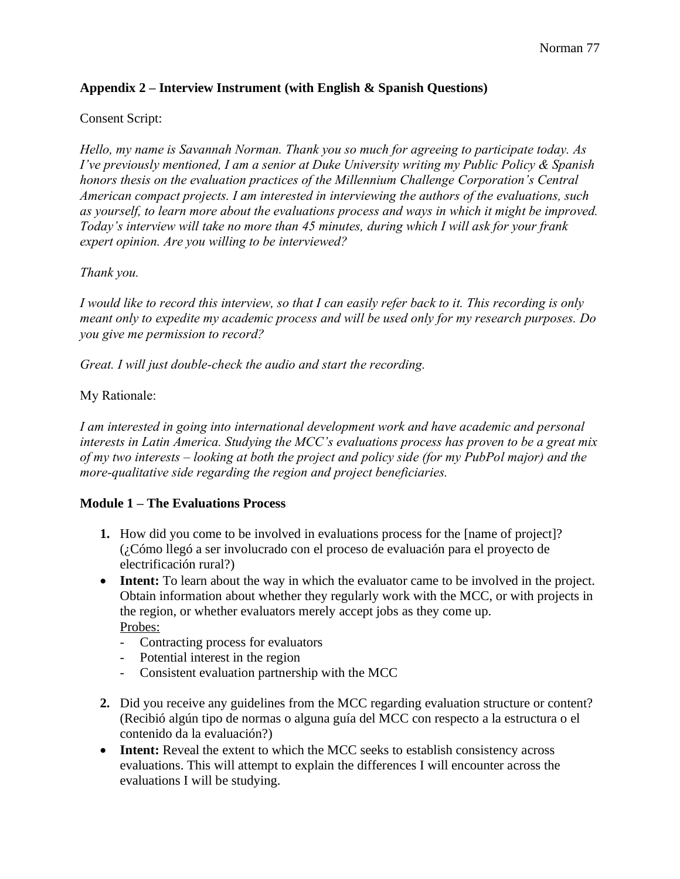## **Appendix 2 – Interview Instrument (with English & Spanish Questions)**

#### Consent Script:

*Hello, my name is Savannah Norman. Thank you so much for agreeing to participate today. As I've previously mentioned, I am a senior at Duke University writing my Public Policy & Spanish honors thesis on the evaluation practices of the Millennium Challenge Corporation's Central American compact projects. I am interested in interviewing the authors of the evaluations, such as yourself, to learn more about the evaluations process and ways in which it might be improved. Today's interview will take no more than 45 minutes, during which I will ask for your frank expert opinion. Are you willing to be interviewed?* 

#### *Thank you.*

*I would like to record this interview, so that I can easily refer back to it. This recording is only meant only to expedite my academic process and will be used only for my research purposes. Do you give me permission to record?* 

*Great. I will just double-check the audio and start the recording.* 

#### My Rationale:

*I am interested in going into international development work and have academic and personal interests in Latin America. Studying the MCC's evaluations process has proven to be a great mix of my two interests – looking at both the project and policy side (for my PubPol major) and the more-qualitative side regarding the region and project beneficiaries.* 

#### **Module 1 – The Evaluations Process**

- **1.** How did you come to be involved in evaluations process for the [name of project]? (¿Cómo llegó a ser involucrado con el proceso de evaluación para el proyecto de electrificación rural?)
- **Intent:** To learn about the way in which the evaluator came to be involved in the project. Obtain information about whether they regularly work with the MCC, or with projects in the region, or whether evaluators merely accept jobs as they come up. Probes:
	- Contracting process for evaluators
	- Potential interest in the region
	- Consistent evaluation partnership with the MCC
- **2.** Did you receive any guidelines from the MCC regarding evaluation structure or content? (Recibió algún tipo de normas o alguna guía del MCC con respecto a la estructura o el contenido da la evaluación?)
- **Intent:** Reveal the extent to which the MCC seeks to establish consistency across evaluations. This will attempt to explain the differences I will encounter across the evaluations I will be studying.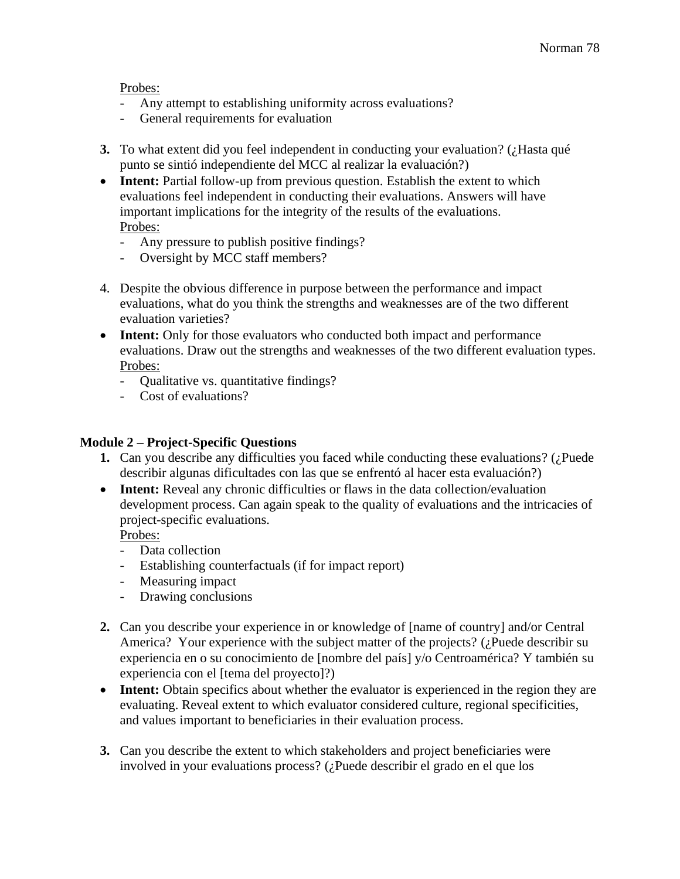Probes:

- Any attempt to establishing uniformity across evaluations?
- General requirements for evaluation
- **3.** To what extent did you feel independent in conducting your evaluation? (¿Hasta qué punto se sintió independiente del MCC al realizar la evaluación?)
- **Intent:** Partial follow-up from previous question. Establish the extent to which evaluations feel independent in conducting their evaluations. Answers will have important implications for the integrity of the results of the evaluations. Probes:
	- Any pressure to publish positive findings?
	- Oversight by MCC staff members?
- 4. Despite the obvious difference in purpose between the performance and impact evaluations, what do you think the strengths and weaknesses are of the two different evaluation varieties?
- **Intent:** Only for those evaluators who conducted both impact and performance evaluations. Draw out the strengths and weaknesses of the two different evaluation types. Probes:
	- Qualitative vs. quantitative findings?
	- Cost of evaluations?

## **Module 2 – Project-Specific Questions**

- **1.** Can you describe any difficulties you faced while conducting these evaluations? (¿Puede describir algunas dificultades con las que se enfrentó al hacer esta evaluación?)
- **Intent:** Reveal any chronic difficulties or flaws in the data collection/evaluation development process. Can again speak to the quality of evaluations and the intricacies of project-specific evaluations.

Probes:

- Data collection
- Establishing counterfactuals (if for impact report)
- Measuring impact
- Drawing conclusions
- **2.** Can you describe your experience in or knowledge of [name of country] and/or Central America? Your experience with the subject matter of the projects? (¿Puede describir su experiencia en o su conocimiento de [nombre del país] y/o Centroamérica? Y también su experiencia con el [tema del proyecto]?)
- **Intent:** Obtain specifics about whether the evaluator is experienced in the region they are evaluating. Reveal extent to which evaluator considered culture, regional specificities, and values important to beneficiaries in their evaluation process.
- **3.** Can you describe the extent to which stakeholders and project beneficiaries were involved in your evaluations process? (¿Puede describir el grado en el que los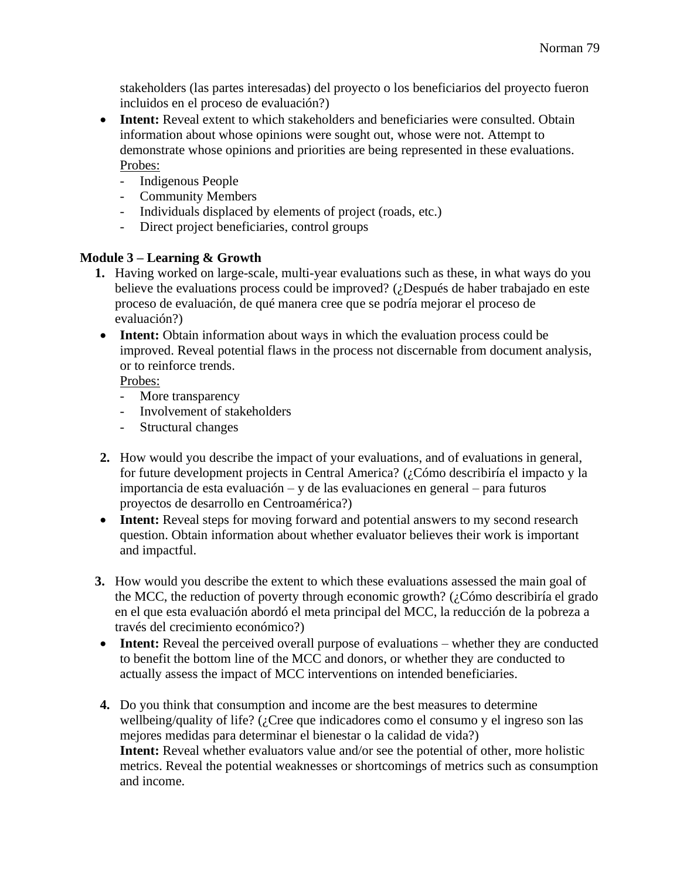stakeholders (las partes interesadas) del proyecto o los beneficiarios del proyecto fueron incluidos en el proceso de evaluación?)

- **Intent:** Reveal extent to which stakeholders and beneficiaries were consulted. Obtain information about whose opinions were sought out, whose were not. Attempt to demonstrate whose opinions and priorities are being represented in these evaluations. Probes:
	- Indigenous People
	- Community Members
	- Individuals displaced by elements of project (roads, etc.)
	- Direct project beneficiaries, control groups

#### **Module 3 – Learning & Growth**

- **1.** Having worked on large-scale, multi-year evaluations such as these, in what ways do you believe the evaluations process could be improved? (¿Después de haber trabajado en este proceso de evaluación, de qué manera cree que se podría mejorar el proceso de evaluación?)
- **Intent:** Obtain information about ways in which the evaluation process could be improved. Reveal potential flaws in the process not discernable from document analysis, or to reinforce trends.

Probes:

- More transparency
- Involvement of stakeholders
- Structural changes
- **2.** How would you describe the impact of your evaluations, and of evaluations in general, for future development projects in Central America? (¿Cómo describiría el impacto y la importancia de esta evaluación – y de las evaluaciones en general – para futuros proyectos de desarrollo en Centroamérica?)
- **Intent:** Reveal steps for moving forward and potential answers to my second research question. Obtain information about whether evaluator believes their work is important and impactful.
- **3.** How would you describe the extent to which these evaluations assessed the main goal of the MCC, the reduction of poverty through economic growth? (¿Cómo describiría el grado en el que esta evaluación abordó el meta principal del MCC, la reducción de la pobreza a través del crecimiento económico?)
- **Intent:** Reveal the perceived overall purpose of evaluations whether they are conducted to benefit the bottom line of the MCC and donors, or whether they are conducted to actually assess the impact of MCC interventions on intended beneficiaries.
- **4.** Do you think that consumption and income are the best measures to determine wellbeing/quality of life? (¿Cree que indicadores como el consumo y el ingreso son las mejores medidas para determinar el bienestar o la calidad de vida?) **Intent:** Reveal whether evaluators value and/or see the potential of other, more holistic metrics. Reveal the potential weaknesses or shortcomings of metrics such as consumption and income.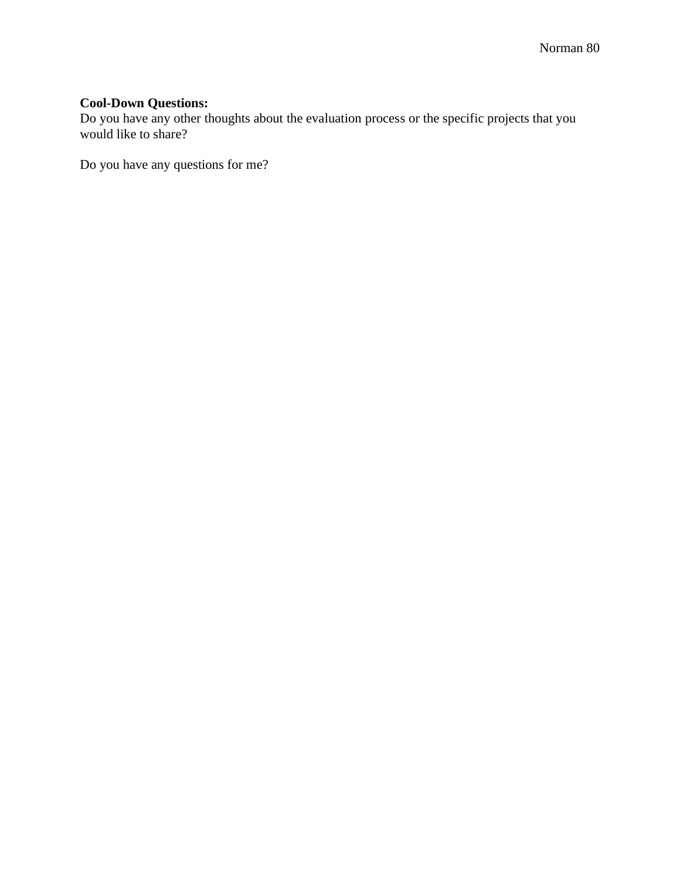### **Cool-Down Questions:**

Do you have any other thoughts about the evaluation process or the specific projects that you would like to share?

Do you have any questions for me?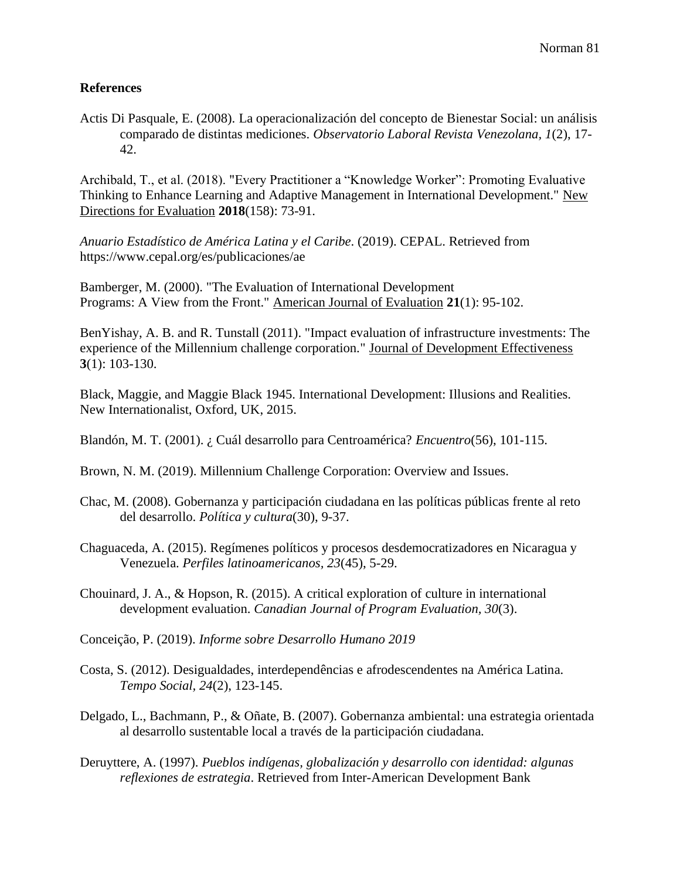#### **References**

Actis Di Pasquale, E. (2008). La operacionalización del concepto de Bienestar Social: un análisis comparado de distintas mediciones. *Observatorio Laboral Revista Venezolana, 1*(2), 17- 42.

Archibald, T., et al. (2018). "Every Practitioner a "Knowledge Worker": Promoting Evaluative Thinking to Enhance Learning and Adaptive Management in International Development." New Directions for Evaluation **2018**(158): 73-91.

*Anuario Estadístico de América Latina y el Caribe*. (2019). CEPAL. Retrieved from https://www.cepal.org/es/publicaciones/ae

Bamberger, M. (2000). "The Evaluation of International Development Programs: A View from the Front." American Journal of Evaluation **21**(1): 95-102.

BenYishay, A. B. and R. Tunstall (2011). "Impact evaluation of infrastructure investments: The experience of the Millennium challenge corporation." Journal of Development Effectiveness **3**(1): 103-130.

Black, Maggie, and Maggie Black 1945. International Development: Illusions and Realities. New Internationalist, Oxford, UK, 2015.

Blandón, M. T. (2001). ¿ Cuál desarrollo para Centroamérica? *Encuentro*(56), 101-115.

Brown, N. M. (2019). Millennium Challenge Corporation: Overview and Issues.

- Chac, M. (2008). Gobernanza y participación ciudadana en las políticas públicas frente al reto del desarrollo. *Política y cultura*(30), 9-37.
- Chaguaceda, A. (2015). Regímenes políticos y procesos desdemocratizadores en Nicaragua y Venezuela. *Perfiles latinoamericanos, 23*(45), 5-29.

Chouinard, J. A., & Hopson, R. (2015). A critical exploration of culture in international development evaluation. *Canadian Journal of Program Evaluation, 30*(3).

Conceição, P. (2019). *Informe sobre Desarrollo Humano 2019*

- Costa, S. (2012). Desigualdades, interdependências e afrodescendentes na América Latina. *Tempo Social, 24*(2), 123-145.
- Delgado, L., Bachmann, P., & Oñate, B. (2007). Gobernanza ambiental: una estrategia orientada al desarrollo sustentable local a través de la participación ciudadana.

Deruyttere, A. (1997). *Pueblos indígenas, globalización y desarrollo con identidad: algunas reflexiones de estrategia*. Retrieved from Inter-American Development Bank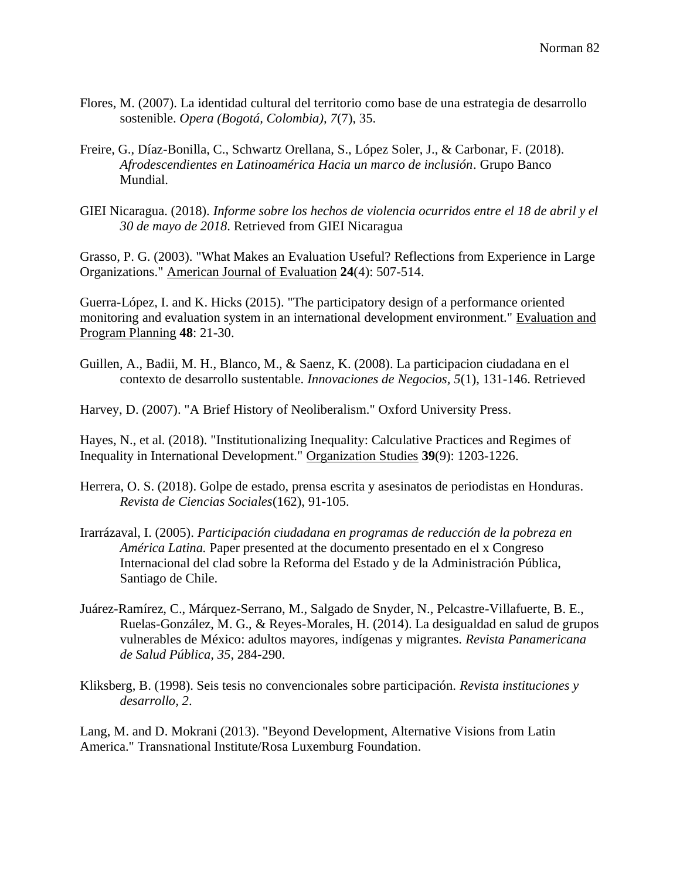- Flores, M. (2007). La identidad cultural del territorio como base de una estrategia de desarrollo sostenible. *Opera (Bogotá, Colombia), 7*(7), 35.
- Freire, G., Díaz-Bonilla, C., Schwartz Orellana, S., López Soler, J., & Carbonar, F. (2018). *Afrodescendientes en Latinoamérica Hacia un marco de inclusión*. Grupo Banco Mundial.
- GIEI Nicaragua. (2018). *Informe sobre los hechos de violencia ocurridos entre el 18 de abril y el 30 de mayo de 2018*. Retrieved from GIEI Nicaragua

Grasso, P. G. (2003). "What Makes an Evaluation Useful? Reflections from Experience in Large Organizations." American Journal of Evaluation **24**(4): 507-514.

Guerra-López, I. and K. Hicks (2015). "The participatory design of a performance oriented monitoring and evaluation system in an international development environment." Evaluation and Program Planning **48**: 21-30.

Guillen, A., Badii, M. H., Blanco, M., & Saenz, K. (2008). La participacion ciudadana en el contexto de desarrollo sustentable. *Innovaciones de Negocios, 5*(1), 131-146. Retrieved

Harvey, D. (2007). "A Brief History of Neoliberalism." Oxford University Press.

Hayes, N., et al. (2018). "Institutionalizing Inequality: Calculative Practices and Regimes of Inequality in International Development." Organization Studies **39**(9): 1203-1226.

- Herrera, O. S. (2018). Golpe de estado, prensa escrita y asesinatos de periodistas en Honduras. *Revista de Ciencias Sociales*(162), 91-105.
- Irarrázaval, I. (2005). *Participación ciudadana en programas de reducción de la pobreza en América Latina.* Paper presented at the documento presentado en el x Congreso Internacional del clad sobre la Reforma del Estado y de la Administración Pública, Santiago de Chile.
- Juárez-Ramírez, C., Márquez-Serrano, M., Salgado de Snyder, N., Pelcastre-Villafuerte, B. E., Ruelas-González, M. G., & Reyes-Morales, H. (2014). La desigualdad en salud de grupos vulnerables de México: adultos mayores, indígenas y migrantes. *Revista Panamericana de Salud Pública, 35*, 284-290.

Kliksberg, B. (1998). Seis tesis no convencionales sobre participación. *Revista instituciones y desarrollo, 2*.

Lang, M. and D. Mokrani (2013). "Beyond Development, Alternative Visions from Latin America." Transnational Institute/Rosa Luxemburg Foundation.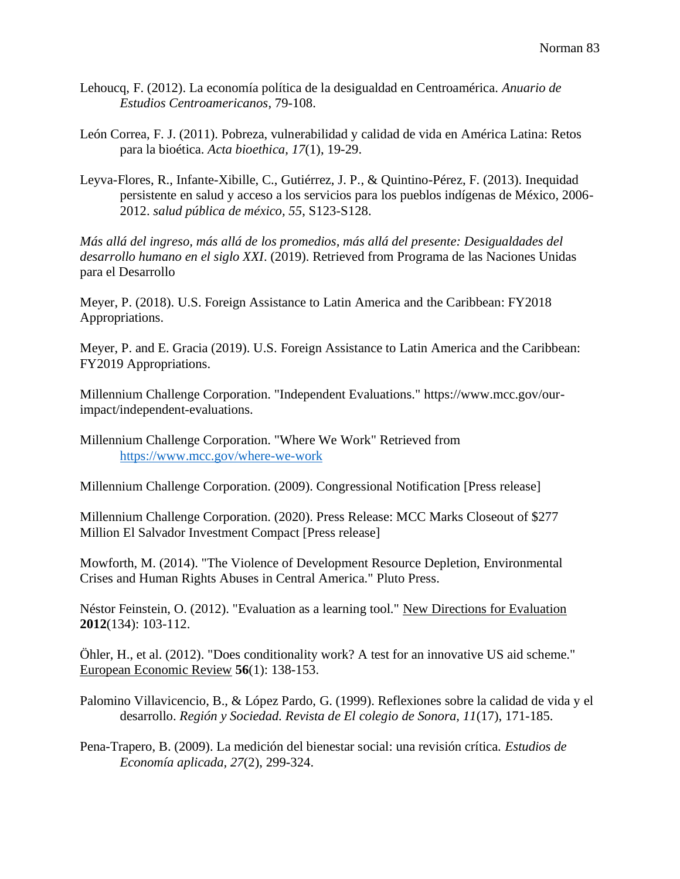- Lehoucq, F. (2012). La economía política de la desigualdad en Centroamérica. *Anuario de Estudios Centroamericanos*, 79-108.
- León Correa, F. J. (2011). Pobreza, vulnerabilidad y calidad de vida en América Latina: Retos para la bioética. *Acta bioethica, 17*(1), 19-29.
- Leyva-Flores, R., Infante-Xibille, C., Gutiérrez, J. P., & Quintino-Pérez, F. (2013). Inequidad persistente en salud y acceso a los servicios para los pueblos indígenas de México, 2006- 2012. *salud pública de méxico, 55*, S123-S128.

*Más allá del ingreso, más allá de los promedios, más allá del presente: Desigualdades del desarrollo humano en el siglo XXI*. (2019). Retrieved from Programa de las Naciones Unidas para el Desarrollo

Meyer, P. (2018). U.S. Foreign Assistance to Latin America and the Caribbean: FY2018 Appropriations.

Meyer, P. and E. Gracia (2019). U.S. Foreign Assistance to Latin America and the Caribbean: FY2019 Appropriations.

Millennium Challenge Corporation. "Independent Evaluations." https://www.mcc.gov/ourimpact/independent-evaluations.

Millennium Challenge Corporation. "Where We Work" Retrieved from <https://www.mcc.gov/where-we-work>

Millennium Challenge Corporation. (2009). Congressional Notification [Press release]

Millennium Challenge Corporation. (2020). Press Release: MCC Marks Closeout of \$277 Million El Salvador Investment Compact [Press release]

Mowforth, M. (2014). "The Violence of Development Resource Depletion, Environmental Crises and Human Rights Abuses in Central America." Pluto Press.

Néstor Feinstein, O. (2012). "Evaluation as a learning tool." New Directions for Evaluation **2012**(134): 103-112.

Öhler, H., et al. (2012). "Does conditionality work? A test for an innovative US aid scheme." European Economic Review **56**(1): 138-153.

Palomino Villavicencio, B., & López Pardo, G. (1999). Reflexiones sobre la calidad de vida y el desarrollo. *Región y Sociedad. Revista de El colegio de Sonora, 11*(17), 171-185.

Pena-Trapero, B. (2009). La medición del bienestar social: una revisión crítica. *Estudios de Economía aplicada, 27*(2), 299-324.